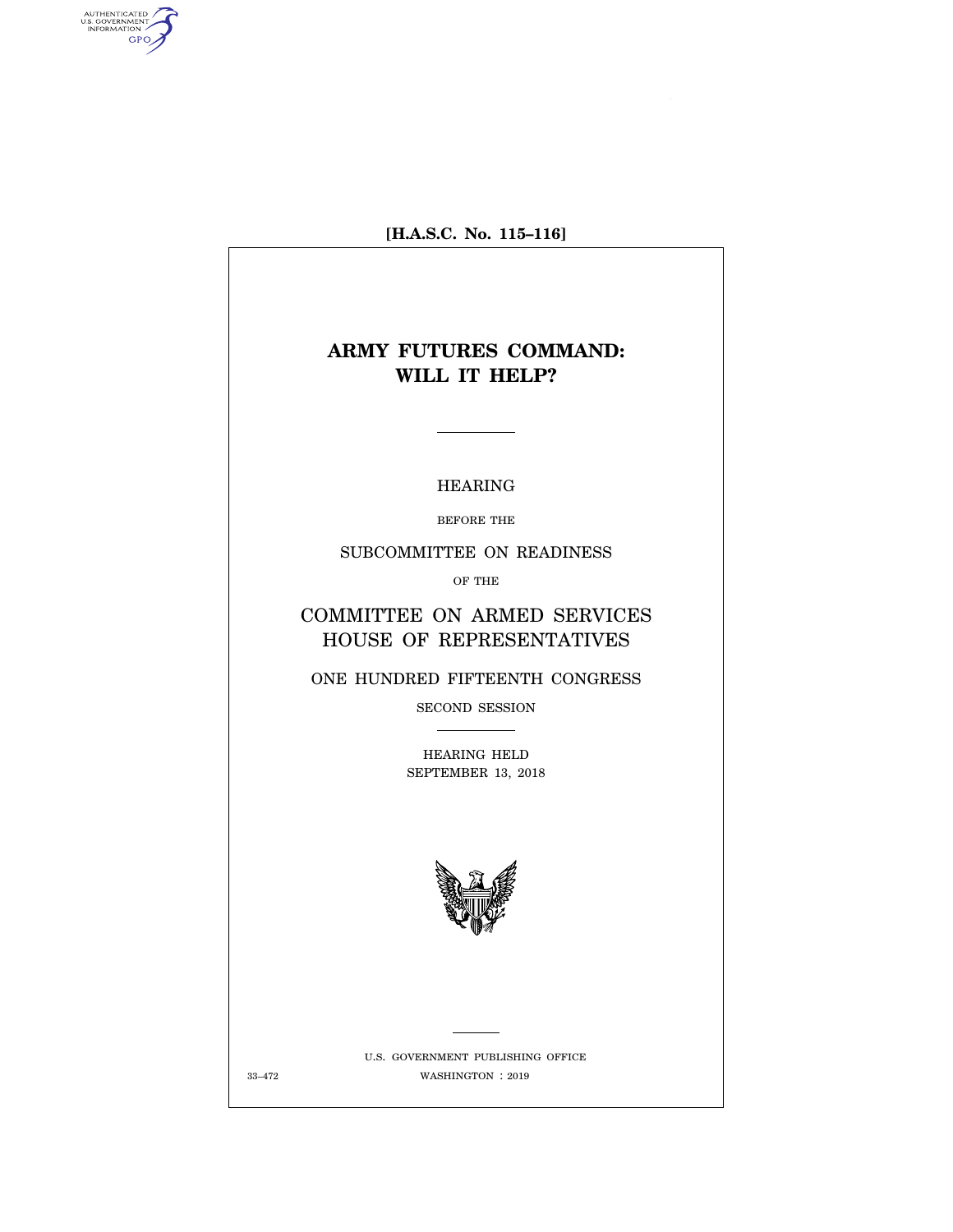**[H.A.S.C. No. 115–116]** 

# **ARMY FUTURES COMMAND: WILL IT HELP?**

### HEARING

BEFORE THE

SUBCOMMITTEE ON READINESS

OF THE

COMMITTEE ON ARMED SERVICES HOUSE OF REPRESENTATIVES

ONE HUNDRED FIFTEENTH CONGRESS

SECOND SESSION  $\begin{tabular}{ll} \multicolumn{3}{c} {\textbf{1}} & \multicolumn{3}{c} {\textbf{1}} & \multicolumn{3}{c} {\textbf{1}} \\ \multicolumn{3}{c} {\textbf{2}} & \multicolumn{3}{c} {\textbf{2}} & \multicolumn{3}{c} {\textbf{3}} \\ \multicolumn{3}{c} {\textbf{3}} & \multicolumn{3}{c} {\textbf{4}} & \multicolumn{3}{c} {\textbf{5}} \\ \multicolumn{3}{c} {\textbf{4}} & \multicolumn{3}{c} {\textbf{5}} & \multicolumn{3}{c} {\textbf{6}} \\ \multicolumn{3}{c} {\textbf{5}} & \multicolumn$ 

HEARING HELD SEPTEMBER 13, 2018



U.S. GOVERNMENT PUBLISHING OFFICE WASHINGTON : 33–472 2019

AUTHENTICATED<br>U.S. GOVERNMENT<br>INFORMATION GPO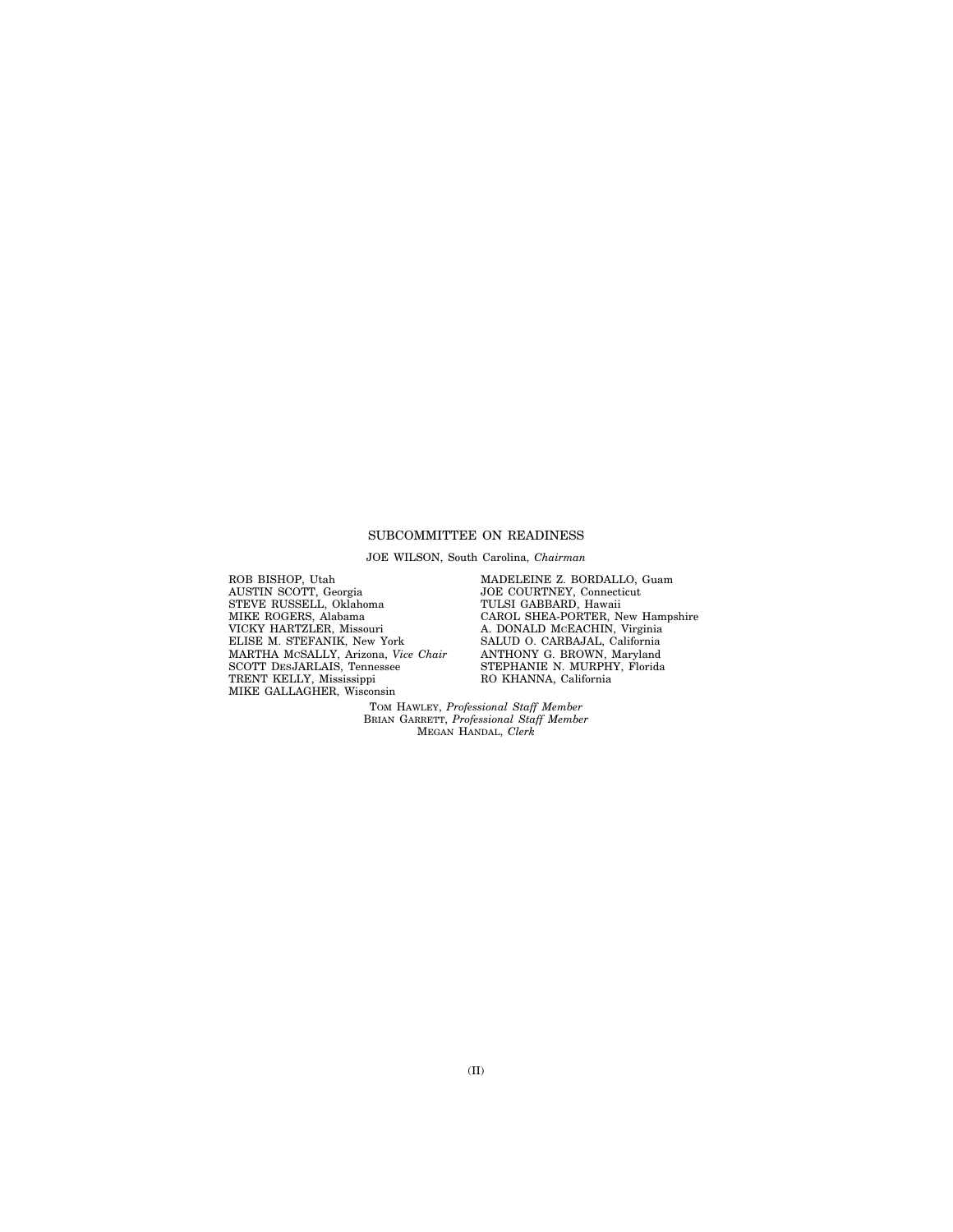### SUBCOMMITTEE ON READINESS

JOE WILSON, South Carolina, *Chairman* 

ROB BISHOP, Utah AUSTIN SCOTT, Georgia STEVE RUSSELL, Oklahoma MIKE ROGERS, Alabama VICKY HARTZLER, Missouri ELISE M. STEFANIK, New York MARTHA MCSALLY, Arizona, *Vice Chair*  SCOTT DESJARLAIS, Tennessee TRENT KELLY, Mississippi MIKE GALLAGHER, Wisconsin

MADELEINE Z. BORDALLO, Guam JOE COURTNEY, Connecticut TULSI GABBARD, Hawaii CAROL SHEA-PORTER, New Hampshire A. DONALD MCEACHIN, Virginia SALUD O. CARBAJAL, California ANTHONY G. BROWN, Maryland STEPHANIE N. MURPHY, Florida RO KHANNA, California

TOM HAWLEY, *Professional Staff Member*  BRIAN GARRETT, *Professional Staff Member*  MEGAN HANDAL, *Clerk*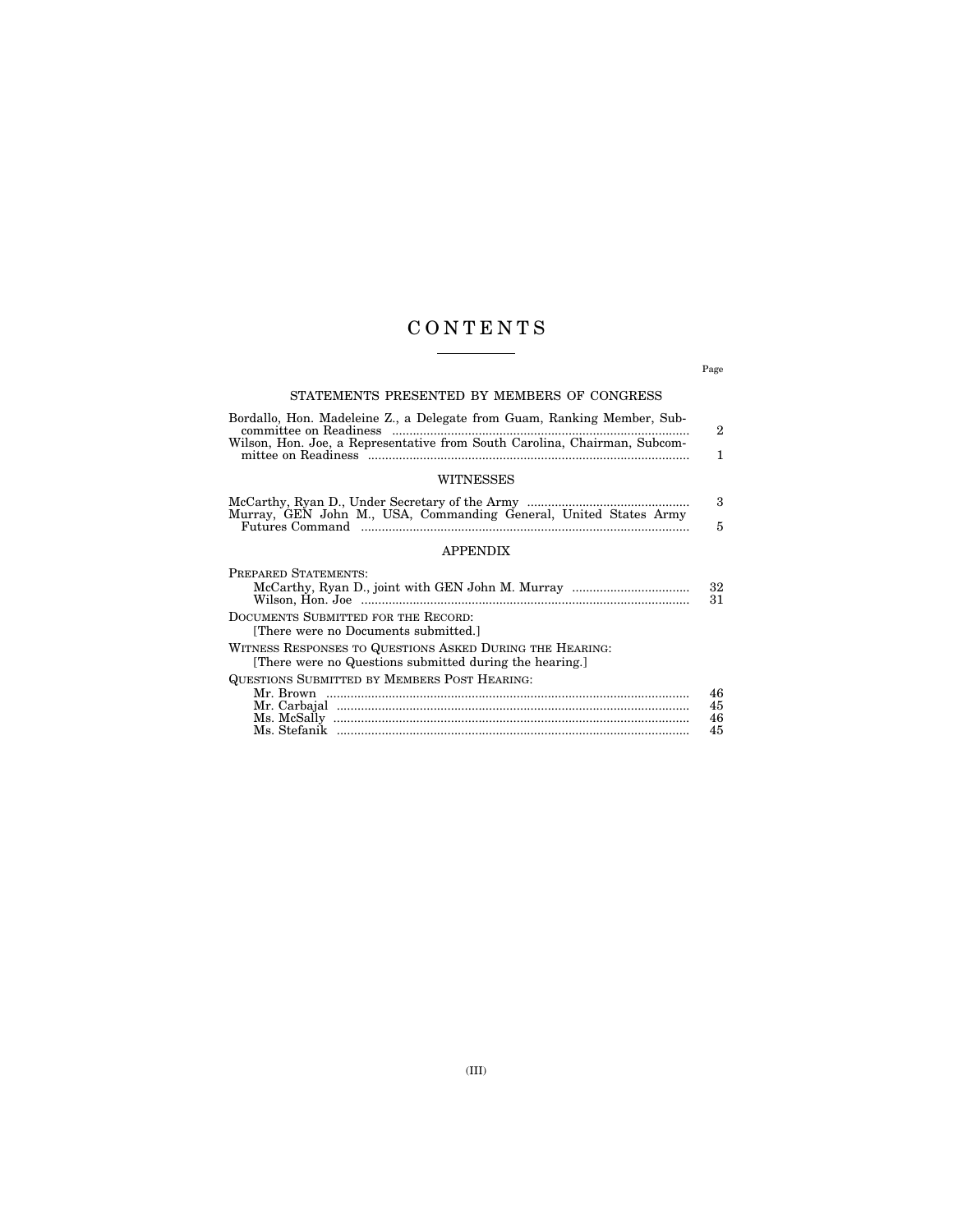# C O N T E N T S  $\begin{tabular}{l} \multicolumn{2}{c} {\textbf{1}} & \multicolumn{2}{c} {\textbf{1}} & \multicolumn{2}{c} {\textbf{1}} \\ \multicolumn{2}{c} {\textbf{1}} & \multicolumn{2}{c} {\textbf{1}} & \multicolumn{2}{c} {\textbf{1}} \\ \multicolumn{2}{c} {\textbf{1}} & \multicolumn{2}{c} {\textbf{1}} & \multicolumn{2}{c} {\textbf{1}} \\ \multicolumn{2}{c} {\textbf{1}} & \multicolumn{2}{c} {\textbf{1}} & \multicolumn{2}{c} {\textbf{1}} \\ \multicolumn{2}{c} {\textbf{1}} & \multicolumn$

Page

### STATEMENTS PRESENTED BY MEMBERS OF CONGRESS

| Bordallo, Hon. Madeleine Z., a Delegate from Guam, Ranking Member, Sub-   |  |
|---------------------------------------------------------------------------|--|
|                                                                           |  |
| Wilson, Hon. Joe, a Representative from South Carolina, Chairman, Subcom- |  |
|                                                                           |  |
| <b>WITNESSES</b>                                                          |  |

| Murray, GEN John M., USA, Commanding General, United States Army |  |
|------------------------------------------------------------------|--|

### APPENDIX

| PREPARED STATEMENTS:                                                                                                |          |
|---------------------------------------------------------------------------------------------------------------------|----------|
|                                                                                                                     | 32<br>31 |
| DOCUMENTS SUBMITTED FOR THE RECORD:<br>[There were no Documents submitted.]                                         |          |
| WITNESS RESPONSES TO QUESTIONS ASKED DURING THE HEARING:<br>[There were no Questions submitted during the hearing.] |          |
| QUESTIONS SUBMITTED BY MEMBERS POST HEARING:                                                                        |          |
|                                                                                                                     | 46       |
|                                                                                                                     | 45       |
|                                                                                                                     | 46       |
|                                                                                                                     | 45       |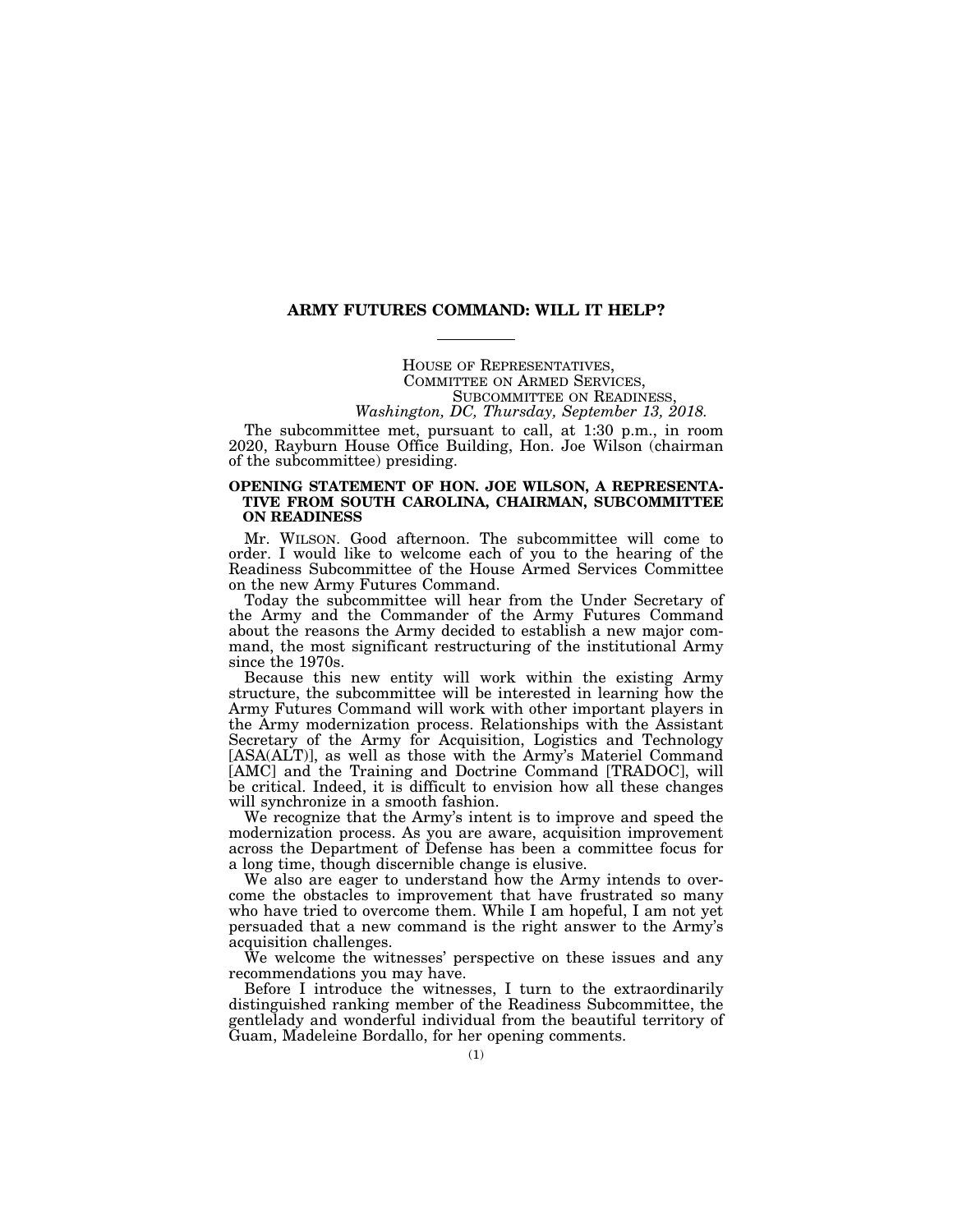#### **ARMY FUTURES COMMAND: WILL IT HELP?**

HOUSE OF REPRESENTATIVES,<br>COMMITTEE ON ARMED SERVICES,<br>SUBCOMMITTEE ON READINESS,<br>*Washington, DC, Thursday, September 13, 2018*.

The subcommittee met, pursuant to call, at 1:30 p.m., in room 2020, Rayburn House Office Building, Hon. Joe Wilson (chairman of the subcommittee) presiding.

### **OPENING STATEMENT OF HON. JOE WILSON, A REPRESENTA-TIVE FROM SOUTH CAROLINA, CHAIRMAN, SUBCOMMITTEE ON READINESS**

Mr. WILSON. Good afternoon. The subcommittee will come to order. I would like to welcome each of you to the hearing of the Readiness Subcommittee of the House Armed Services Committee on the new Army Futures Command.

Today the subcommittee will hear from the Under Secretary of the Army and the Commander of the Army Futures Command about the reasons the Army decided to establish a new major command, the most significant restructuring of the institutional Army since the 1970s.

Because this new entity will work within the existing Army structure, the subcommittee will be interested in learning how the Army Futures Command will work with other important players in the Army modernization process. Relationships with the Assistant Secretary of the Army for Acquisition, Logistics and Technology [ASA(ALT)], as well as those with the Army's Materiel Command [AMC] and the Training and Doctrine Command [TRADOC], will be critical. Indeed, it is difficult to envision how all these changes will synchronize in a smooth fashion.

We recognize that the Army's intent is to improve and speed the modernization process. As you are aware, acquisition improvement across the Department of Defense has been a committee focus for a long time, though discernible change is elusive.

We also are eager to understand how the Army intends to overcome the obstacles to improvement that have frustrated so many who have tried to overcome them. While I am hopeful, I am not yet persuaded that a new command is the right answer to the Army's acquisition challenges.

We welcome the witnesses' perspective on these issues and any recommendations you may have.

Before I introduce the witnesses, I turn to the extraordinarily distinguished ranking member of the Readiness Subcommittee, the gentlelady and wonderful individual from the beautiful territory of Guam, Madeleine Bordallo, for her opening comments.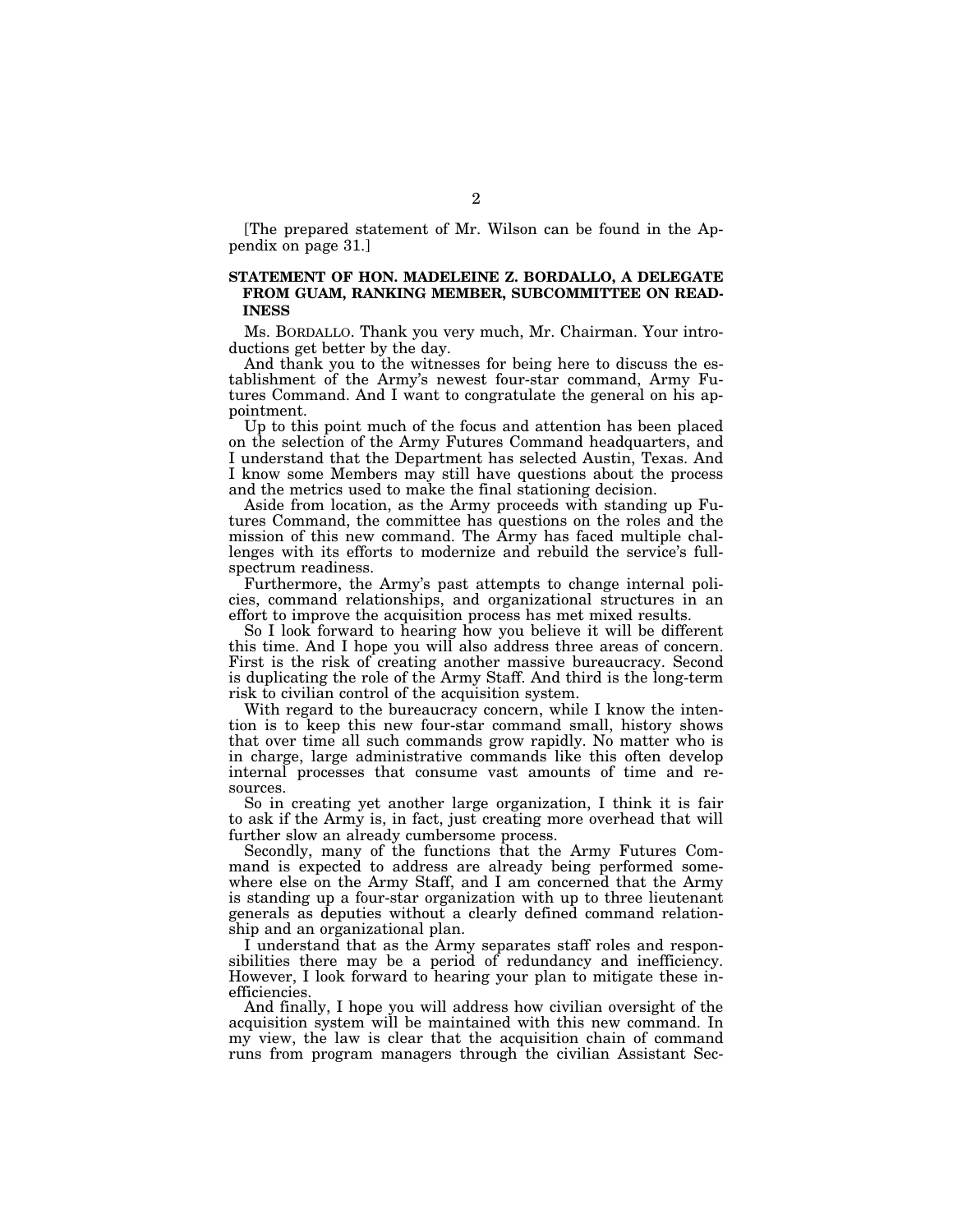[The prepared statement of Mr. Wilson can be found in the Appendix on page 31.]

### **STATEMENT OF HON. MADELEINE Z. BORDALLO, A DELEGATE FROM GUAM, RANKING MEMBER, SUBCOMMITTEE ON READ-INESS**

Ms. BORDALLO. Thank you very much, Mr. Chairman. Your introductions get better by the day.

And thank you to the witnesses for being here to discuss the establishment of the Army's newest four-star command, Army Futures Command. And I want to congratulate the general on his appointment.

Up to this point much of the focus and attention has been placed on the selection of the Army Futures Command headquarters, and I understand that the Department has selected Austin, Texas. And I know some Members may still have questions about the process and the metrics used to make the final stationing decision.

Aside from location, as the Army proceeds with standing up Futures Command, the committee has questions on the roles and the mission of this new command. The Army has faced multiple challenges with its efforts to modernize and rebuild the service's fullspectrum readiness.

Furthermore, the Army's past attempts to change internal policies, command relationships, and organizational structures in an effort to improve the acquisition process has met mixed results.

So I look forward to hearing how you believe it will be different this time. And I hope you will also address three areas of concern. First is the risk of creating another massive bureaucracy. Second is duplicating the role of the Army Staff. And third is the long-term risk to civilian control of the acquisition system.

With regard to the bureaucracy concern, while I know the intention is to keep this new four-star command small, history shows that over time all such commands grow rapidly. No matter who is in charge, large administrative commands like this often develop internal processes that consume vast amounts of time and resources.

So in creating yet another large organization, I think it is fair to ask if the Army is, in fact, just creating more overhead that will further slow an already cumbersome process.

Secondly, many of the functions that the Army Futures Command is expected to address are already being performed somewhere else on the Army Staff, and I am concerned that the Army is standing up a four-star organization with up to three lieutenant generals as deputies without a clearly defined command relationship and an organizational plan.

I understand that as the Army separates staff roles and responsibilities there may be a period of redundancy and inefficiency. However, I look forward to hearing your plan to mitigate these inefficiencies.

And finally, I hope you will address how civilian oversight of the acquisition system will be maintained with this new command. In my view, the law is clear that the acquisition chain of command runs from program managers through the civilian Assistant Sec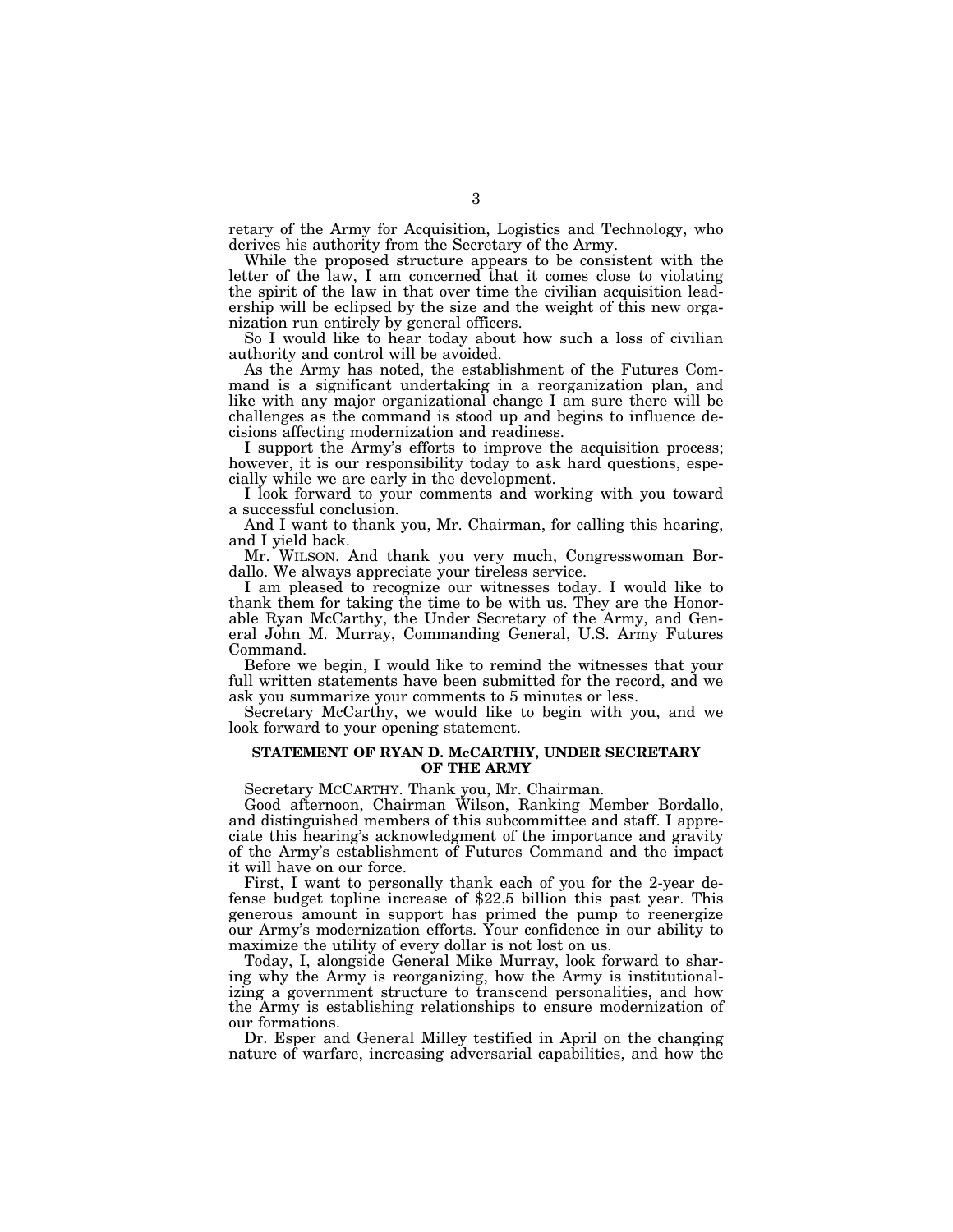retary of the Army for Acquisition, Logistics and Technology, who derives his authority from the Secretary of the Army.

While the proposed structure appears to be consistent with the letter of the law, I am concerned that it comes close to violating the spirit of the law in that over time the civilian acquisition leadership will be eclipsed by the size and the weight of this new organization run entirely by general officers.

So I would like to hear today about how such a loss of civilian authority and control will be avoided.

As the Army has noted, the establishment of the Futures Command is a significant undertaking in a reorganization plan, and like with any major organizational change I am sure there will be challenges as the command is stood up and begins to influence decisions affecting modernization and readiness.

I support the Army's efforts to improve the acquisition process; however, it is our responsibility today to ask hard questions, especially while we are early in the development.

I look forward to your comments and working with you toward a successful conclusion.

And I want to thank you, Mr. Chairman, for calling this hearing, and I yield back.

Mr. WILSON. And thank you very much, Congresswoman Bordallo. We always appreciate your tireless service.

I am pleased to recognize our witnesses today. I would like to thank them for taking the time to be with us. They are the Honorable Ryan McCarthy, the Under Secretary of the Army, and General John M. Murray, Commanding General, U.S. Army Futures Command.

Before we begin, I would like to remind the witnesses that your full written statements have been submitted for the record, and we ask you summarize your comments to 5 minutes or less.

Secretary McCarthy, we would like to begin with you, and we look forward to your opening statement.

#### **STATEMENT OF RYAN D. McCARTHY, UNDER SECRETARY OF THE ARMY**

Secretary MCCARTHY. Thank you, Mr. Chairman.

Good afternoon, Chairman Wilson, Ranking Member Bordallo, and distinguished members of this subcommittee and staff. I appreciate this hearing's acknowledgment of the importance and gravity of the Army's establishment of Futures Command and the impact it will have on our force.

First, I want to personally thank each of you for the 2-year defense budget topline increase of \$22.5 billion this past year. This generous amount in support has primed the pump to reenergize our Army's modernization efforts. Your confidence in our ability to maximize the utility of every dollar is not lost on us.

Today, I, alongside General Mike Murray, look forward to sharing why the Army is reorganizing, how the Army is institutionalizing a government structure to transcend personalities, and how the Army is establishing relationships to ensure modernization of our formations.

Dr. Esper and General Milley testified in April on the changing nature of warfare, increasing adversarial capabilities, and how the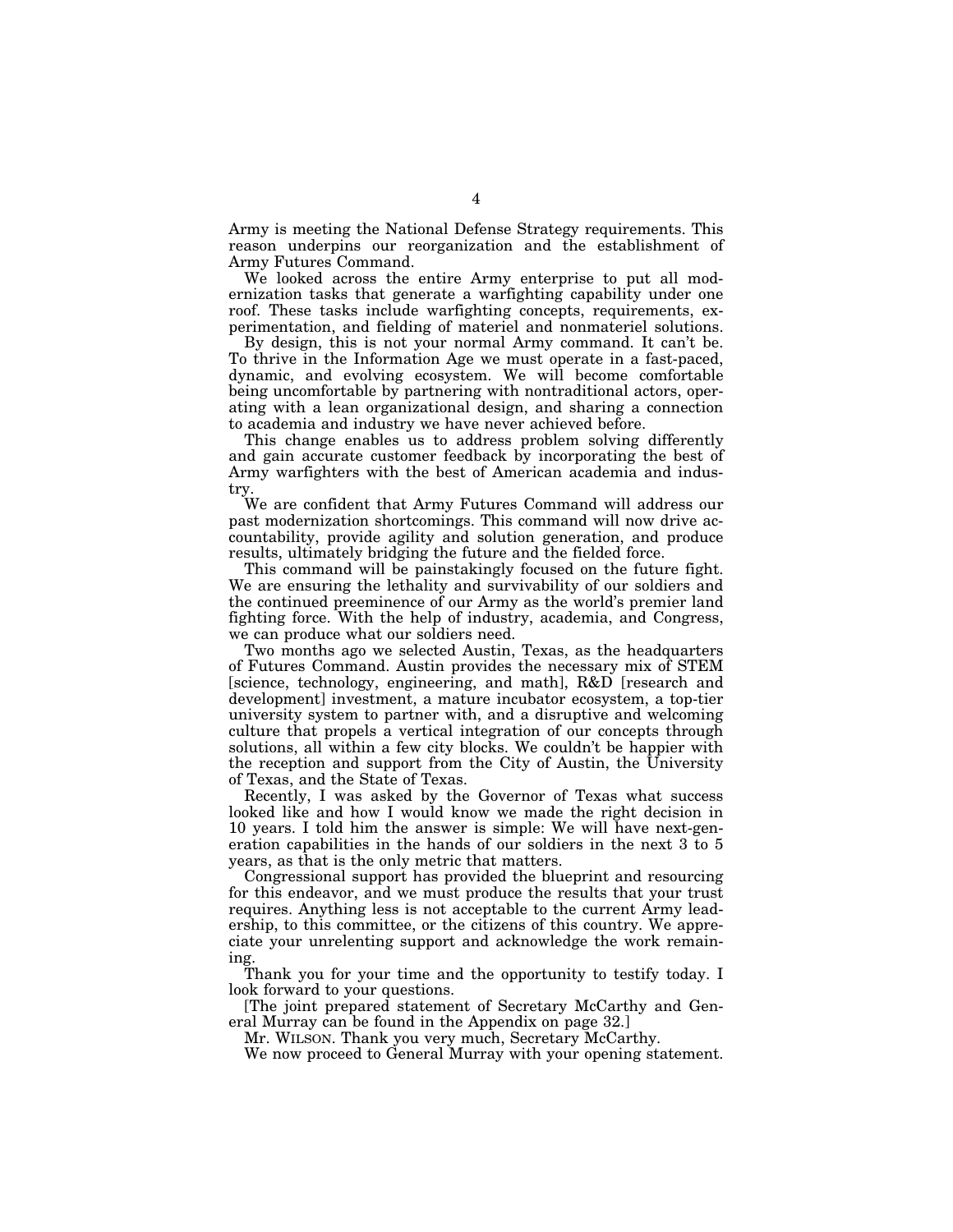Army is meeting the National Defense Strategy requirements. This reason underpins our reorganization and the establishment of Army Futures Command.

We looked across the entire Army enterprise to put all modernization tasks that generate a warfighting capability under one roof. These tasks include warfighting concepts, requirements, experimentation, and fielding of materiel and nonmateriel solutions.

By design, this is not your normal Army command. It can't be. To thrive in the Information Age we must operate in a fast-paced, dynamic, and evolving ecosystem. We will become comfortable being uncomfortable by partnering with nontraditional actors, operating with a lean organizational design, and sharing a connection to academia and industry we have never achieved before.

This change enables us to address problem solving differently and gain accurate customer feedback by incorporating the best of Army warfighters with the best of American academia and industry.

We are confident that Army Futures Command will address our past modernization shortcomings. This command will now drive accountability, provide agility and solution generation, and produce results, ultimately bridging the future and the fielded force.

This command will be painstakingly focused on the future fight. We are ensuring the lethality and survivability of our soldiers and the continued preeminence of our Army as the world's premier land fighting force. With the help of industry, academia, and Congress, we can produce what our soldiers need.

Two months ago we selected Austin, Texas, as the headquarters of Futures Command. Austin provides the necessary mix of STEM [science, technology, engineering, and math], R&D [research and development] investment, a mature incubator ecosystem, a top-tier university system to partner with, and a disruptive and welcoming culture that propels a vertical integration of our concepts through solutions, all within a few city blocks. We couldn't be happier with the reception and support from the City of Austin, the University of Texas, and the State of Texas.

Recently, I was asked by the Governor of Texas what success looked like and how I would know we made the right decision in 10 years. I told him the answer is simple: We will have next-generation capabilities in the hands of our soldiers in the next 3 to 5 years, as that is the only metric that matters.

Congressional support has provided the blueprint and resourcing for this endeavor, and we must produce the results that your trust requires. Anything less is not acceptable to the current Army leadership, to this committee, or the citizens of this country. We appreciate your unrelenting support and acknowledge the work remaining.

Thank you for your time and the opportunity to testify today. I look forward to your questions.

[The joint prepared statement of Secretary McCarthy and General Murray can be found in the Appendix on page 32.]

Mr. WILSON. Thank you very much, Secretary McCarthy.

We now proceed to General Murray with your opening statement.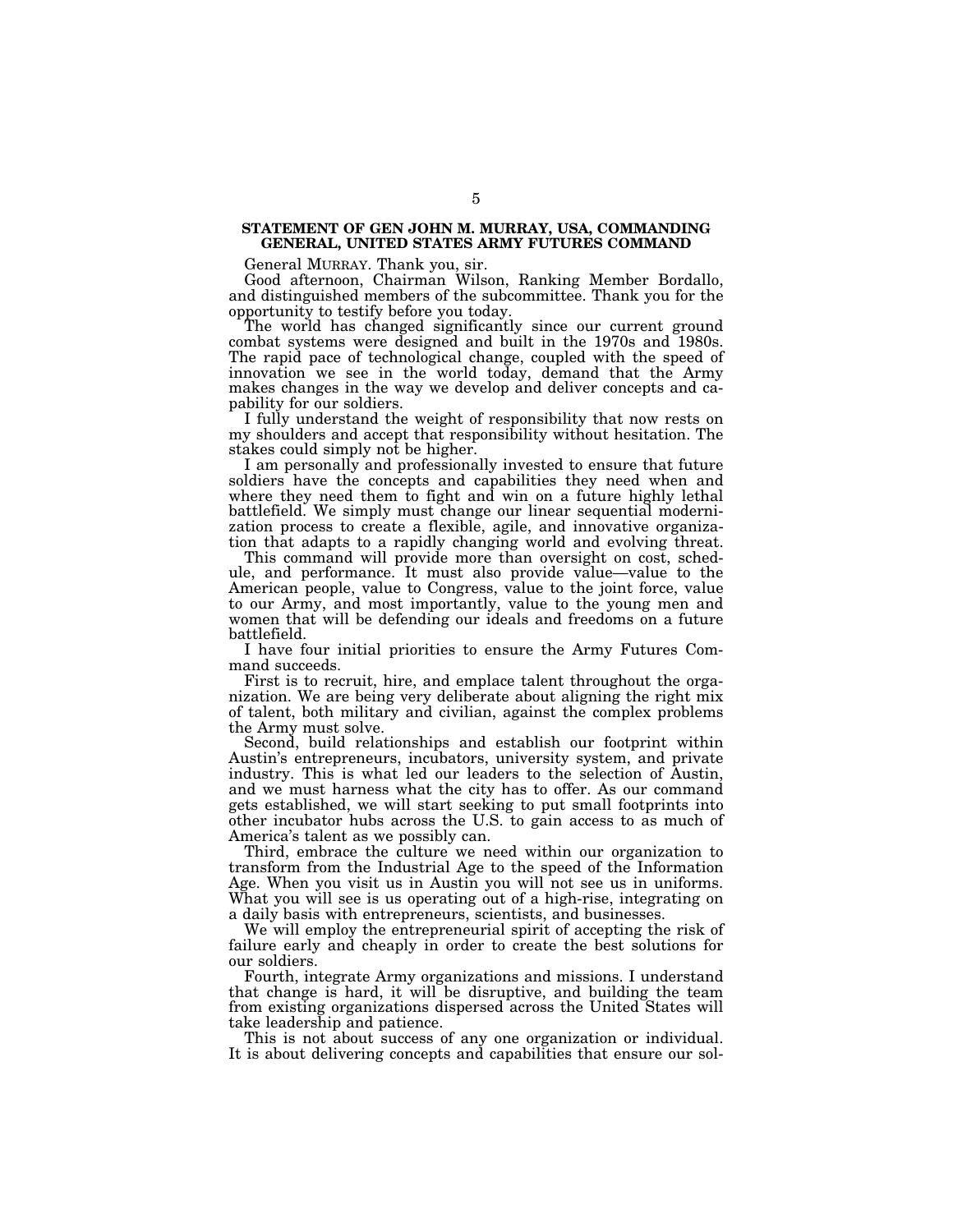#### **STATEMENT OF GEN JOHN M. MURRAY, USA, COMMANDING GENERAL, UNITED STATES ARMY FUTURES COMMAND**

General MURRAY. Thank you, sir.

Good afternoon, Chairman Wilson, Ranking Member Bordallo, and distinguished members of the subcommittee. Thank you for the opportunity to testify before you today.

The world has changed significantly since our current ground combat systems were designed and built in the 1970s and 1980s. The rapid pace of technological change, coupled with the speed of innovation we see in the world today, demand that the Army makes changes in the way we develop and deliver concepts and capability for our soldiers.

I fully understand the weight of responsibility that now rests on my shoulders and accept that responsibility without hesitation. The stakes could simply not be higher.

I am personally and professionally invested to ensure that future soldiers have the concepts and capabilities they need when and where they need them to fight and win on a future highly lethal battlefield. We simply must change our linear sequential modernization process to create a flexible, agile, and innovative organization that adapts to a rapidly changing world and evolving threat.

This command will provide more than oversight on cost, schedule, and performance. It must also provide value—value to the American people, value to Congress, value to the joint force, value to our Army, and most importantly, value to the young men and women that will be defending our ideals and freedoms on a future battlefield.

I have four initial priorities to ensure the Army Futures Command succeeds.

First is to recruit, hire, and emplace talent throughout the organization. We are being very deliberate about aligning the right mix of talent, both military and civilian, against the complex problems the Army must solve.

Second, build relationships and establish our footprint within Austin's entrepreneurs, incubators, university system, and private industry. This is what led our leaders to the selection of Austin, and we must harness what the city has to offer. As our command gets established, we will start seeking to put small footprints into other incubator hubs across the U.S. to gain access to as much of America's talent as we possibly can.

Third, embrace the culture we need within our organization to transform from the Industrial Age to the speed of the Information Age. When you visit us in Austin you will not see us in uniforms. What you will see is us operating out of a high-rise, integrating on a daily basis with entrepreneurs, scientists, and businesses.

We will employ the entrepreneurial spirit of accepting the risk of failure early and cheaply in order to create the best solutions for our soldiers.

Fourth, integrate Army organizations and missions. I understand that change is hard, it will be disruptive, and building the team from existing organizations dispersed across the United States will take leadership and patience.

This is not about success of any one organization or individual. It is about delivering concepts and capabilities that ensure our sol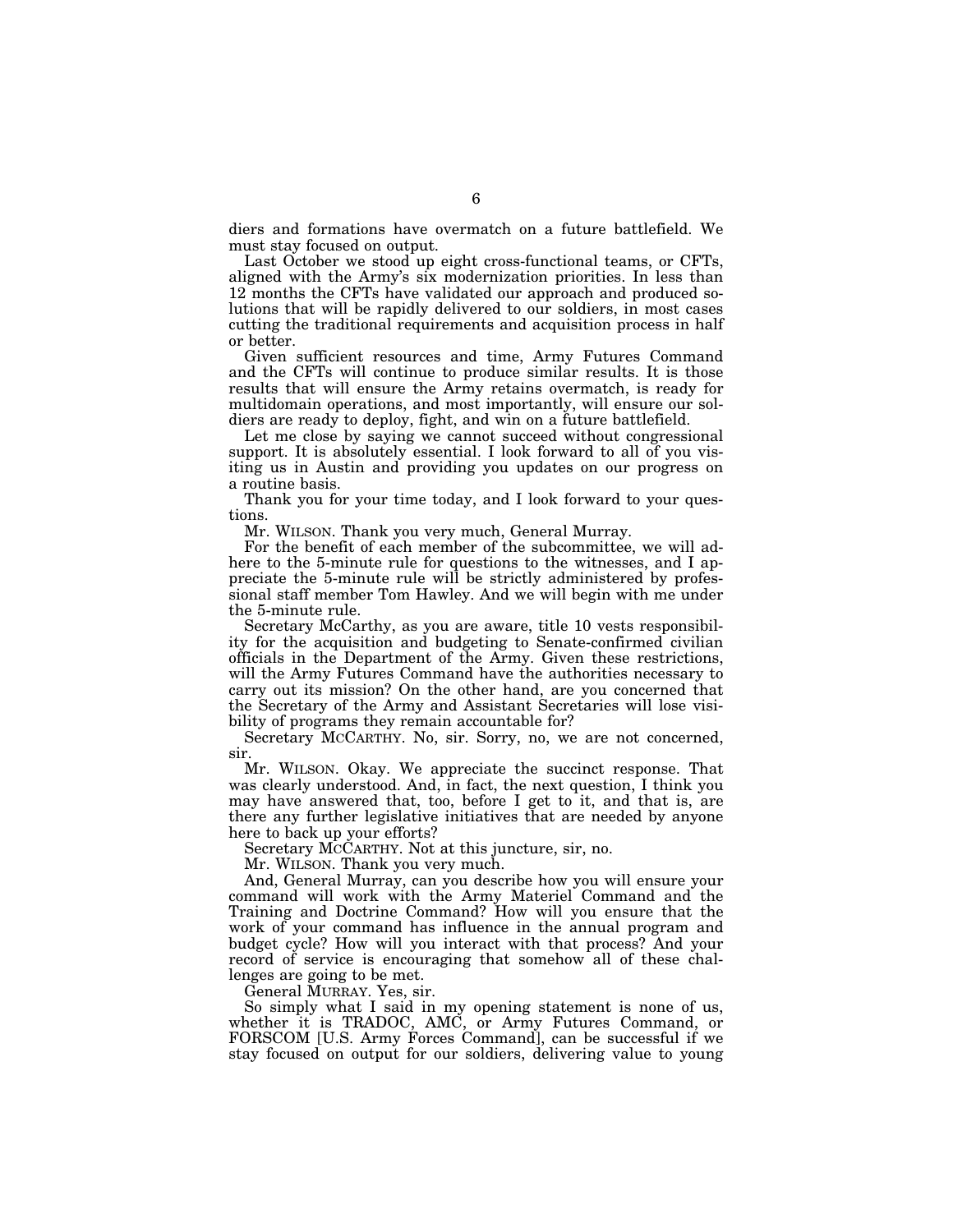diers and formations have overmatch on a future battlefield. We must stay focused on output.

Last October we stood up eight cross-functional teams, or CFTs, aligned with the Army's six modernization priorities. In less than 12 months the CFTs have validated our approach and produced solutions that will be rapidly delivered to our soldiers, in most cases cutting the traditional requirements and acquisition process in half or better.

Given sufficient resources and time, Army Futures Command and the CFTs will continue to produce similar results. It is those results that will ensure the Army retains overmatch, is ready for multidomain operations, and most importantly, will ensure our soldiers are ready to deploy, fight, and win on a future battlefield.

Let me close by saying we cannot succeed without congressional support. It is absolutely essential. I look forward to all of you visiting us in Austin and providing you updates on our progress on a routine basis.

Thank you for your time today, and I look forward to your questions.

Mr. WILSON. Thank you very much, General Murray.

For the benefit of each member of the subcommittee, we will adhere to the 5-minute rule for questions to the witnesses, and I appreciate the 5-minute rule will be strictly administered by professional staff member Tom Hawley. And we will begin with me under the 5-minute rule.

Secretary McCarthy, as you are aware, title 10 vests responsibility for the acquisition and budgeting to Senate-confirmed civilian officials in the Department of the Army. Given these restrictions, will the Army Futures Command have the authorities necessary to carry out its mission? On the other hand, are you concerned that the Secretary of the Army and Assistant Secretaries will lose visibility of programs they remain accountable for?

Secretary MCCARTHY. No, sir. Sorry, no, we are not concerned, sir.

Mr. WILSON. Okay. We appreciate the succinct response. That was clearly understood. And, in fact, the next question, I think you may have answered that, too, before I get to it, and that is, are there any further legislative initiatives that are needed by anyone here to back up your efforts?

Secretary MCCARTHY. Not at this juncture, sir, no.

Mr. WILSON. Thank you very much.

And, General Murray, can you describe how you will ensure your command will work with the Army Materiel Command and the Training and Doctrine Command? How will you ensure that the work of your command has influence in the annual program and budget cycle? How will you interact with that process? And your record of service is encouraging that somehow all of these challenges are going to be met.

General MURRAY. Yes, sir.

So simply what I said in my opening statement is none of us, whether it is TRADOC, AMC, or Army Futures Command, or FORSCOM [U.S. Army Forces Command], can be successful if we stay focused on output for our soldiers, delivering value to young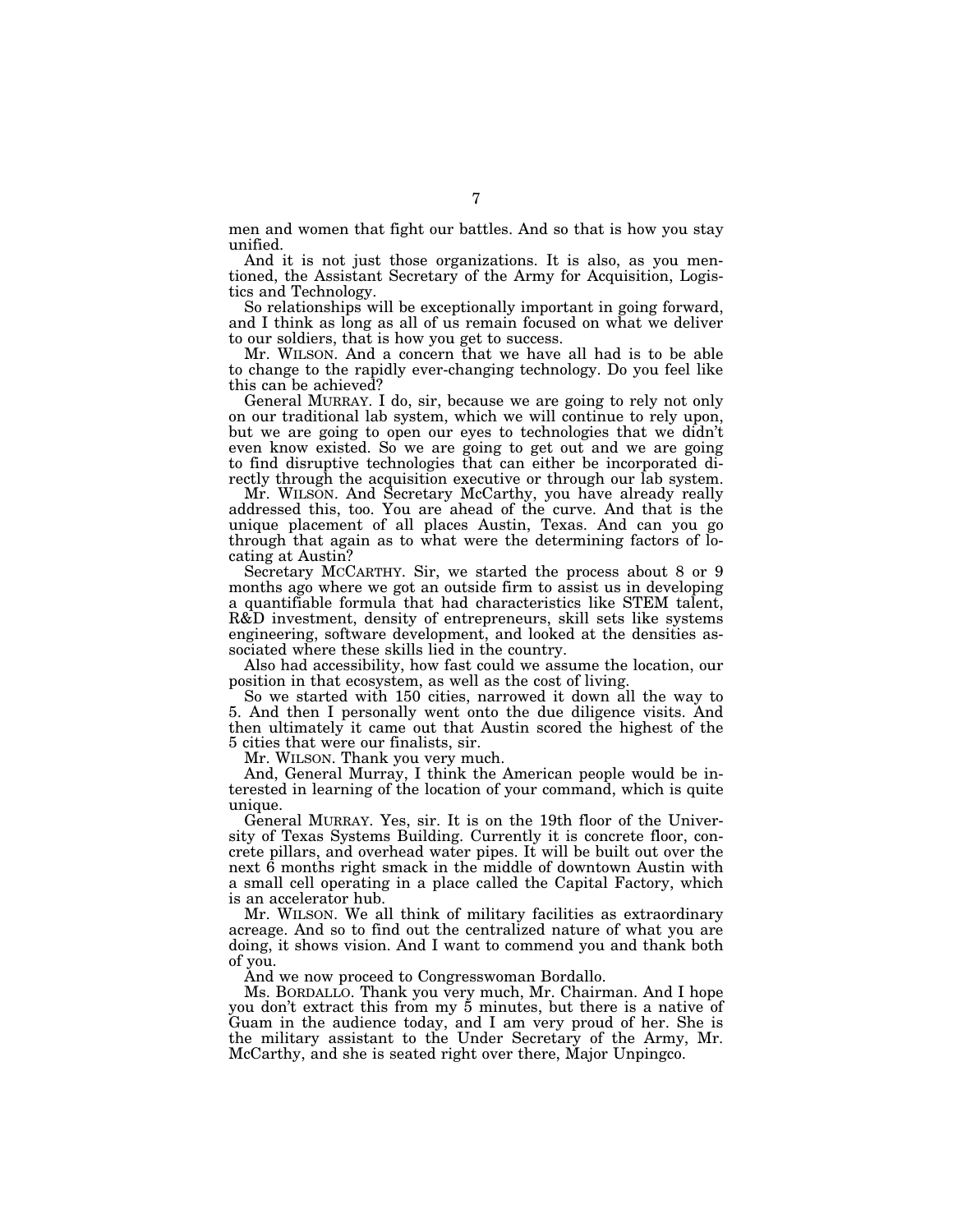men and women that fight our battles. And so that is how you stay unified.

And it is not just those organizations. It is also, as you mentioned, the Assistant Secretary of the Army for Acquisition, Logistics and Technology.

So relationships will be exceptionally important in going forward, and I think as long as all of us remain focused on what we deliver to our soldiers, that is how you get to success.

Mr. WILSON. And a concern that we have all had is to be able to change to the rapidly ever-changing technology. Do you feel like this can be achieved?

General MURRAY. I do, sir, because we are going to rely not only on our traditional lab system, which we will continue to rely upon, but we are going to open our eyes to technologies that we didn't even know existed. So we are going to get out and we are going to find disruptive technologies that can either be incorporated directly through the acquisition executive or through our lab system.

Mr. WILSON. And Secretary McCarthy, you have already really addressed this, too. You are ahead of the curve. And that is the unique placement of all places Austin, Texas. And can you go through that again as to what were the determining factors of locating at Austin?

Secretary MCCARTHY. Sir, we started the process about 8 or 9 months ago where we got an outside firm to assist us in developing a quantifiable formula that had characteristics like STEM talent, R&D investment, density of entrepreneurs, skill sets like systems engineering, software development, and looked at the densities associated where these skills lied in the country.

Also had accessibility, how fast could we assume the location, our position in that ecosystem, as well as the cost of living.

So we started with 150 cities, narrowed it down all the way to 5. And then I personally went onto the due diligence visits. And then ultimately it came out that Austin scored the highest of the 5 cities that were our finalists, sir.

Mr. WILSON. Thank you very much.

And, General Murray, I think the American people would be interested in learning of the location of your command, which is quite unique.

General MURRAY. Yes, sir. It is on the 19th floor of the University of Texas Systems Building. Currently it is concrete floor, concrete pillars, and overhead water pipes. It will be built out over the next 6 months right smack in the middle of downtown Austin with a small cell operating in a place called the Capital Factory, which is an accelerator hub.

Mr. WILSON. We all think of military facilities as extraordinary acreage. And so to find out the centralized nature of what you are doing, it shows vision. And I want to commend you and thank both of you.

And we now proceed to Congresswoman Bordallo.

Ms. BORDALLO. Thank you very much, Mr. Chairman. And I hope you don't extract this from my 5 minutes, but there is a native of Guam in the audience today, and I am very proud of her. She is the military assistant to the Under Secretary of the Army, Mr. McCarthy, and she is seated right over there, Major Unpingco.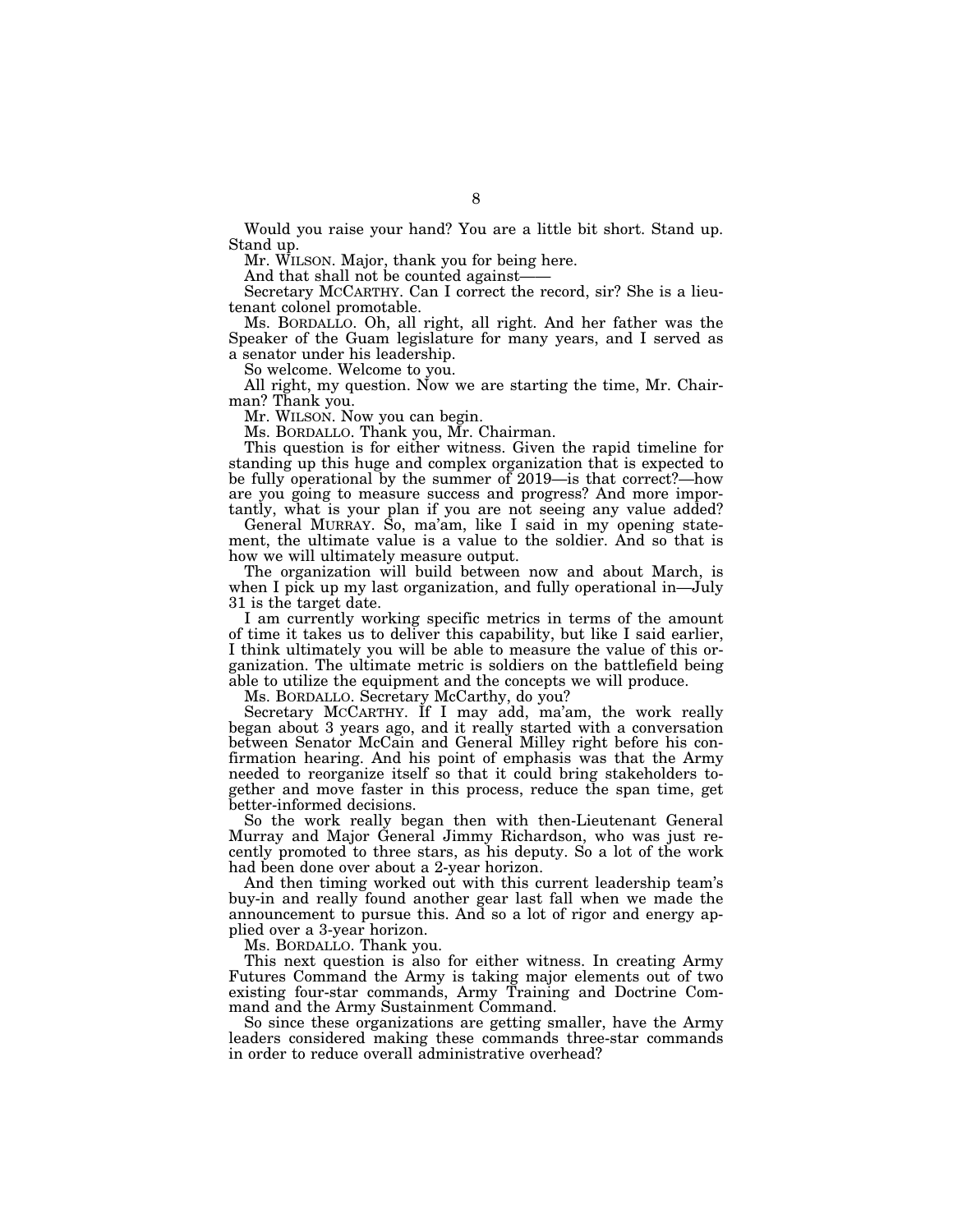Would you raise your hand? You are a little bit short. Stand up. Stand up.

Mr. WILSON. Major, thank you for being here.

And that shall not be counted against-

Secretary MCCARTHY. Can I correct the record, sir? She is a lieutenant colonel promotable.

Ms. BORDALLO. Oh, all right, all right. And her father was the Speaker of the Guam legislature for many years, and I served as a senator under his leadership.

So welcome. Welcome to you.

All right, my question. Now we are starting the time, Mr. Chairman? Thank you.

Mr. WILSON. Now you can begin.

Ms. BORDALLO. Thank you, Mr. Chairman.

This question is for either witness. Given the rapid timeline for standing up this huge and complex organization that is expected to be fully operational by the summer of 2019—is that correct?—how are you going to measure success and progress? And more importantly, what is your plan if you are not seeing any value added?

General MURRAY. So, ma'am, like I said in my opening statement, the ultimate value is a value to the soldier. And so that is how we will ultimately measure output.

The organization will build between now and about March, is when I pick up my last organization, and fully operational in—July 31 is the target date.

I am currently working specific metrics in terms of the amount of time it takes us to deliver this capability, but like I said earlier, I think ultimately you will be able to measure the value of this organization. The ultimate metric is soldiers on the battlefield being able to utilize the equipment and the concepts we will produce.

Ms. BORDALLO. Secretary McCarthy, do you?

Secretary MCCARTHY. If I may add, ma'am, the work really began about 3 years ago, and it really started with a conversation between Senator McCain and General Milley right before his confirmation hearing. And his point of emphasis was that the Army needed to reorganize itself so that it could bring stakeholders together and move faster in this process, reduce the span time, get better-informed decisions.

So the work really began then with then-Lieutenant General Murray and Major General Jimmy Richardson, who was just recently promoted to three stars, as his deputy. So a lot of the work had been done over about a 2-year horizon.

And then timing worked out with this current leadership team's buy-in and really found another gear last fall when we made the announcement to pursue this. And so a lot of rigor and energy applied over a 3-year horizon.

Ms. BORDALLO. Thank you.

This next question is also for either witness. In creating Army Futures Command the Army is taking major elements out of two existing four-star commands, Army Training and Doctrine Command and the Army Sustainment Command.

So since these organizations are getting smaller, have the Army leaders considered making these commands three-star commands in order to reduce overall administrative overhead?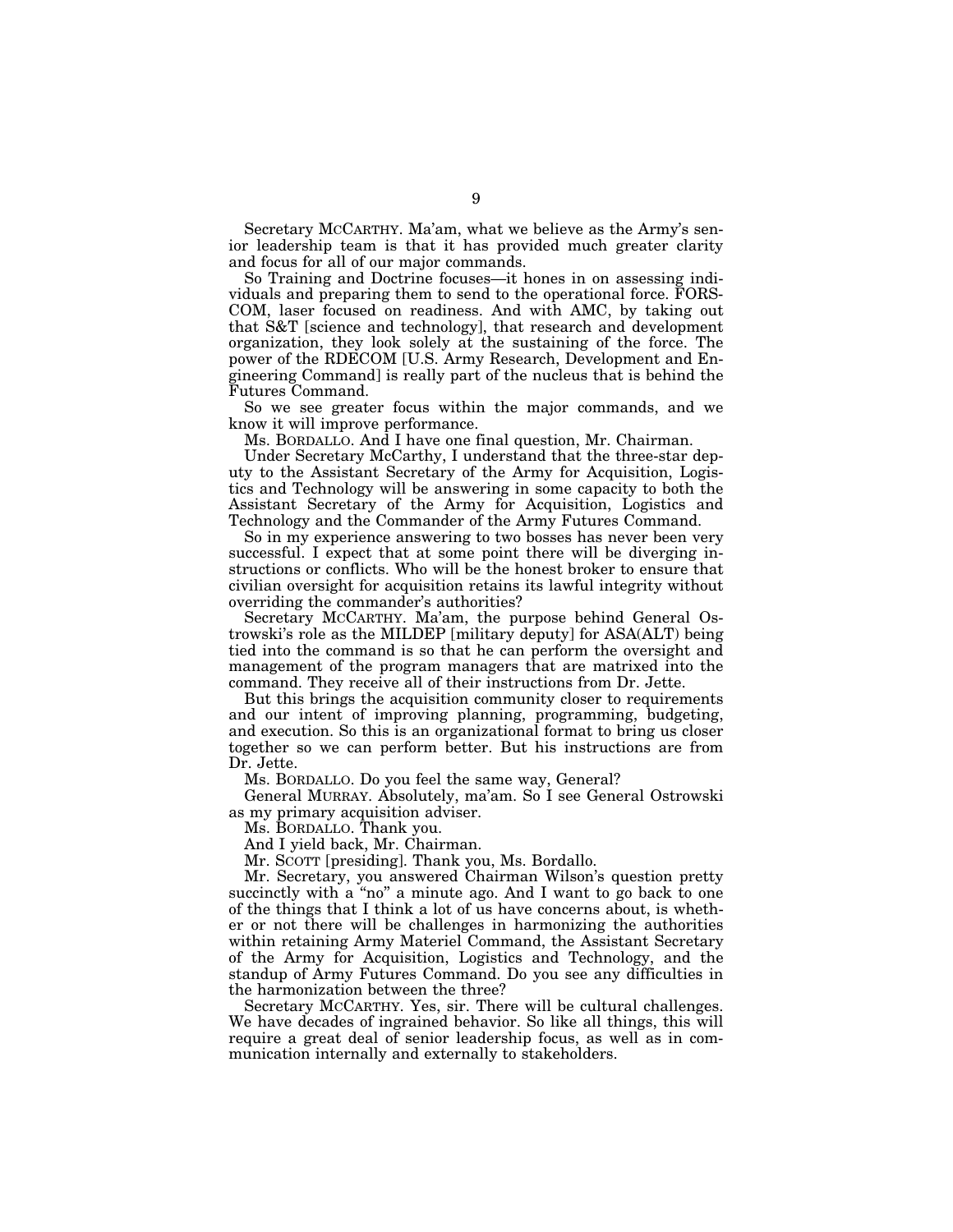Secretary MCCARTHY. Ma'am, what we believe as the Army's senior leadership team is that it has provided much greater clarity and focus for all of our major commands.

So Training and Doctrine focuses—it hones in on assessing individuals and preparing them to send to the operational force. FORS-COM, laser focused on readiness. And with AMC, by taking out that S&T [science and technology], that research and development organization, they look solely at the sustaining of the force. The power of the RDECOM [U.S. Army Research, Development and Engineering Command] is really part of the nucleus that is behind the Futures Command.

So we see greater focus within the major commands, and we know it will improve performance.

Ms. BORDALLO. And I have one final question, Mr. Chairman.

Under Secretary McCarthy, I understand that the three-star deputy to the Assistant Secretary of the Army for Acquisition, Logistics and Technology will be answering in some capacity to both the Assistant Secretary of the Army for Acquisition, Logistics and Technology and the Commander of the Army Futures Command.

So in my experience answering to two bosses has never been very successful. I expect that at some point there will be diverging instructions or conflicts. Who will be the honest broker to ensure that civilian oversight for acquisition retains its lawful integrity without overriding the commander's authorities?

Secretary MCCARTHY. Ma'am, the purpose behind General Ostrowski's role as the MILDEP [military deputy] for ASA(ALT) being tied into the command is so that he can perform the oversight and management of the program managers that are matrixed into the command. They receive all of their instructions from Dr. Jette.

But this brings the acquisition community closer to requirements and our intent of improving planning, programming, budgeting, and execution. So this is an organizational format to bring us closer together so we can perform better. But his instructions are from Dr. Jette.

Ms. BORDALLO. Do you feel the same way, General?

General MURRAY. Absolutely, ma'am. So I see General Ostrowski as my primary acquisition adviser.

Ms. BORDALLO. Thank you.

And I yield back, Mr. Chairman.

Mr. SCOTT [presiding]. Thank you, Ms. Bordallo.

Mr. Secretary, you answered Chairman Wilson's question pretty succinctly with a "no" a minute ago. And I want to go back to one of the things that I think a lot of us have concerns about, is whether or not there will be challenges in harmonizing the authorities within retaining Army Materiel Command, the Assistant Secretary of the Army for Acquisition, Logistics and Technology, and the standup of Army Futures Command. Do you see any difficulties in the harmonization between the three?

Secretary MCCARTHY. Yes, sir. There will be cultural challenges. We have decades of ingrained behavior. So like all things, this will require a great deal of senior leadership focus, as well as in communication internally and externally to stakeholders.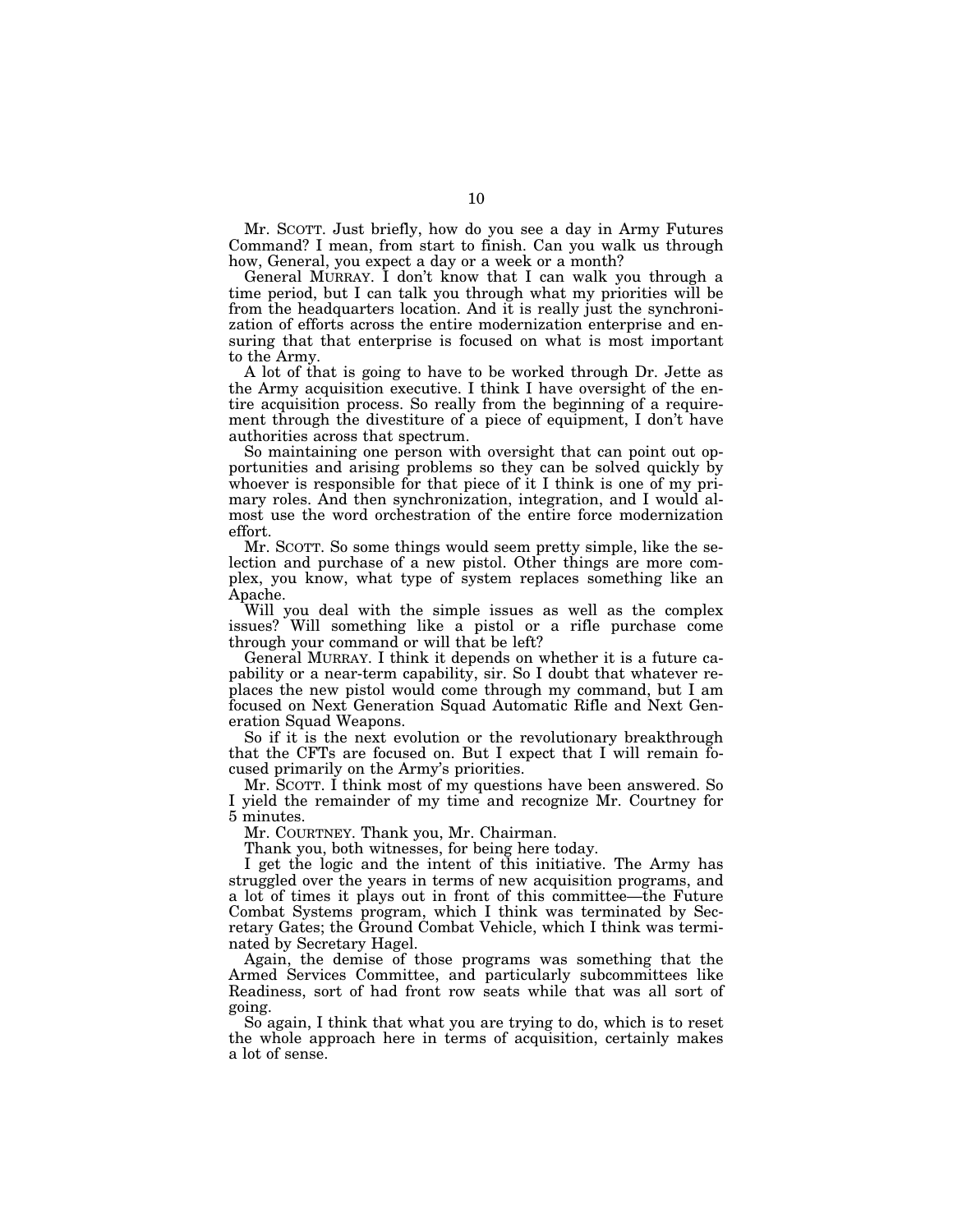Mr. SCOTT. Just briefly, how do you see a day in Army Futures Command? I mean, from start to finish. Can you walk us through how, General, you expect a day or a week or a month?

General MURRAY. I don't know that I can walk you through a time period, but I can talk you through what my priorities will be from the headquarters location. And it is really just the synchronization of efforts across the entire modernization enterprise and ensuring that that enterprise is focused on what is most important to the Army.

A lot of that is going to have to be worked through Dr. Jette as the Army acquisition executive. I think I have oversight of the entire acquisition process. So really from the beginning of a requirement through the divestiture of a piece of equipment, I don't have authorities across that spectrum.

So maintaining one person with oversight that can point out opportunities and arising problems so they can be solved quickly by whoever is responsible for that piece of it I think is one of my primary roles. And then synchronization, integration, and I would almost use the word orchestration of the entire force modernization effort.

Mr. SCOTT. So some things would seem pretty simple, like the selection and purchase of a new pistol. Other things are more complex, you know, what type of system replaces something like an Apache.

Will you deal with the simple issues as well as the complex issues? Will something like a pistol or a rifle purchase come through your command or will that be left?

General MURRAY. I think it depends on whether it is a future capability or a near-term capability, sir. So I doubt that whatever replaces the new pistol would come through my command, but I am focused on Next Generation Squad Automatic Rifle and Next Generation Squad Weapons.

So if it is the next evolution or the revolutionary breakthrough that the CFTs are focused on. But I expect that I will remain focused primarily on the Army's priorities.

Mr. SCOTT. I think most of my questions have been answered. So I yield the remainder of my time and recognize Mr. Courtney for 5 minutes.

Mr. COURTNEY. Thank you, Mr. Chairman.

Thank you, both witnesses, for being here today.

I get the logic and the intent of this initiative. The Army has struggled over the years in terms of new acquisition programs, and a lot of times it plays out in front of this committee—the Future Combat Systems program, which I think was terminated by Secretary Gates; the Ground Combat Vehicle, which I think was terminated by Secretary Hagel.

Again, the demise of those programs was something that the Armed Services Committee, and particularly subcommittees like Readiness, sort of had front row seats while that was all sort of going.

So again, I think that what you are trying to do, which is to reset the whole approach here in terms of acquisition, certainly makes a lot of sense.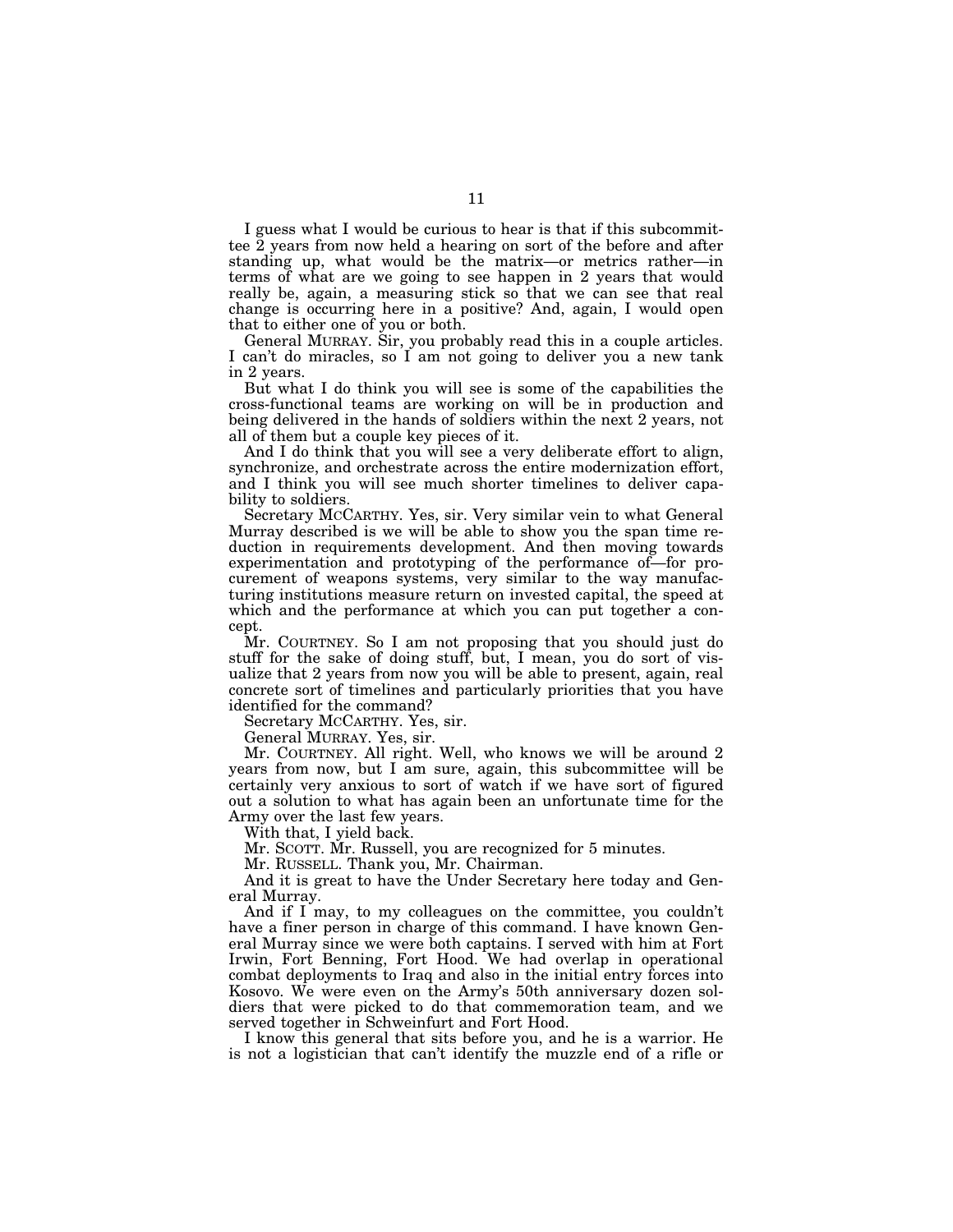I guess what I would be curious to hear is that if this subcommittee 2 years from now held a hearing on sort of the before and after standing up, what would be the matrix—or metrics rather—in terms of what are we going to see happen in 2 years that would really be, again, a measuring stick so that we can see that real change is occurring here in a positive? And, again, I would open that to either one of you or both.

General MURRAY. Sir, you probably read this in a couple articles. I can't do miracles, so I am not going to deliver you a new tank in 2 years.

But what I do think you will see is some of the capabilities the cross-functional teams are working on will be in production and being delivered in the hands of soldiers within the next 2 years, not all of them but a couple key pieces of it.

And I do think that you will see a very deliberate effort to align, synchronize, and orchestrate across the entire modernization effort, and I think you will see much shorter timelines to deliver capability to soldiers.

Secretary MCCARTHY. Yes, sir. Very similar vein to what General Murray described is we will be able to show you the span time reduction in requirements development. And then moving towards experimentation and prototyping of the performance of—for procurement of weapons systems, very similar to the way manufacturing institutions measure return on invested capital, the speed at which and the performance at which you can put together a concept.

Mr. COURTNEY. So I am not proposing that you should just do stuff for the sake of doing stuff, but, I mean, you do sort of visualize that 2 years from now you will be able to present, again, real concrete sort of timelines and particularly priorities that you have identified for the command?

Secretary MCCARTHY. Yes, sir.

General MURRAY. Yes, sir.

Mr. COURTNEY. All right. Well, who knows we will be around 2 years from now, but I am sure, again, this subcommittee will be certainly very anxious to sort of watch if we have sort of figured out a solution to what has again been an unfortunate time for the Army over the last few years.

With that, I yield back.

Mr. SCOTT. Mr. Russell, you are recognized for 5 minutes.

Mr. RUSSELL. Thank you, Mr. Chairman.

And it is great to have the Under Secretary here today and General Murray.

And if I may, to my colleagues on the committee, you couldn't have a finer person in charge of this command. I have known General Murray since we were both captains. I served with him at Fort Irwin, Fort Benning, Fort Hood. We had overlap in operational combat deployments to Iraq and also in the initial entry forces into Kosovo. We were even on the Army's 50th anniversary dozen soldiers that were picked to do that commemoration team, and we served together in Schweinfurt and Fort Hood.

I know this general that sits before you, and he is a warrior. He is not a logistician that can't identify the muzzle end of a rifle or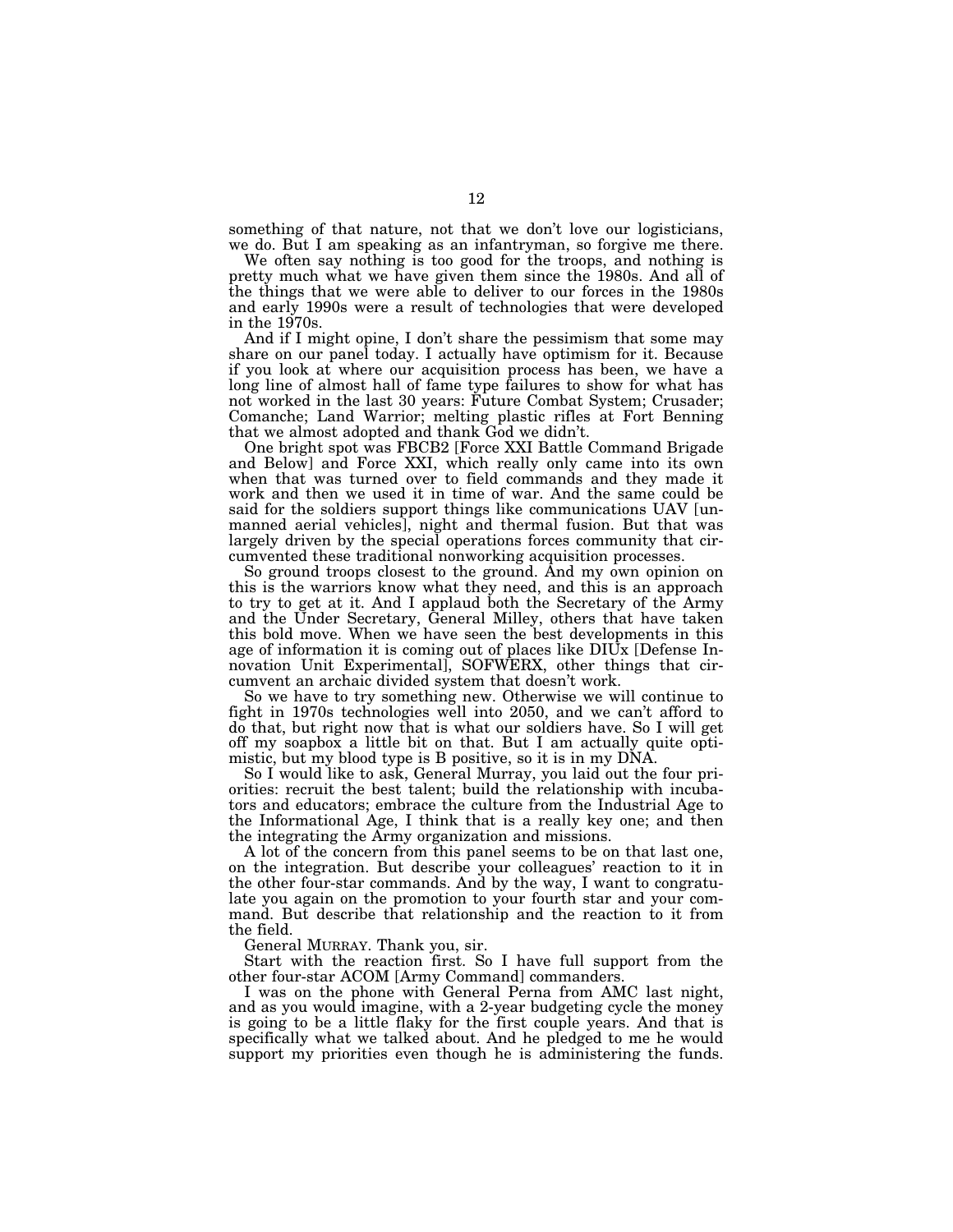something of that nature, not that we don't love our logisticians, we do. But I am speaking as an infantryman, so forgive me there.

We often say nothing is too good for the troops, and nothing is pretty much what we have given them since the 1980s. And all of the things that we were able to deliver to our forces in the 1980s and early 1990s were a result of technologies that were developed in the 1970s.

And if I might opine, I don't share the pessimism that some may share on our panel today. I actually have optimism for it. Because if you look at where our acquisition process has been, we have a long line of almost hall of fame type failures to show for what has not worked in the last 30 years: Future Combat System; Crusader; Comanche; Land Warrior; melting plastic rifles at Fort Benning that we almost adopted and thank God we didn't.

One bright spot was FBCB2 [Force XXI Battle Command Brigade and Below] and Force XXI, which really only came into its own when that was turned over to field commands and they made it work and then we used it in time of war. And the same could be said for the soldiers support things like communications UAV [unmanned aerial vehicles], night and thermal fusion. But that was largely driven by the special operations forces community that circumvented these traditional nonworking acquisition processes.

So ground troops closest to the ground. And my own opinion on this is the warriors know what they need, and this is an approach to try to get at it. And I applaud both the Secretary of the Army and the Under Secretary, General Milley, others that have taken this bold move. When we have seen the best developments in this age of information it is coming out of places like DIUx [Defense Innovation Unit Experimental], SOFWERX, other things that circumvent an archaic divided system that doesn't work.

So we have to try something new. Otherwise we will continue to fight in 1970s technologies well into 2050, and we can't afford to do that, but right now that is what our soldiers have. So I will get off my soapbox a little bit on that. But I am actually quite optimistic, but my blood type is B positive, so it is in my DNA.

So I would like to ask, General Murray, you laid out the four priorities: recruit the best talent; build the relationship with incubators and educators; embrace the culture from the Industrial Age to the Informational Age, I think that is a really key one; and then the integrating the Army organization and missions.

A lot of the concern from this panel seems to be on that last one, on the integration. But describe your colleagues' reaction to it in the other four-star commands. And by the way, I want to congratulate you again on the promotion to your fourth star and your command. But describe that relationship and the reaction to it from the field.

General MURRAY. Thank you, sir.

Start with the reaction first. So I have full support from the other four-star ACOM [Army Command] commanders.

I was on the phone with General Perna from AMC last night, and as you would imagine, with a 2-year budgeting cycle the money is going to be a little flaky for the first couple years. And that is specifically what we talked about. And he pledged to me he would support my priorities even though he is administering the funds.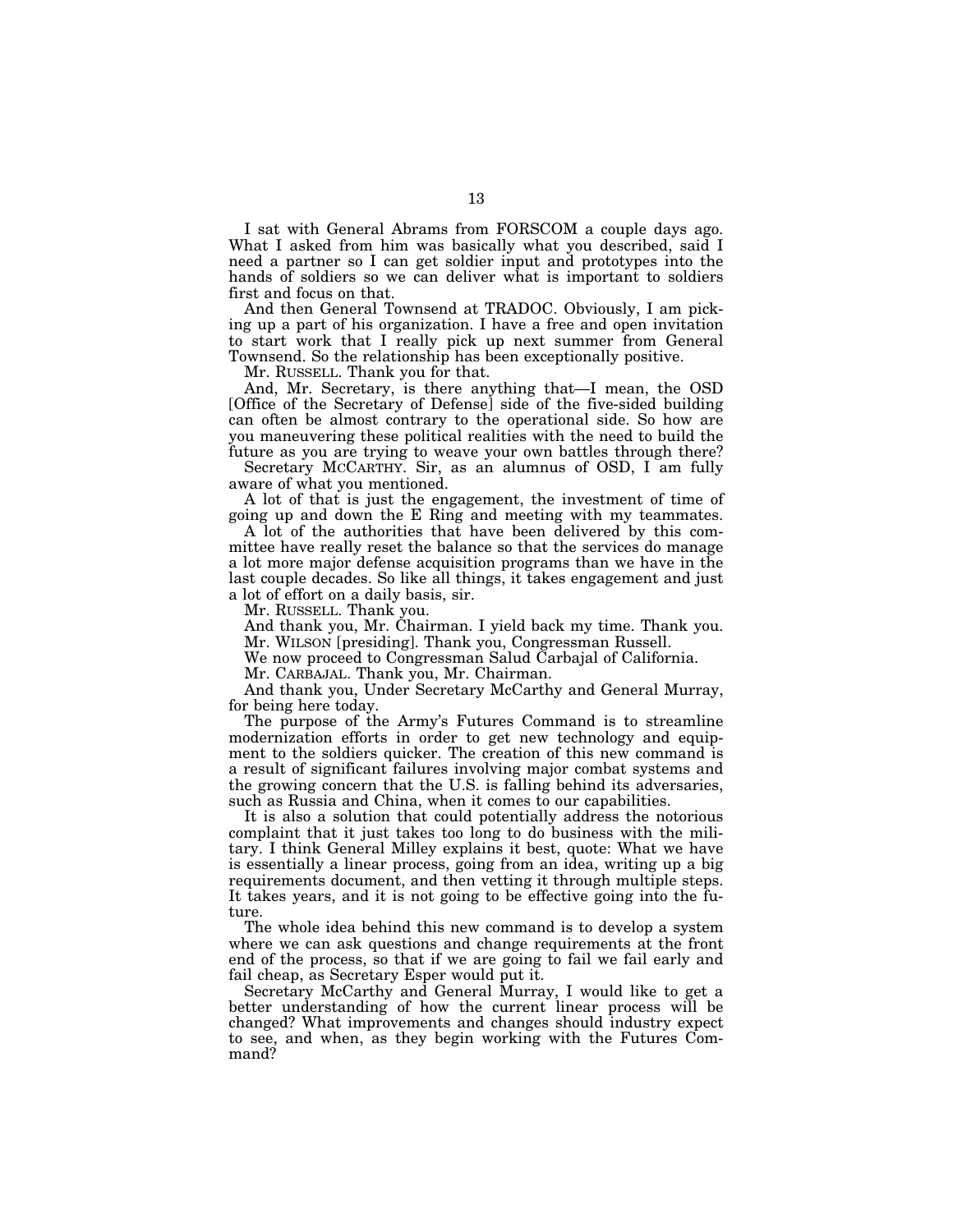I sat with General Abrams from FORSCOM a couple days ago. What I asked from him was basically what you described, said I need a partner so I can get soldier input and prototypes into the hands of soldiers so we can deliver what is important to soldiers first and focus on that.

And then General Townsend at TRADOC. Obviously, I am picking up a part of his organization. I have a free and open invitation to start work that I really pick up next summer from General Townsend. So the relationship has been exceptionally positive.

Mr. RUSSELL. Thank you for that.

And, Mr. Secretary, is there anything that—I mean, the OSD [Office of the Secretary of Defense] side of the five-sided building can often be almost contrary to the operational side. So how are you maneuvering these political realities with the need to build the future as you are trying to weave your own battles through there?

Secretary MCCARTHY. Sir, as an alumnus of OSD, I am fully aware of what you mentioned.

A lot of that is just the engagement, the investment of time of going up and down the E Ring and meeting with my teammates.

A lot of the authorities that have been delivered by this committee have really reset the balance so that the services do manage a lot more major defense acquisition programs than we have in the last couple decades. So like all things, it takes engagement and just a lot of effort on a daily basis, sir.

Mr. RUSSELL. Thank you.

And thank you, Mr. Chairman. I yield back my time. Thank you. Mr. WILSON [presiding]. Thank you, Congressman Russell.

We now proceed to Congressman Salud Carbajal of California.

Mr. CARBAJAL. Thank you, Mr. Chairman.

And thank you, Under Secretary McCarthy and General Murray, for being here today.

The purpose of the Army's Futures Command is to streamline modernization efforts in order to get new technology and equipment to the soldiers quicker. The creation of this new command is a result of significant failures involving major combat systems and the growing concern that the U.S. is falling behind its adversaries, such as Russia and China, when it comes to our capabilities.

It is also a solution that could potentially address the notorious complaint that it just takes too long to do business with the military. I think General Milley explains it best, quote: What we have is essentially a linear process, going from an idea, writing up a big requirements document, and then vetting it through multiple steps. It takes years, and it is not going to be effective going into the future.

The whole idea behind this new command is to develop a system where we can ask questions and change requirements at the front end of the process, so that if we are going to fail we fail early and fail cheap, as Secretary Esper would put it.

Secretary McCarthy and General Murray, I would like to get a better understanding of how the current linear process will be changed? What improvements and changes should industry expect to see, and when, as they begin working with the Futures Command?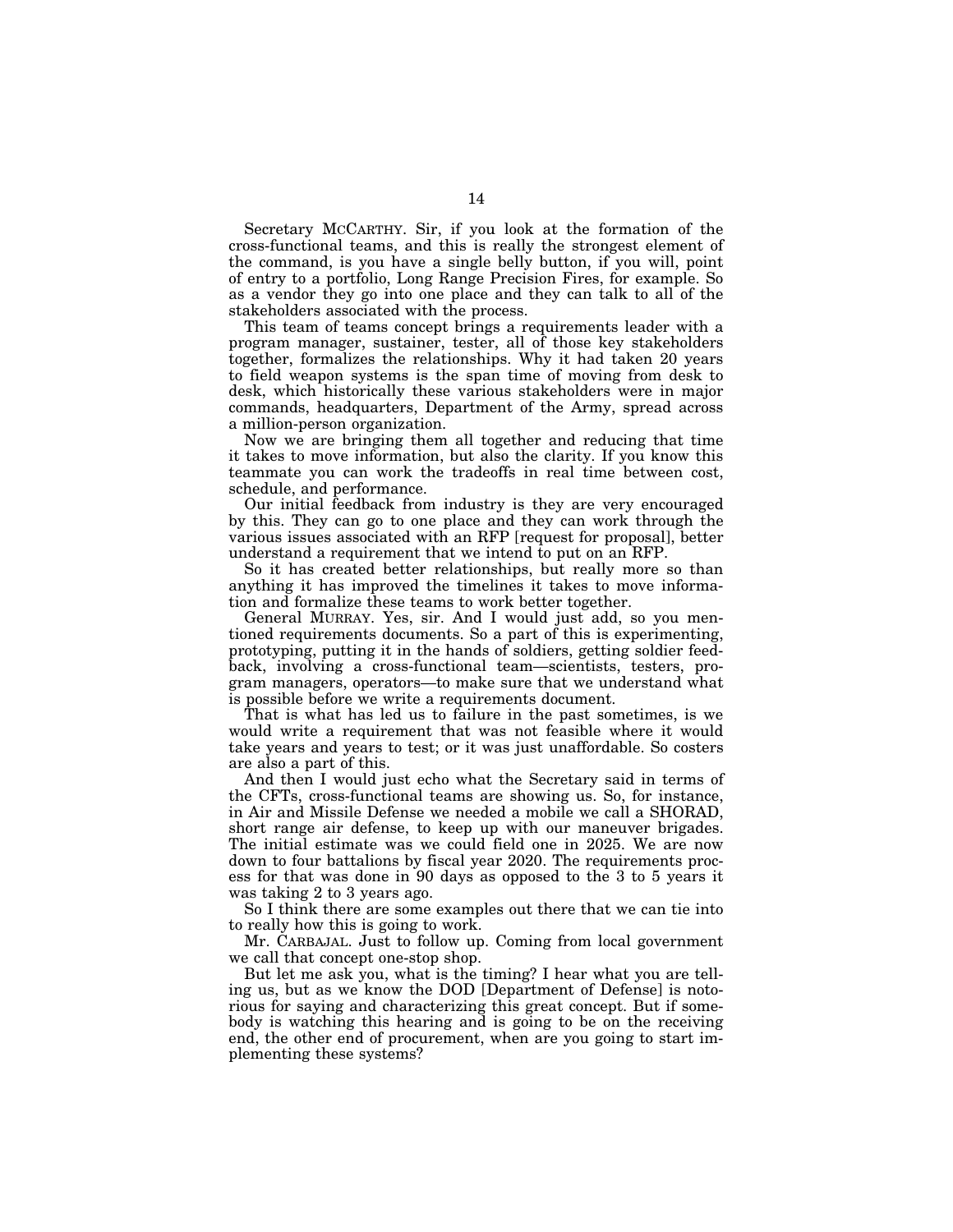Secretary MCCARTHY. Sir, if you look at the formation of the cross-functional teams, and this is really the strongest element of the command, is you have a single belly button, if you will, point of entry to a portfolio, Long Range Precision Fires, for example. So as a vendor they go into one place and they can talk to all of the stakeholders associated with the process.

This team of teams concept brings a requirements leader with a program manager, sustainer, tester, all of those key stakeholders together, formalizes the relationships. Why it had taken 20 years to field weapon systems is the span time of moving from desk to desk, which historically these various stakeholders were in major commands, headquarters, Department of the Army, spread across a million-person organization.

Now we are bringing them all together and reducing that time it takes to move information, but also the clarity. If you know this teammate you can work the tradeoffs in real time between cost, schedule, and performance.

Our initial feedback from industry is they are very encouraged by this. They can go to one place and they can work through the various issues associated with an RFP [request for proposal], better understand a requirement that we intend to put on an RFP.

So it has created better relationships, but really more so than anything it has improved the timelines it takes to move information and formalize these teams to work better together.

General MURRAY. Yes, sir. And I would just add, so you mentioned requirements documents. So a part of this is experimenting, prototyping, putting it in the hands of soldiers, getting soldier feedback, involving a cross-functional team—scientists, testers, program managers, operators—to make sure that we understand what is possible before we write a requirements document.

That is what has led us to failure in the past sometimes, is we would write a requirement that was not feasible where it would take years and years to test; or it was just unaffordable. So costers are also a part of this.

And then I would just echo what the Secretary said in terms of the CFTs, cross-functional teams are showing us. So, for instance, in Air and Missile Defense we needed a mobile we call a SHORAD, short range air defense, to keep up with our maneuver brigades. The initial estimate was we could field one in 2025. We are now down to four battalions by fiscal year 2020. The requirements process for that was done in 90 days as opposed to the 3 to 5 years it was taking 2 to 3 years ago.

So I think there are some examples out there that we can tie into to really how this is going to work.

Mr. CARBAJAL. Just to follow up. Coming from local government we call that concept one-stop shop.

But let me ask you, what is the timing? I hear what you are telling us, but as we know the DOD [Department of Defense] is notorious for saying and characterizing this great concept. But if somebody is watching this hearing and is going to be on the receiving end, the other end of procurement, when are you going to start implementing these systems?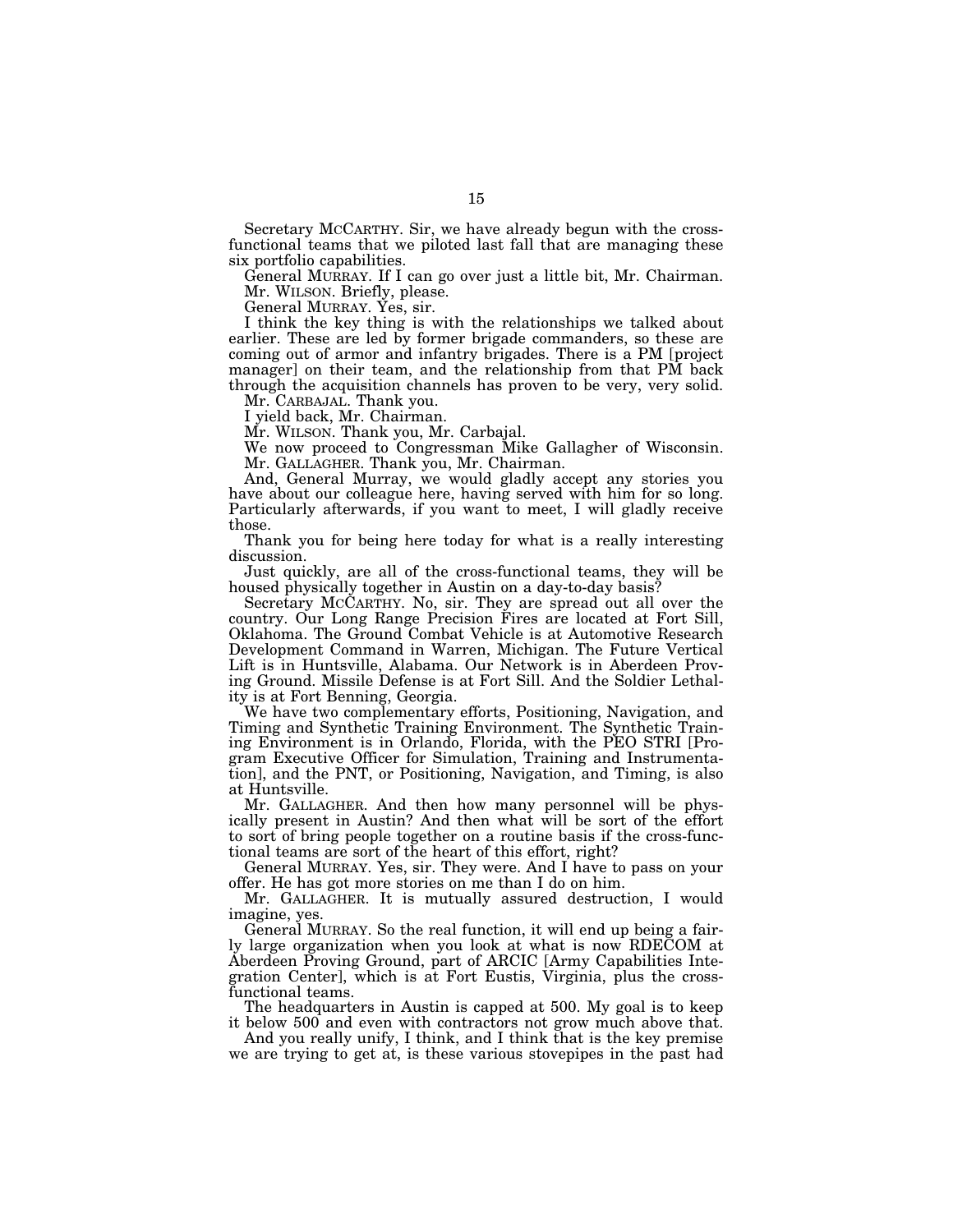Secretary MCCARTHY. Sir, we have already begun with the crossfunctional teams that we piloted last fall that are managing these six portfolio capabilities.

General MURRAY. If I can go over just a little bit, Mr. Chairman. Mr. WILSON. Briefly, please.

General MURRAY. Yes, sir.

I think the key thing is with the relationships we talked about earlier. These are led by former brigade commanders, so these are coming out of armor and infantry brigades. There is a PM [project manager] on their team, and the relationship from that PM back through the acquisition channels has proven to be very, very solid.

Mr. CARBAJAL. Thank you.

I yield back, Mr. Chairman.

Mr. WILSON. Thank you, Mr. Carbajal.

We now proceed to Congressman Mike Gallagher of Wisconsin. Mr. GALLAGHER. Thank you, Mr. Chairman.

And, General Murray, we would gladly accept any stories you have about our colleague here, having served with him for so long. Particularly afterwards, if you want to meet, I will gladly receive those.

Thank you for being here today for what is a really interesting discussion.

Just quickly, are all of the cross-functional teams, they will be housed physically together in Austin on a day-to-day basis?

Secretary MCCARTHY. No, sir. They are spread out all over the country. Our Long Range Precision Fires are located at Fort Sill, Oklahoma. The Ground Combat Vehicle is at Automotive Research Development Command in Warren, Michigan. The Future Vertical Lift is in Huntsville, Alabama. Our Network is in Aberdeen Proving Ground. Missile Defense is at Fort Sill. And the Soldier Lethality is at Fort Benning, Georgia.

We have two complementary efforts, Positioning, Navigation, and Timing and Synthetic Training Environment. The Synthetic Training Environment is in Orlando, Florida, with the PEO STRI [Program Executive Officer for Simulation, Training and Instrumentation], and the PNT, or Positioning, Navigation, and Timing, is also at Huntsville.

Mr. GALLAGHER. And then how many personnel will be physically present in Austin? And then what will be sort of the effort to sort of bring people together on a routine basis if the cross-functional teams are sort of the heart of this effort, right?

General MURRAY. Yes, sir. They were. And I have to pass on your offer. He has got more stories on me than I do on him.

Mr. GALLAGHER. It is mutually assured destruction, I would imagine, yes.

General MURRAY. So the real function, it will end up being a fairly large organization when you look at what is now RDECOM at Aberdeen Proving Ground, part of ARCIC [Army Capabilities Integration Center], which is at Fort Eustis, Virginia, plus the crossfunctional teams.

The headquarters in Austin is capped at 500. My goal is to keep it below 500 and even with contractors not grow much above that.

And you really unify, I think, and I think that is the key premise we are trying to get at, is these various stovepipes in the past had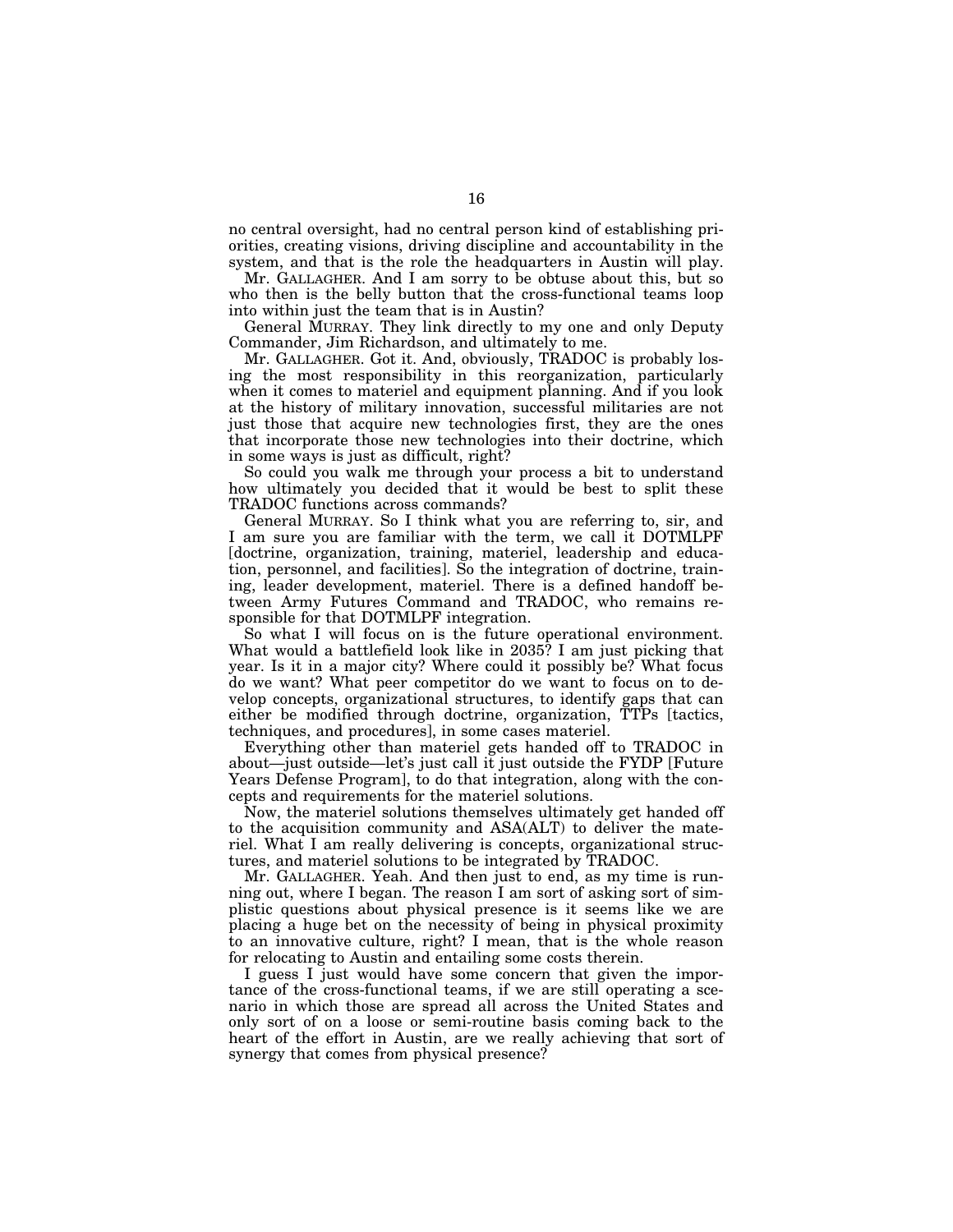no central oversight, had no central person kind of establishing priorities, creating visions, driving discipline and accountability in the system, and that is the role the headquarters in Austin will play.

Mr. GALLAGHER. And I am sorry to be obtuse about this, but so who then is the belly button that the cross-functional teams loop into within just the team that is in Austin?

General MURRAY. They link directly to my one and only Deputy Commander, Jim Richardson, and ultimately to me.

Mr. GALLAGHER. Got it. And, obviously, TRADOC is probably losing the most responsibility in this reorganization, particularly when it comes to materiel and equipment planning. And if you look at the history of military innovation, successful militaries are not just those that acquire new technologies first, they are the ones that incorporate those new technologies into their doctrine, which in some ways is just as difficult, right?

So could you walk me through your process a bit to understand how ultimately you decided that it would be best to split these TRADOC functions across commands?

General MURRAY. So I think what you are referring to, sir, and I am sure you are familiar with the term, we call it DOTMLPF [doctrine, organization, training, materiel, leadership and education, personnel, and facilities]. So the integration of doctrine, training, leader development, materiel. There is a defined handoff between Army Futures Command and TRADOC, who remains responsible for that DOTMLPF integration.

So what I will focus on is the future operational environment. What would a battlefield look like in 2035? I am just picking that year. Is it in a major city? Where could it possibly be? What focus do we want? What peer competitor do we want to focus on to develop concepts, organizational structures, to identify gaps that can either be modified through doctrine, organization, TTPs [tactics, techniques, and procedures], in some cases materiel.

Everything other than materiel gets handed off to TRADOC in about—just outside—let's just call it just outside the FYDP [Future Years Defense Program], to do that integration, along with the concepts and requirements for the materiel solutions.

Now, the materiel solutions themselves ultimately get handed off to the acquisition community and ASA(ALT) to deliver the materiel. What I am really delivering is concepts, organizational structures, and materiel solutions to be integrated by TRADOC.

Mr. GALLAGHER. Yeah. And then just to end, as my time is running out, where I began. The reason I am sort of asking sort of simplistic questions about physical presence is it seems like we are placing a huge bet on the necessity of being in physical proximity to an innovative culture, right? I mean, that is the whole reason for relocating to Austin and entailing some costs therein.

I guess I just would have some concern that given the importance of the cross-functional teams, if we are still operating a scenario in which those are spread all across the United States and only sort of on a loose or semi-routine basis coming back to the heart of the effort in Austin, are we really achieving that sort of synergy that comes from physical presence?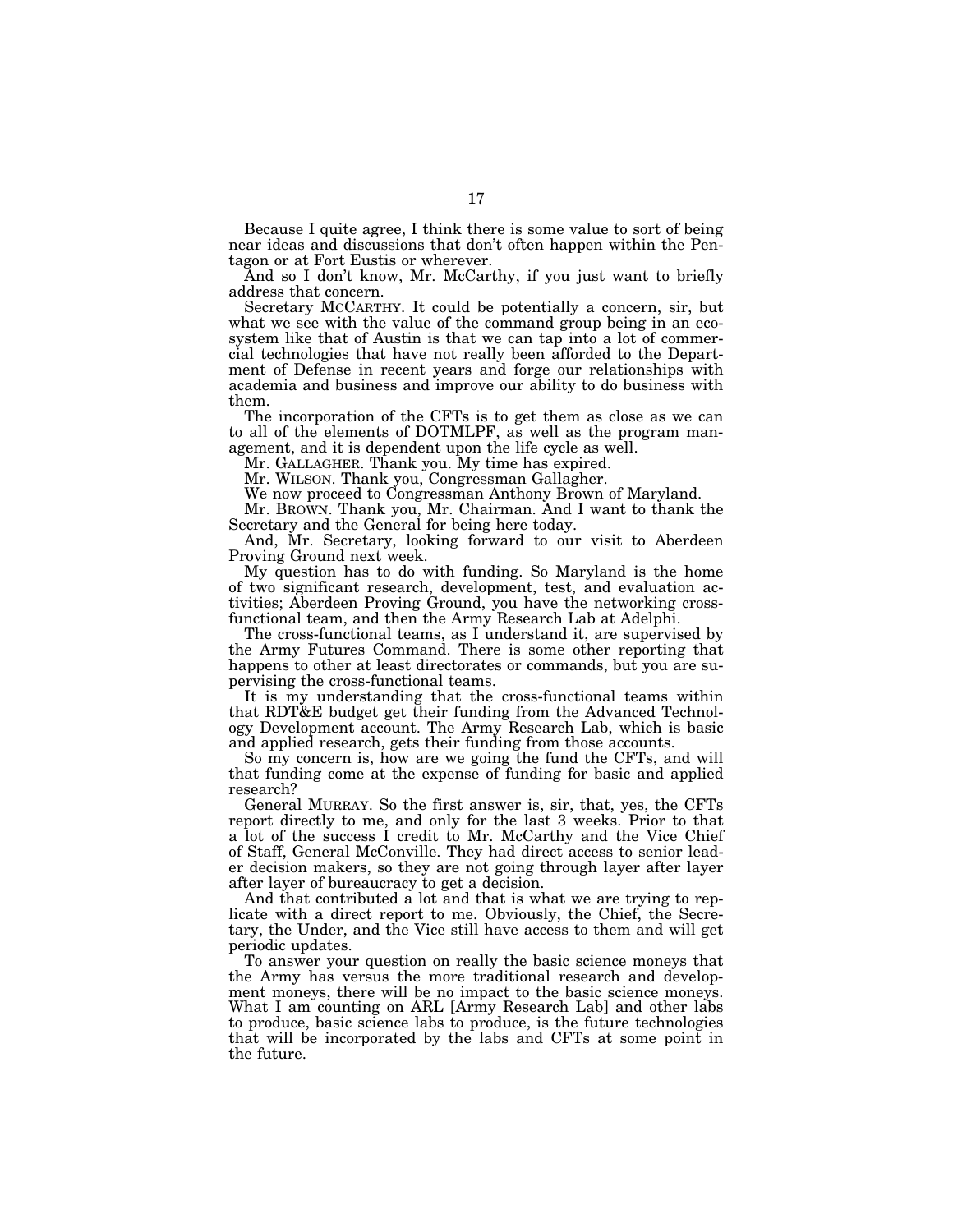Because I quite agree, I think there is some value to sort of being near ideas and discussions that don't often happen within the Pentagon or at Fort Eustis or wherever.

And so I don't know, Mr. McCarthy, if you just want to briefly address that concern.

Secretary MCCARTHY. It could be potentially a concern, sir, but what we see with the value of the command group being in an ecosystem like that of Austin is that we can tap into a lot of commercial technologies that have not really been afforded to the Department of Defense in recent years and forge our relationships with academia and business and improve our ability to do business with them.

The incorporation of the CFTs is to get them as close as we can to all of the elements of DOTMLPF, as well as the program management, and it is dependent upon the life cycle as well.

Mr. GALLAGHER. Thank you. My time has expired.

Mr. WILSON. Thank you, Congressman Gallagher.

We now proceed to Congressman Anthony Brown of Maryland.

Mr. BROWN. Thank you, Mr. Chairman. And I want to thank the Secretary and the General for being here today.

And, Mr. Secretary, looking forward to our visit to Aberdeen Proving Ground next week.

My question has to do with funding. So Maryland is the home of two significant research, development, test, and evaluation activities; Aberdeen Proving Ground, you have the networking crossfunctional team, and then the Army Research Lab at Adelphi.

The cross-functional teams, as I understand it, are supervised by the Army Futures Command. There is some other reporting that happens to other at least directorates or commands, but you are supervising the cross-functional teams.

It is my understanding that the cross-functional teams within that RDT&E budget get their funding from the Advanced Technology Development account. The Army Research Lab, which is basic and applied research, gets their funding from those accounts.

So my concern is, how are we going the fund the CFTs, and will that funding come at the expense of funding for basic and applied research?

General MURRAY. So the first answer is, sir, that, yes, the CFTs report directly to me, and only for the last 3 weeks. Prior to that a lot of the success I credit to Mr. McCarthy and the Vice Chief of Staff, General McConville. They had direct access to senior leader decision makers, so they are not going through layer after layer after layer of bureaucracy to get a decision.

And that contributed a lot and that is what we are trying to replicate with a direct report to me. Obviously, the Chief, the Secretary, the Under, and the Vice still have access to them and will get periodic updates.

To answer your question on really the basic science moneys that the Army has versus the more traditional research and development moneys, there will be no impact to the basic science moneys. What I am counting on ARL [Army Research Lab] and other labs to produce, basic science labs to produce, is the future technologies that will be incorporated by the labs and CFTs at some point in the future.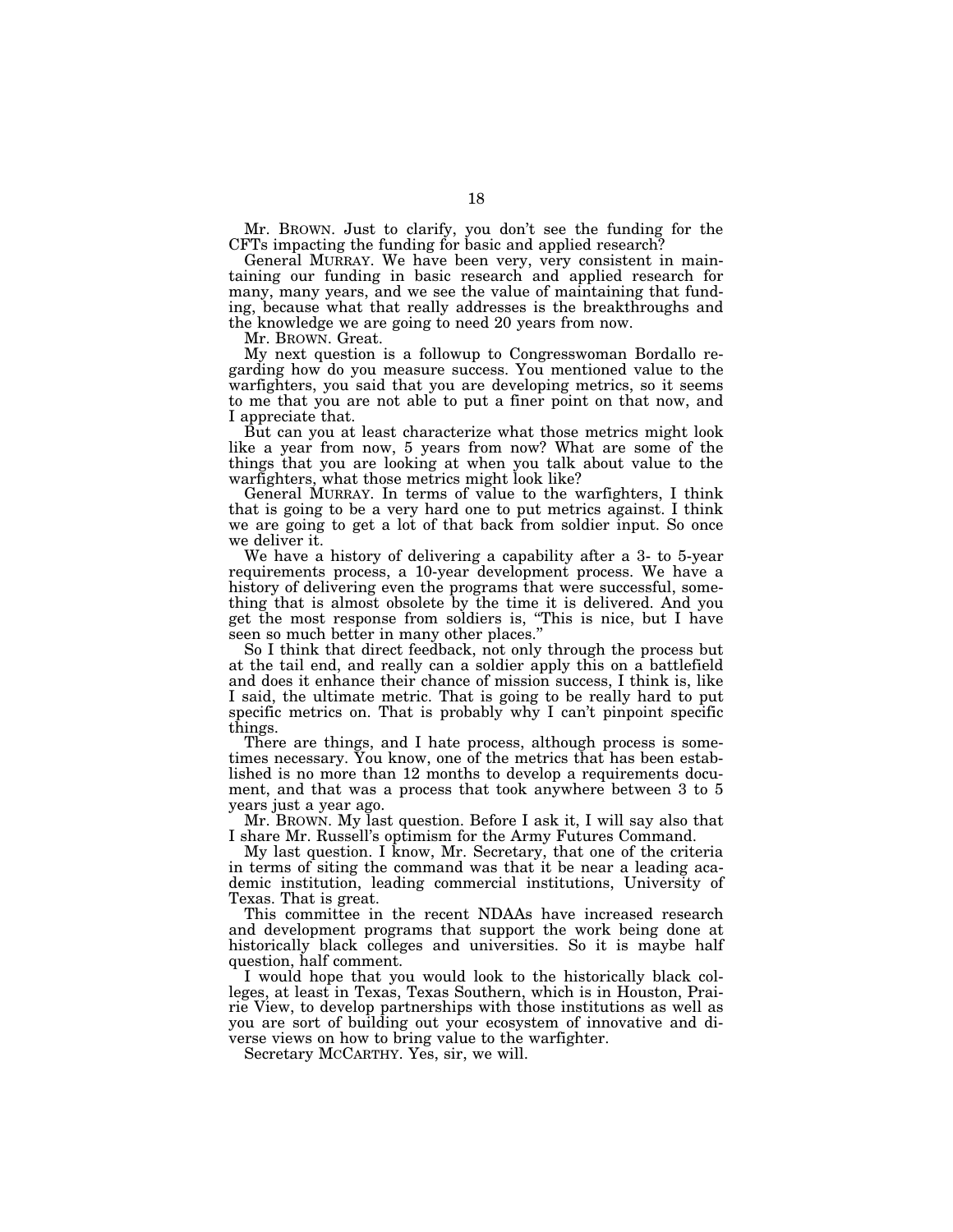Mr. BROWN. Just to clarify, you don't see the funding for the CFTs impacting the funding for basic and applied research?

General MURRAY. We have been very, very consistent in maintaining our funding in basic research and applied research for many, many years, and we see the value of maintaining that funding, because what that really addresses is the breakthroughs and the knowledge we are going to need 20 years from now.

Mr. BROWN. Great.

My next question is a followup to Congresswoman Bordallo regarding how do you measure success. You mentioned value to the warfighters, you said that you are developing metrics, so it seems to me that you are not able to put a finer point on that now, and I appreciate that.

But can you at least characterize what those metrics might look like a year from now, 5 years from now? What are some of the things that you are looking at when you talk about value to the warfighters, what those metrics might look like?

General MURRAY. In terms of value to the warfighters, I think that is going to be a very hard one to put metrics against. I think we are going to get a lot of that back from soldier input. So once we deliver it.

We have a history of delivering a capability after a 3- to 5-year requirements process, a 10-year development process. We have a history of delivering even the programs that were successful, something that is almost obsolete by the time it is delivered. And you get the most response from soldiers is, ''This is nice, but I have seen so much better in many other places."

So I think that direct feedback, not only through the process but at the tail end, and really can a soldier apply this on a battlefield and does it enhance their chance of mission success, I think is, like I said, the ultimate metric. That is going to be really hard to put specific metrics on. That is probably why I can't pinpoint specific things.

There are things, and I hate process, although process is sometimes necessary. You know, one of the metrics that has been established is no more than 12 months to develop a requirements document, and that was a process that took anywhere between 3 to 5 years just a year ago.

Mr. BROWN. My last question. Before I ask it, I will say also that I share Mr. Russell's optimism for the Army Futures Command.

My last question. I know, Mr. Secretary, that one of the criteria in terms of siting the command was that it be near a leading academic institution, leading commercial institutions, University of Texas. That is great.

This committee in the recent NDAAs have increased research and development programs that support the work being done at historically black colleges and universities. So it is maybe half question, half comment.

I would hope that you would look to the historically black colleges, at least in Texas, Texas Southern, which is in Houston, Prairie View, to develop partnerships with those institutions as well as you are sort of building out your ecosystem of innovative and diverse views on how to bring value to the warfighter.

Secretary MCCARTHY. Yes, sir, we will.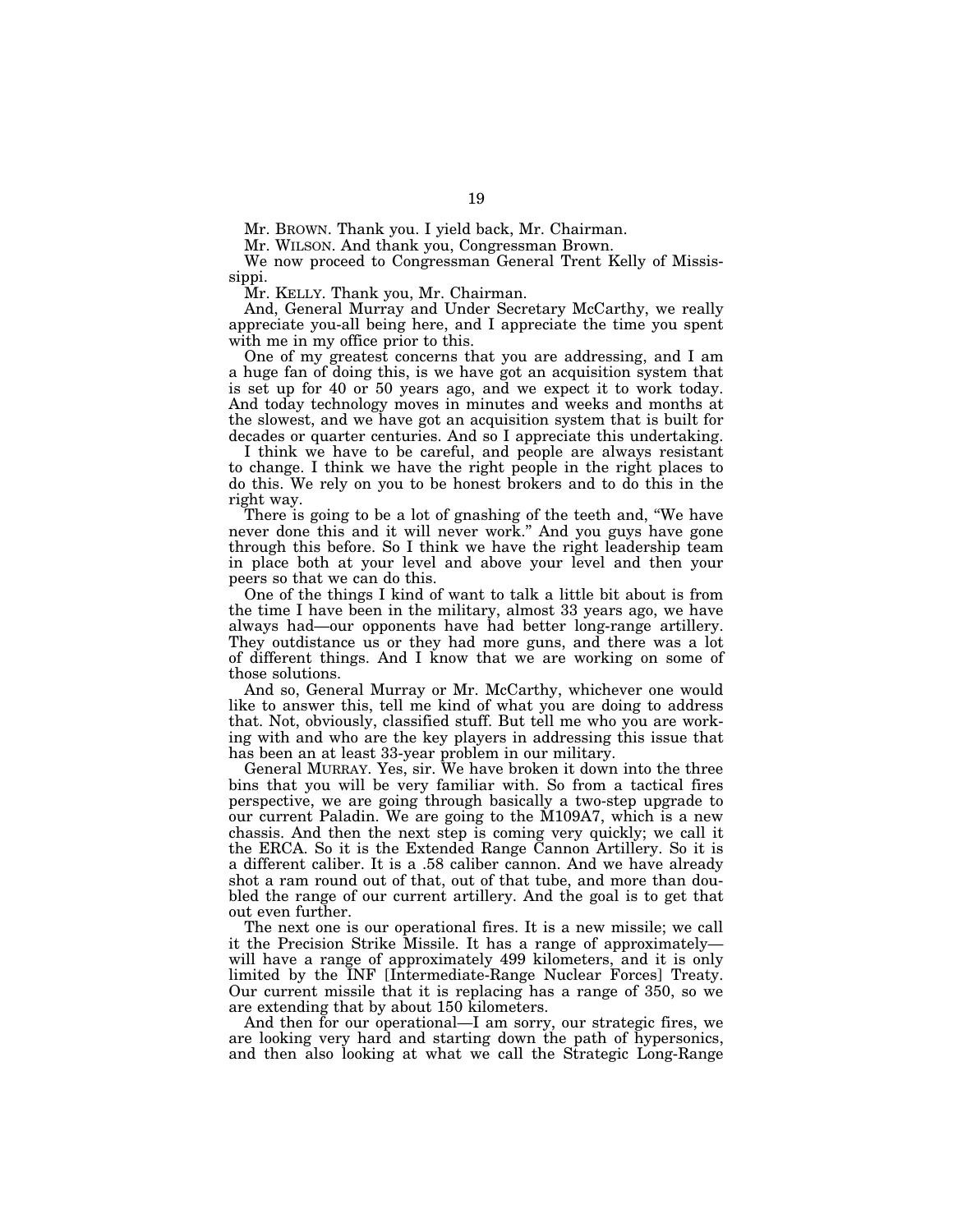Mr. BROWN. Thank you. I yield back, Mr. Chairman.

Mr. WILSON. And thank you, Congressman Brown.

We now proceed to Congressman General Trent Kelly of Mississippi.

Mr. KELLY. Thank you, Mr. Chairman.

And, General Murray and Under Secretary McCarthy, we really appreciate you-all being here, and I appreciate the time you spent with me in my office prior to this.

One of my greatest concerns that you are addressing, and I am a huge fan of doing this, is we have got an acquisition system that is set up for 40 or 50 years ago, and we expect it to work today. And today technology moves in minutes and weeks and months at the slowest, and we have got an acquisition system that is built for decades or quarter centuries. And so I appreciate this undertaking.

I think we have to be careful, and people are always resistant to change. I think we have the right people in the right places to do this. We rely on you to be honest brokers and to do this in the right way.

There is going to be a lot of gnashing of the teeth and, "We have never done this and it will never work.'' And you guys have gone through this before. So I think we have the right leadership team in place both at your level and above your level and then your peers so that we can do this.

One of the things I kind of want to talk a little bit about is from the time I have been in the military, almost 33 years ago, we have always had—our opponents have had better long-range artillery. They outdistance us or they had more guns, and there was a lot of different things. And I know that we are working on some of those solutions.

And so, General Murray or Mr. McCarthy, whichever one would like to answer this, tell me kind of what you are doing to address that. Not, obviously, classified stuff. But tell me who you are working with and who are the key players in addressing this issue that has been an at least 33-year problem in our military.

General MURRAY. Yes, sir. We have broken it down into the three bins that you will be very familiar with. So from a tactical fires perspective, we are going through basically a two-step upgrade to our current Paladin. We are going to the M109A7, which is a new chassis. And then the next step is coming very quickly; we call it the ERCA. So it is the Extended Range Cannon Artillery. So it is a different caliber. It is a .58 caliber cannon. And we have already shot a ram round out of that, out of that tube, and more than doubled the range of our current artillery. And the goal is to get that out even further.

The next one is our operational fires. It is a new missile; we call it the Precision Strike Missile. It has a range of approximately will have a range of approximately 499 kilometers, and it is only limited by the INF [Intermediate-Range Nuclear Forces] Treaty. Our current missile that it is replacing has a range of 350, so we are extending that by about 150 kilometers.

And then for our operational—I am sorry, our strategic fires, we are looking very hard and starting down the path of hypersonics, and then also looking at what we call the Strategic Long-Range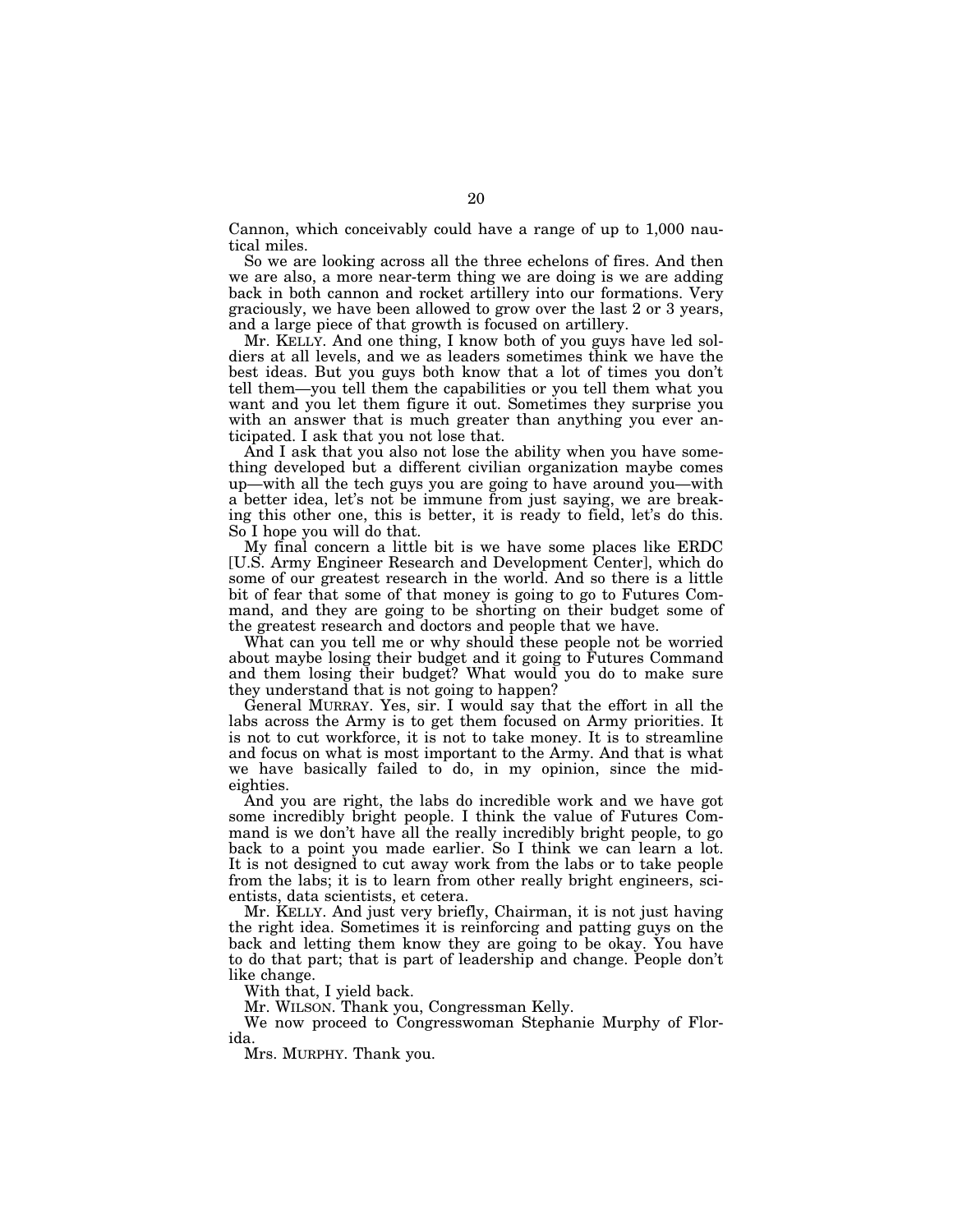Cannon, which conceivably could have a range of up to 1,000 nautical miles.

So we are looking across all the three echelons of fires. And then we are also, a more near-term thing we are doing is we are adding back in both cannon and rocket artillery into our formations. Very graciously, we have been allowed to grow over the last 2 or 3 years, and a large piece of that growth is focused on artillery.

Mr. KELLY. And one thing, I know both of you guys have led soldiers at all levels, and we as leaders sometimes think we have the best ideas. But you guys both know that a lot of times you don't tell them—you tell them the capabilities or you tell them what you want and you let them figure it out. Sometimes they surprise you with an answer that is much greater than anything you ever anticipated. I ask that you not lose that.

And I ask that you also not lose the ability when you have something developed but a different civilian organization maybe comes up—with all the tech guys you are going to have around you—with a better idea, let's not be immune from just saying, we are breaking this other one, this is better, it is ready to field, let's do this. So I hope you will do that.

My final concern a little bit is we have some places like ERDC [U.S. Army Engineer Research and Development Center], which do some of our greatest research in the world. And so there is a little bit of fear that some of that money is going to go to Futures Command, and they are going to be shorting on their budget some of the greatest research and doctors and people that we have.

What can you tell me or why should these people not be worried about maybe losing their budget and it going to Futures Command and them losing their budget? What would you do to make sure they understand that is not going to happen?

General MURRAY. Yes, sir. I would say that the effort in all the labs across the Army is to get them focused on Army priorities. It is not to cut workforce, it is not to take money. It is to streamline and focus on what is most important to the Army. And that is what we have basically failed to do, in my opinion, since the mideighties.

And you are right, the labs do incredible work and we have got some incredibly bright people. I think the value of Futures Command is we don't have all the really incredibly bright people, to go back to a point you made earlier. So I think we can learn a lot. It is not designed to cut away work from the labs or to take people from the labs; it is to learn from other really bright engineers, scientists, data scientists, et cetera.

Mr. KELLY. And just very briefly, Chairman, it is not just having the right idea. Sometimes it is reinforcing and patting guys on the back and letting them know they are going to be okay. You have to do that part; that is part of leadership and change. People don't like change.

With that, I yield back.

Mr. WILSON. Thank you, Congressman Kelly.

We now proceed to Congresswoman Stephanie Murphy of Florida.

Mrs. MURPHY. Thank you.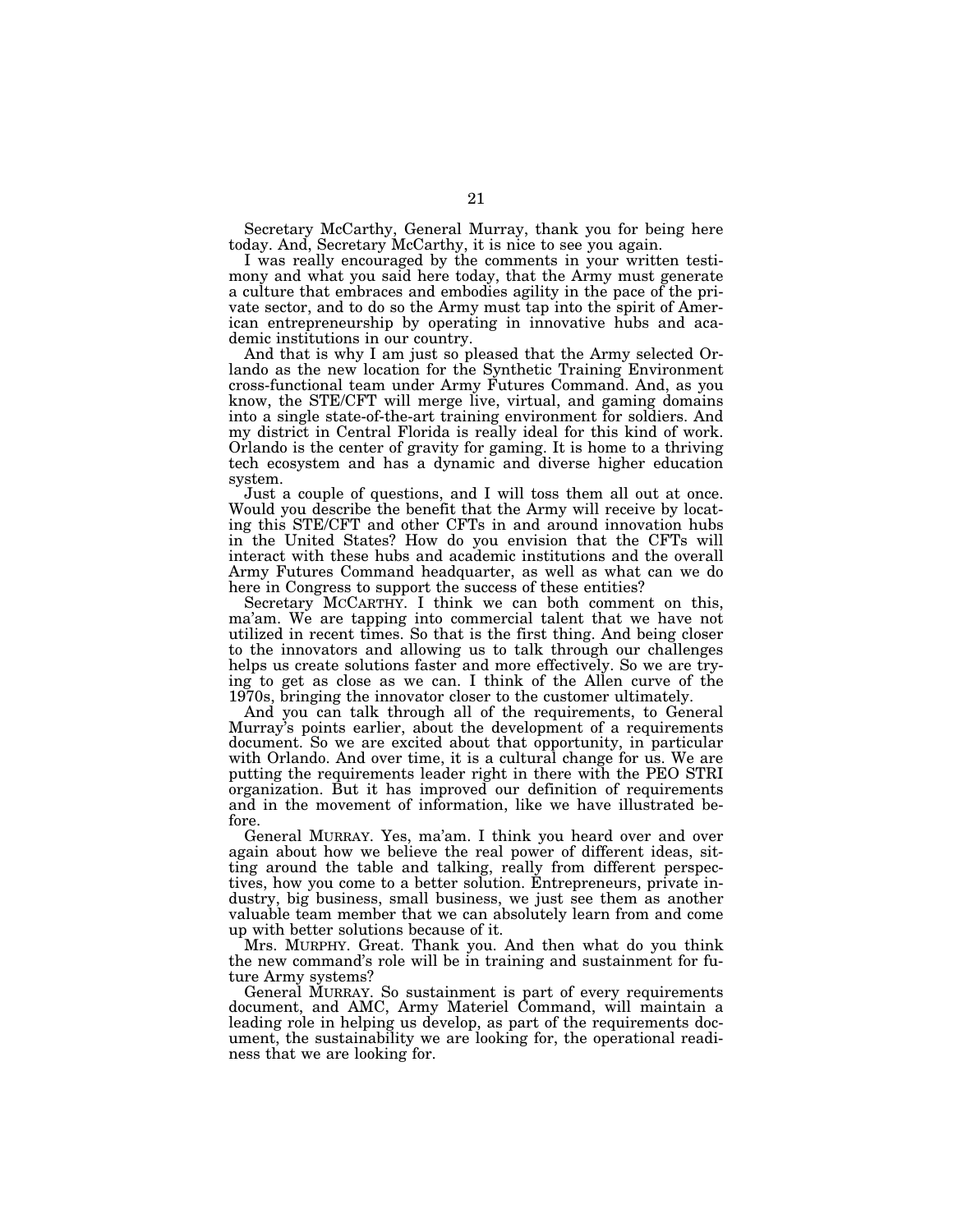Secretary McCarthy, General Murray, thank you for being here today. And, Secretary McCarthy, it is nice to see you again.

I was really encouraged by the comments in your written testimony and what you said here today, that the Army must generate a culture that embraces and embodies agility in the pace of the private sector, and to do so the Army must tap into the spirit of American entrepreneurship by operating in innovative hubs and academic institutions in our country.

And that is why I am just so pleased that the Army selected Orlando as the new location for the Synthetic Training Environment cross-functional team under Army Futures Command. And, as you know, the STE/CFT will merge live, virtual, and gaming domains into a single state-of-the-art training environment for soldiers. And my district in Central Florida is really ideal for this kind of work. Orlando is the center of gravity for gaming. It is home to a thriving tech ecosystem and has a dynamic and diverse higher education system.

Just a couple of questions, and I will toss them all out at once. Would you describe the benefit that the Army will receive by locating this STE/CFT and other CFTs in and around innovation hubs in the United States? How do you envision that the CFTs will interact with these hubs and academic institutions and the overall Army Futures Command headquarter, as well as what can we do here in Congress to support the success of these entities?

Secretary MCCARTHY. I think we can both comment on this, ma'am. We are tapping into commercial talent that we have not utilized in recent times. So that is the first thing. And being closer to the innovators and allowing us to talk through our challenges helps us create solutions faster and more effectively. So we are trying to get as close as we can. I think of the Allen curve of the 1970s, bringing the innovator closer to the customer ultimately.

And you can talk through all of the requirements, to General Murray's points earlier, about the development of a requirements document. So we are excited about that opportunity, in particular with Orlando. And over time, it is a cultural change for us. We are putting the requirements leader right in there with the PEO STRI organization. But it has improved our definition of requirements and in the movement of information, like we have illustrated before.

General MURRAY. Yes, ma'am. I think you heard over and over again about how we believe the real power of different ideas, sitting around the table and talking, really from different perspectives, how you come to a better solution. Entrepreneurs, private industry, big business, small business, we just see them as another valuable team member that we can absolutely learn from and come up with better solutions because of it.

Mrs. MURPHY. Great. Thank you. And then what do you think the new command's role will be in training and sustainment for future Army systems?

General MURRAY. So sustainment is part of every requirements document, and AMC, Army Materiel Command, will maintain a leading role in helping us develop, as part of the requirements document, the sustainability we are looking for, the operational readiness that we are looking for.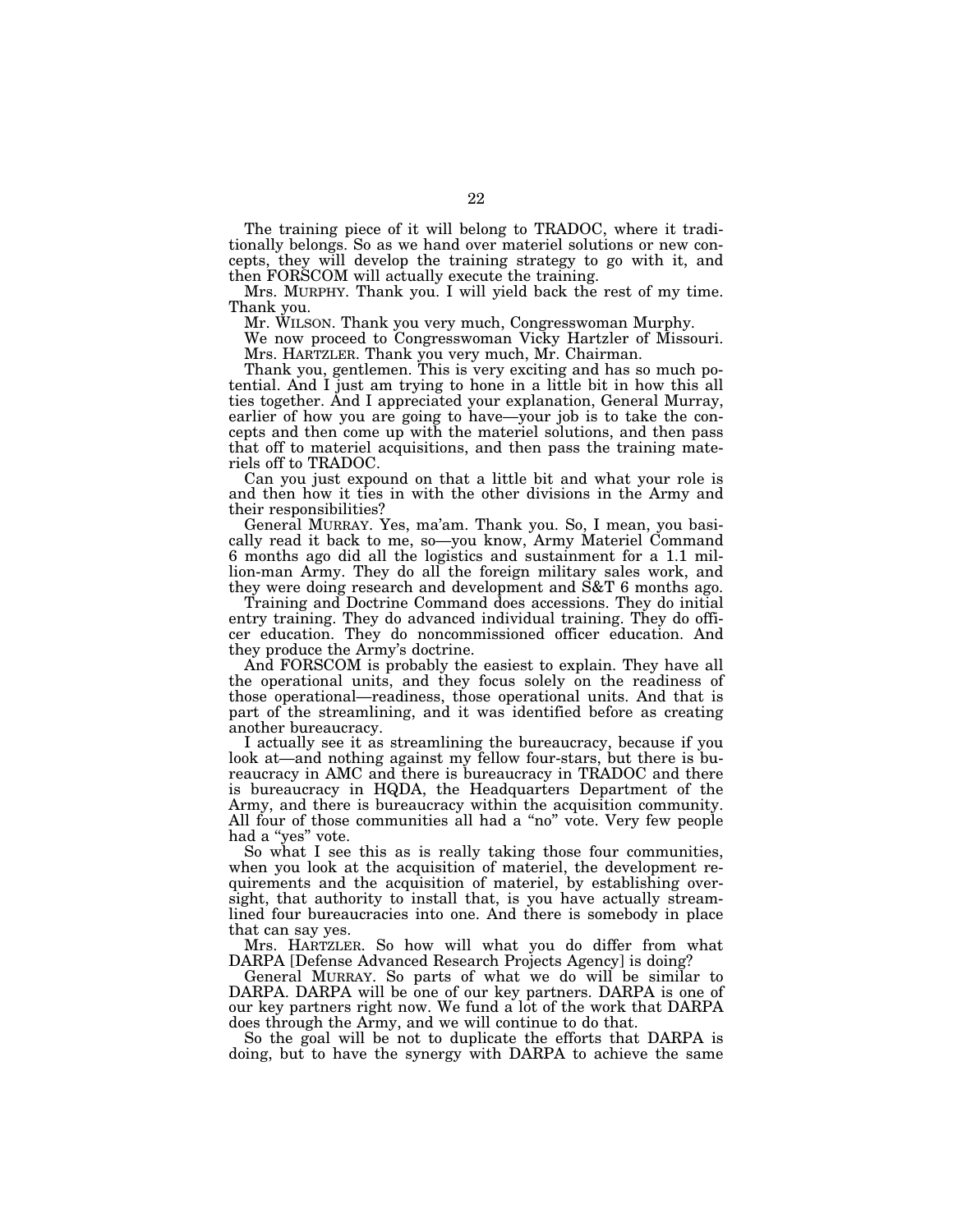The training piece of it will belong to TRADOC, where it traditionally belongs. So as we hand over materiel solutions or new concepts, they will develop the training strategy to go with it, and then FORSCOM will actually execute the training.

Mrs. MURPHY. Thank you. I will yield back the rest of my time. Thank you.

Mr. WILSON. Thank you very much, Congresswoman Murphy.

We now proceed to Congresswoman Vicky Hartzler of Missouri. Mrs. HARTZLER. Thank you very much, Mr. Chairman.

Thank you, gentlemen. This is very exciting and has so much potential. And I just am trying to hone in a little bit in how this all ties together. And I appreciated your explanation, General Murray, earlier of how you are going to have—your job is to take the concepts and then come up with the materiel solutions, and then pass that off to materiel acquisitions, and then pass the training materiels off to TRADOC.

Can you just expound on that a little bit and what your role is and then how it ties in with the other divisions in the Army and their responsibilities?

General MURRAY. Yes, ma'am. Thank you. So, I mean, you basically read it back to me, so—you know, Army Materiel Command 6 months ago did all the logistics and sustainment for a 1.1 million-man Army. They do all the foreign military sales work, and they were doing research and development and S&T 6 months ago.

Training and Doctrine Command does accessions. They do initial entry training. They do advanced individual training. They do officer education. They do noncommissioned officer education. And they produce the Army's doctrine.

And FORSCOM is probably the easiest to explain. They have all the operational units, and they focus solely on the readiness of those operational—readiness, those operational units. And that is part of the streamlining, and it was identified before as creating another bureaucracy.

I actually see it as streamlining the bureaucracy, because if you look at—and nothing against my fellow four-stars, but there is bureaucracy in AMC and there is bureaucracy in TRADOC and there is bureaucracy in HQDA, the Headquarters Department of the Army, and there is bureaucracy within the acquisition community. All four of those communities all had a ''no'' vote. Very few people had a ''yes'' vote.

So what I see this as is really taking those four communities, when you look at the acquisition of materiel, the development requirements and the acquisition of materiel, by establishing oversight, that authority to install that, is you have actually streamlined four bureaucracies into one. And there is somebody in place that can say yes.

Mrs. HARTZLER. So how will what you do differ from what DARPA [Defense Advanced Research Projects Agency] is doing?

General MURRAY. So parts of what we do will be similar to DARPA. DARPA will be one of our key partners. DARPA is one of our key partners right now. We fund a lot of the work that DARPA does through the Army, and we will continue to do that.

So the goal will be not to duplicate the efforts that DARPA is doing, but to have the synergy with DARPA to achieve the same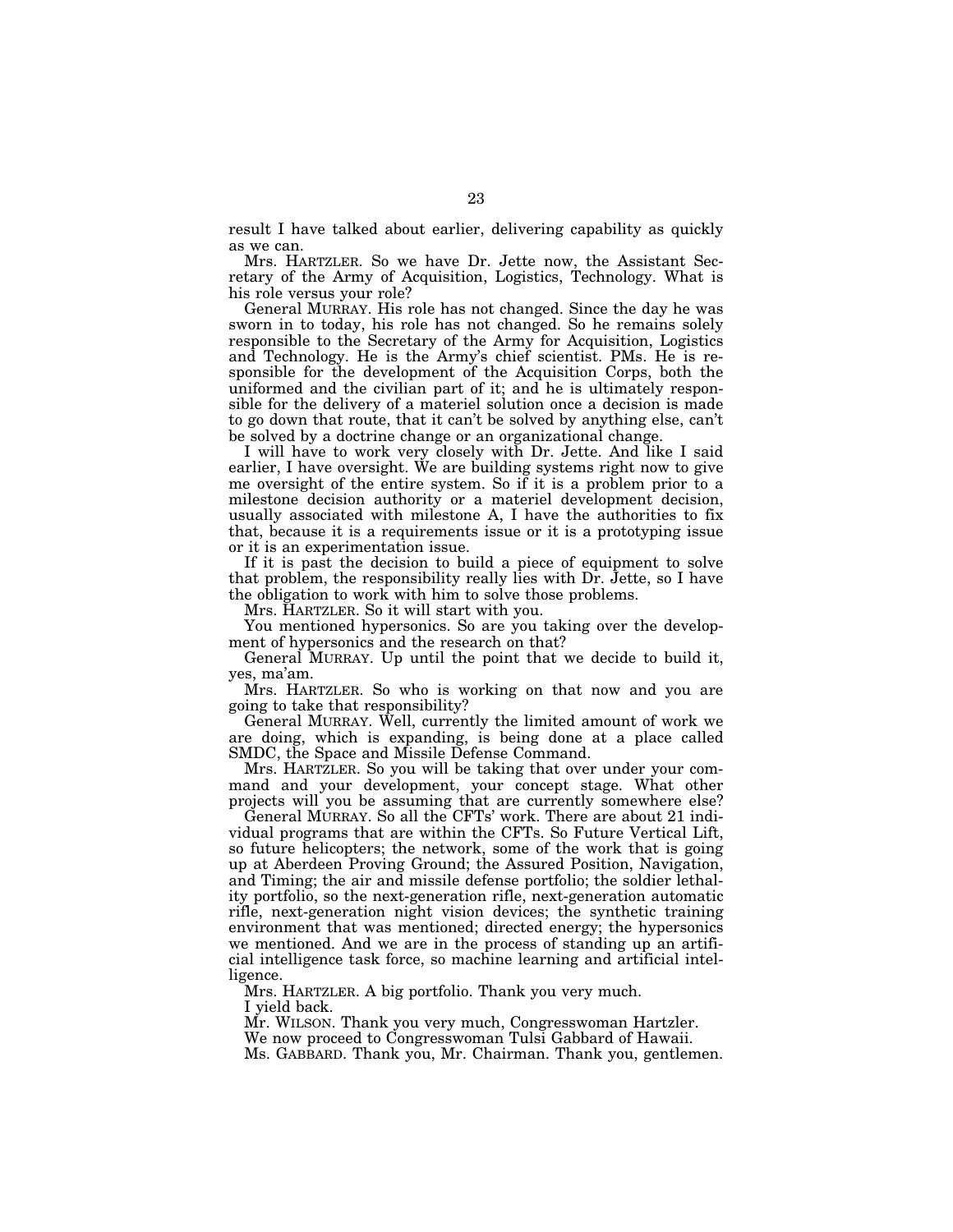result I have talked about earlier, delivering capability as quickly as we can.

Mrs. HARTZLER. So we have Dr. Jette now, the Assistant Secretary of the Army of Acquisition, Logistics, Technology. What is his role versus your role?

General MURRAY. His role has not changed. Since the day he was sworn in to today, his role has not changed. So he remains solely responsible to the Secretary of the Army for Acquisition, Logistics and Technology. He is the Army's chief scientist. PMs. He is responsible for the development of the Acquisition Corps, both the uniformed and the civilian part of it; and he is ultimately responsible for the delivery of a materiel solution once a decision is made to go down that route, that it can't be solved by anything else, can't be solved by a doctrine change or an organizational change.

I will have to work very closely with Dr. Jette. And like I said earlier, I have oversight. We are building systems right now to give me oversight of the entire system. So if it is a problem prior to a milestone decision authority or a materiel development decision, usually associated with milestone A, I have the authorities to fix that, because it is a requirements issue or it is a prototyping issue or it is an experimentation issue.

If it is past the decision to build a piece of equipment to solve that problem, the responsibility really lies with Dr. Jette, so I have the obligation to work with him to solve those problems.

Mrs. HARTZLER. So it will start with you.

You mentioned hypersonics. So are you taking over the development of hypersonics and the research on that?

General MURRAY. Up until the point that we decide to build it, yes, ma'am.

Mrs. HARTZLER. So who is working on that now and you are going to take that responsibility?

General MURRAY. Well, currently the limited amount of work we are doing, which is expanding, is being done at a place called SMDC, the Space and Missile Defense Command.

Mrs. HARTZLER. So you will be taking that over under your command and your development, your concept stage. What other projects will you be assuming that are currently somewhere else?

General MURRAY. So all the CFTs' work. There are about 21 individual programs that are within the CFTs. So Future Vertical Lift, so future helicopters; the network, some of the work that is going up at Aberdeen Proving Ground; the Assured Position, Navigation, and Timing; the air and missile defense portfolio; the soldier lethality portfolio, so the next-generation rifle, next-generation automatic rifle, next-generation night vision devices; the synthetic training environment that was mentioned; directed energy; the hypersonics we mentioned. And we are in the process of standing up an artificial intelligence task force, so machine learning and artificial intelligence.

Mrs. HARTZLER. A big portfolio. Thank you very much. I yield back.

Mr. WILSON. Thank you very much, Congresswoman Hartzler.

We now proceed to Congresswoman Tulsi Gabbard of Hawaii.

Ms. GABBARD. Thank you, Mr. Chairman. Thank you, gentlemen.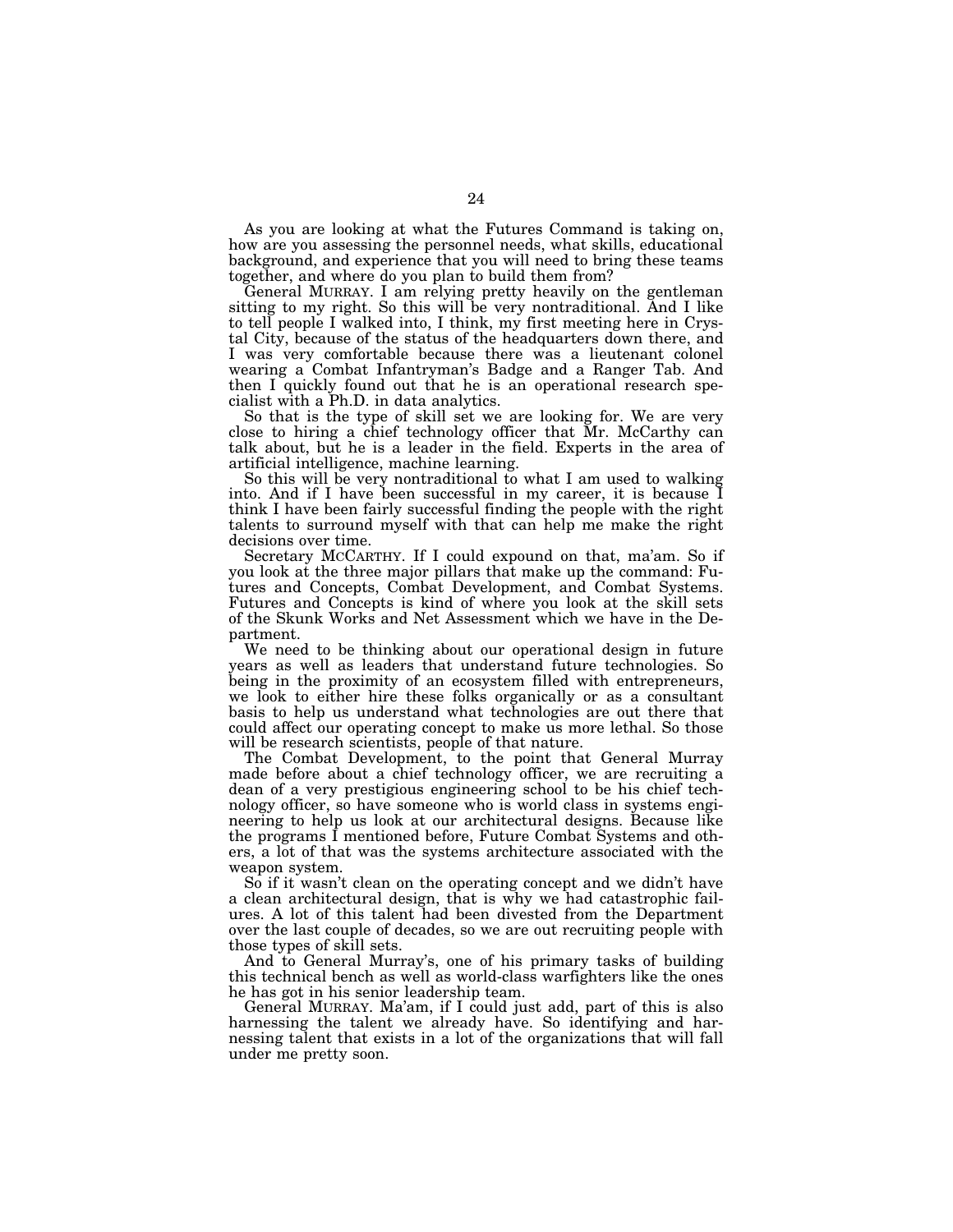As you are looking at what the Futures Command is taking on, how are you assessing the personnel needs, what skills, educational background, and experience that you will need to bring these teams together, and where do you plan to build them from?

General MURRAY. I am relying pretty heavily on the gentleman sitting to my right. So this will be very nontraditional. And I like to tell people I walked into, I think, my first meeting here in Crystal City, because of the status of the headquarters down there, and I was very comfortable because there was a lieutenant colonel wearing a Combat Infantryman's Badge and a Ranger Tab. And then I quickly found out that he is an operational research specialist with a Ph.D. in data analytics.

So that is the type of skill set we are looking for. We are very close to hiring a chief technology officer that Mr. McCarthy can talk about, but he is a leader in the field. Experts in the area of artificial intelligence, machine learning.

So this will be very nontraditional to what I am used to walking into. And if I have been successful in my career, it is because I think I have been fairly successful finding the people with the right talents to surround myself with that can help me make the right decisions over time.

Secretary MCCARTHY. If I could expound on that, ma'am. So if you look at the three major pillars that make up the command: Futures and Concepts, Combat Development, and Combat Systems. Futures and Concepts is kind of where you look at the skill sets of the Skunk Works and Net Assessment which we have in the Department.

We need to be thinking about our operational design in future years as well as leaders that understand future technologies. So being in the proximity of an ecosystem filled with entrepreneurs, we look to either hire these folks organically or as a consultant basis to help us understand what technologies are out there that could affect our operating concept to make us more lethal. So those will be research scientists, people of that nature.

The Combat Development, to the point that General Murray made before about a chief technology officer, we are recruiting a dean of a very prestigious engineering school to be his chief technology officer, so have someone who is world class in systems engineering to help us look at our architectural designs. Because like the programs I mentioned before, Future Combat Systems and others, a lot of that was the systems architecture associated with the weapon system.

So if it wasn't clean on the operating concept and we didn't have a clean architectural design, that is why we had catastrophic failures. A lot of this talent had been divested from the Department over the last couple of decades, so we are out recruiting people with those types of skill sets.

And to General Murray's, one of his primary tasks of building this technical bench as well as world-class warfighters like the ones he has got in his senior leadership team.

General MURRAY. Ma'am, if I could just add, part of this is also harnessing the talent we already have. So identifying and harnessing talent that exists in a lot of the organizations that will fall under me pretty soon.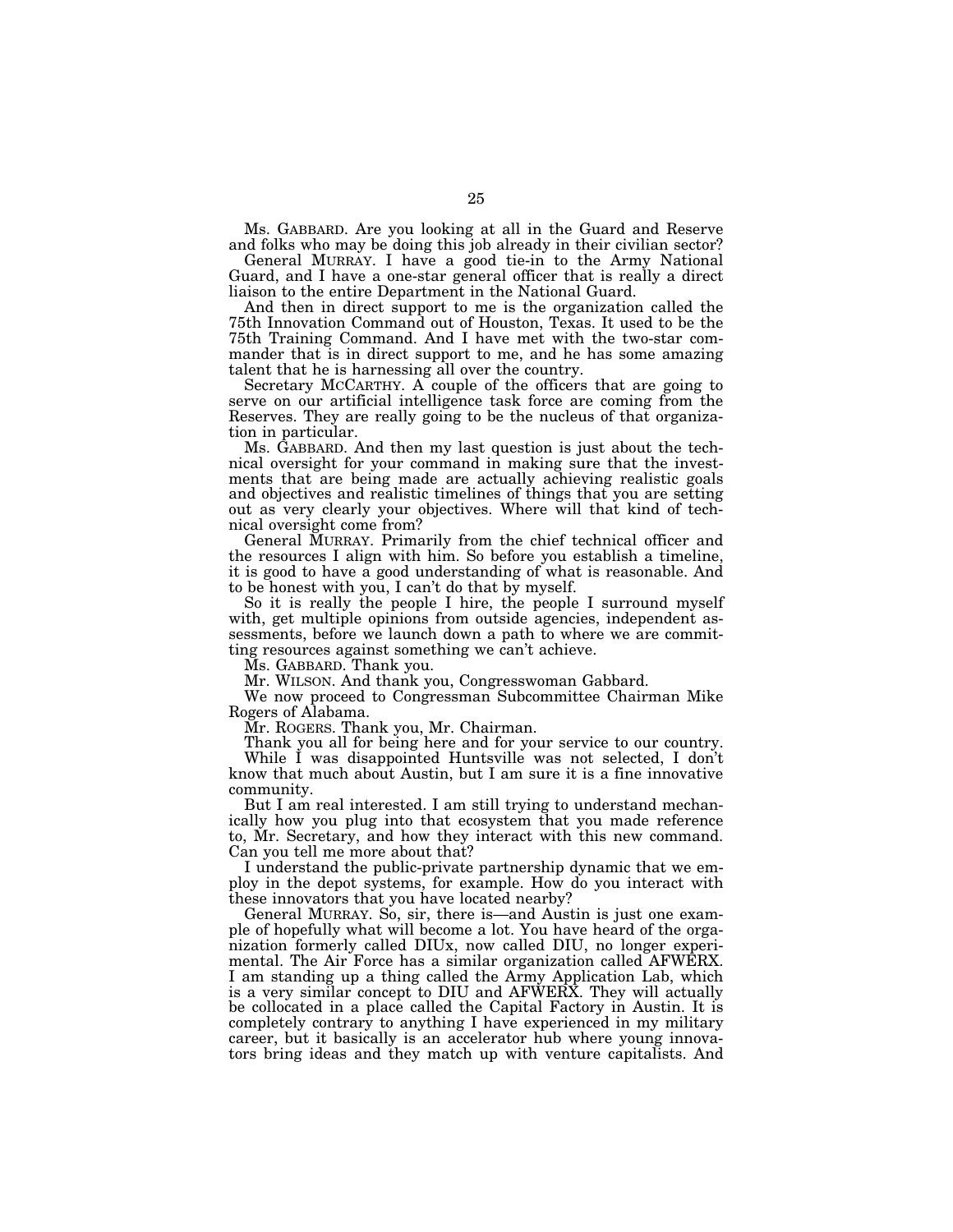Ms. GABBARD. Are you looking at all in the Guard and Reserve and folks who may be doing this job already in their civilian sector?

General MURRAY. I have a good tie-in to the Army National Guard, and I have a one-star general officer that is really a direct liaison to the entire Department in the National Guard.

And then in direct support to me is the organization called the 75th Innovation Command out of Houston, Texas. It used to be the 75th Training Command. And I have met with the two-star commander that is in direct support to me, and he has some amazing talent that he is harnessing all over the country.

Secretary MCCARTHY. A couple of the officers that are going to serve on our artificial intelligence task force are coming from the Reserves. They are really going to be the nucleus of that organization in particular.

Ms. GABBARD. And then my last question is just about the technical oversight for your command in making sure that the investments that are being made are actually achieving realistic goals and objectives and realistic timelines of things that you are setting out as very clearly your objectives. Where will that kind of technical oversight come from?

General MURRAY. Primarily from the chief technical officer and the resources I align with him. So before you establish a timeline, it is good to have a good understanding of what is reasonable. And to be honest with you, I can't do that by myself.

So it is really the people I hire, the people I surround myself with, get multiple opinions from outside agencies, independent assessments, before we launch down a path to where we are committing resources against something we can't achieve.

Ms. GABBARD. Thank you.

Mr. WILSON. And thank you, Congresswoman Gabbard.

We now proceed to Congressman Subcommittee Chairman Mike Rogers of Alabama.

Mr. ROGERS. Thank you, Mr. Chairman.

Thank you all for being here and for your service to our country.

While I was disappointed Huntsville was not selected, I don't know that much about Austin, but I am sure it is a fine innovative community.

But I am real interested. I am still trying to understand mechanically how you plug into that ecosystem that you made reference to, Mr. Secretary, and how they interact with this new command. Can you tell me more about that?

I understand the public-private partnership dynamic that we employ in the depot systems, for example. How do you interact with these innovators that you have located nearby?

General MURRAY. So, sir, there is—and Austin is just one example of hopefully what will become a lot. You have heard of the organization formerly called DIUx, now called DIU, no longer experimental. The Air Force has a similar organization called AFWERX. I am standing up a thing called the Army Application Lab, which is a very similar concept to DIU and AFWERX. They will actually be collocated in a place called the Capital Factory in Austin. It is completely contrary to anything I have experienced in my military career, but it basically is an accelerator hub where young innovators bring ideas and they match up with venture capitalists. And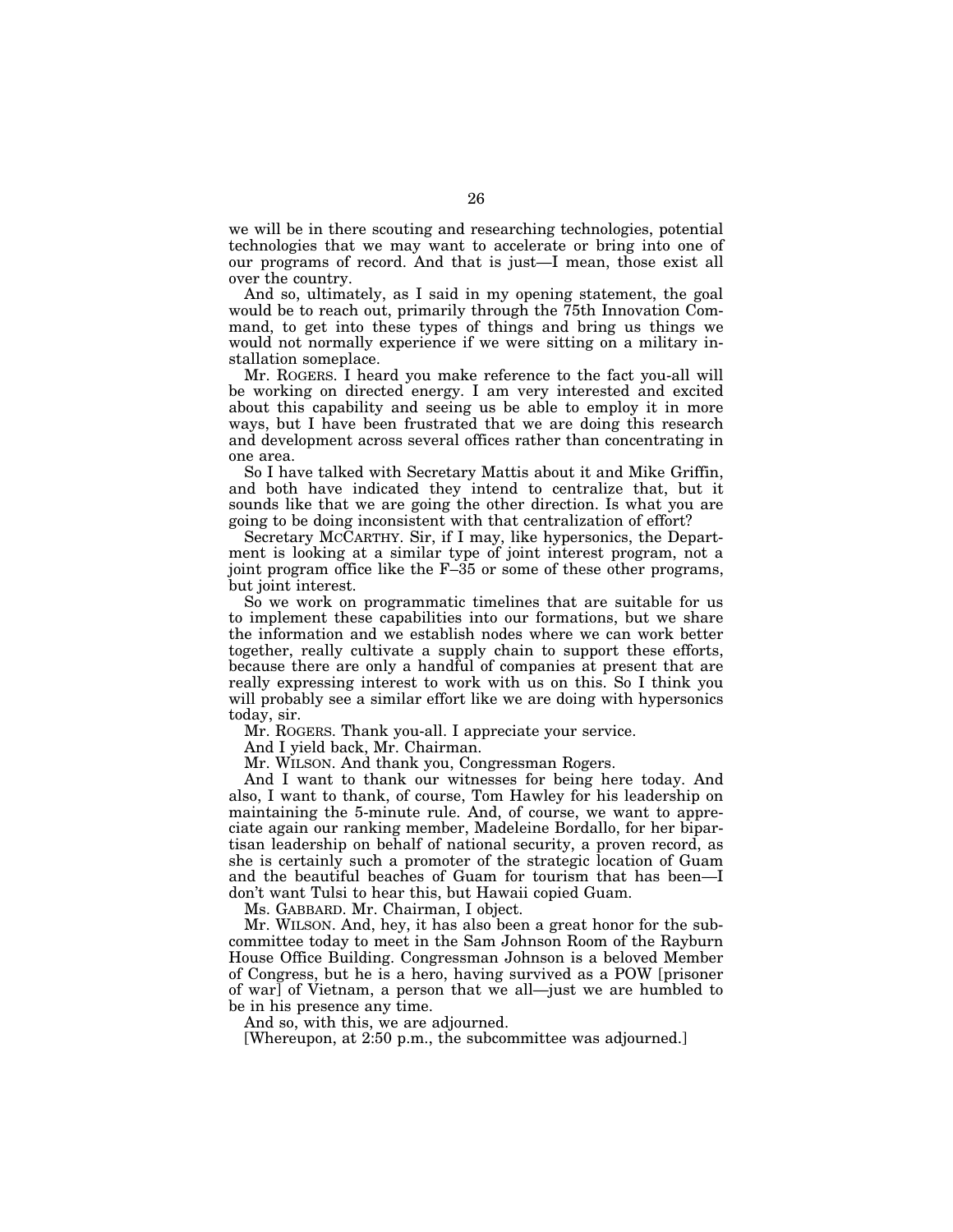we will be in there scouting and researching technologies, potential technologies that we may want to accelerate or bring into one of our programs of record. And that is just—I mean, those exist all over the country.

And so, ultimately, as I said in my opening statement, the goal would be to reach out, primarily through the 75th Innovation Command, to get into these types of things and bring us things we would not normally experience if we were sitting on a military installation someplace.

Mr. ROGERS. I heard you make reference to the fact you-all will be working on directed energy. I am very interested and excited about this capability and seeing us be able to employ it in more ways, but I have been frustrated that we are doing this research and development across several offices rather than concentrating in one area.

So I have talked with Secretary Mattis about it and Mike Griffin, and both have indicated they intend to centralize that, but it sounds like that we are going the other direction. Is what you are going to be doing inconsistent with that centralization of effort?

Secretary MCCARTHY. Sir, if I may, like hypersonics, the Department is looking at a similar type of joint interest program, not a joint program office like the F–35 or some of these other programs, but joint interest.

So we work on programmatic timelines that are suitable for us to implement these capabilities into our formations, but we share the information and we establish nodes where we can work better together, really cultivate a supply chain to support these efforts, because there are only a handful of companies at present that are really expressing interest to work with us on this. So I think you will probably see a similar effort like we are doing with hypersonics today, sir.

Mr. ROGERS. Thank you-all. I appreciate your service.

And I yield back, Mr. Chairman.

Mr. WILSON. And thank you, Congressman Rogers.

And I want to thank our witnesses for being here today. And also, I want to thank, of course, Tom Hawley for his leadership on maintaining the 5-minute rule. And, of course, we want to appreciate again our ranking member, Madeleine Bordallo, for her bipartisan leadership on behalf of national security, a proven record, as she is certainly such a promoter of the strategic location of Guam and the beautiful beaches of Guam for tourism that has been—I don't want Tulsi to hear this, but Hawaii copied Guam.

Ms. GABBARD. Mr. Chairman, I object.

Mr. WILSON. And, hey, it has also been a great honor for the subcommittee today to meet in the Sam Johnson Room of the Rayburn House Office Building. Congressman Johnson is a beloved Member of Congress, but he is a hero, having survived as a POW [prisoner of war] of Vietnam, a person that we all—just we are humbled to be in his presence any time.

And so, with this, we are adjourned.

[Whereupon, at 2:50 p.m., the subcommittee was adjourned.]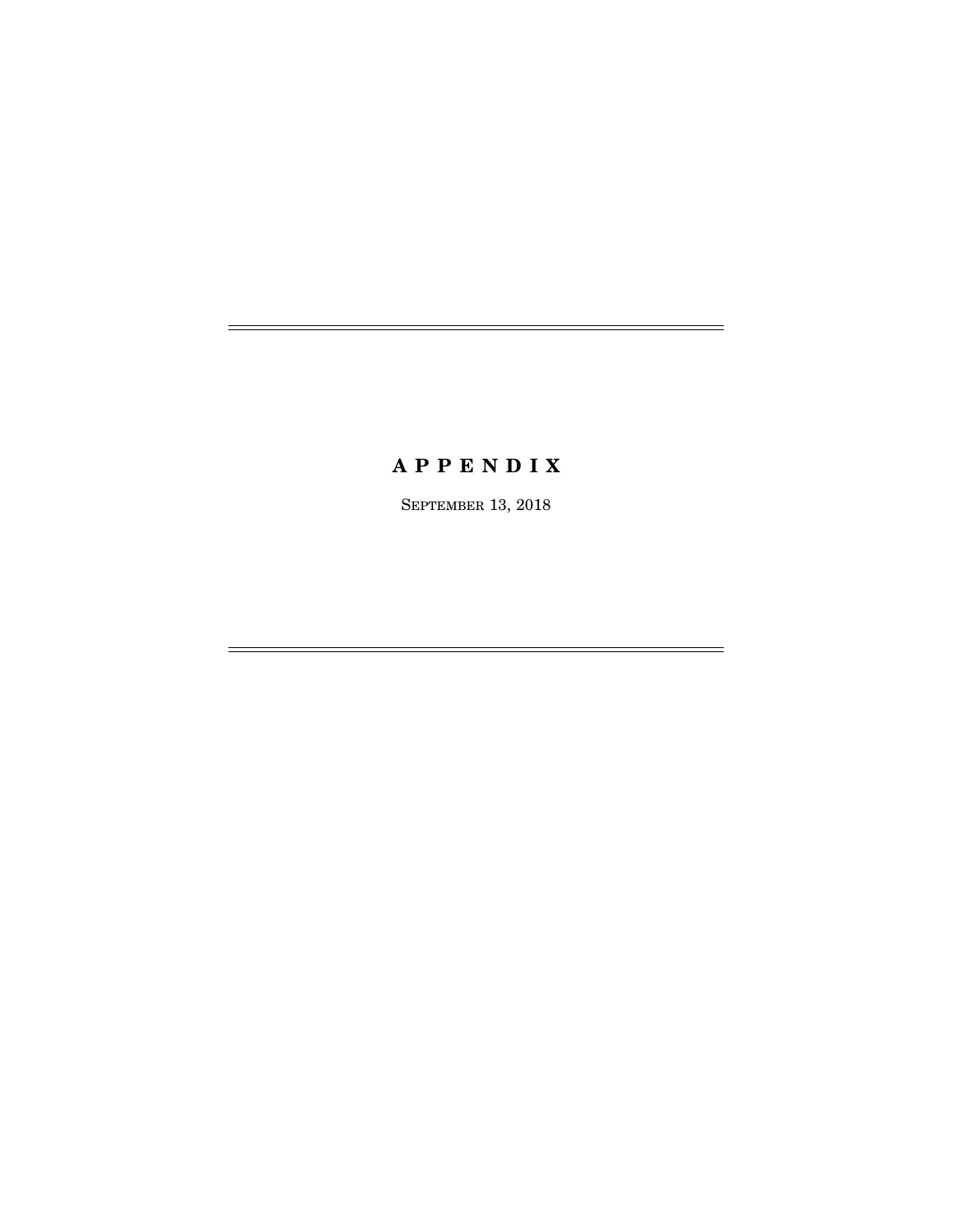# **A P P E N D I X**

SEPTEMBER 13, 2018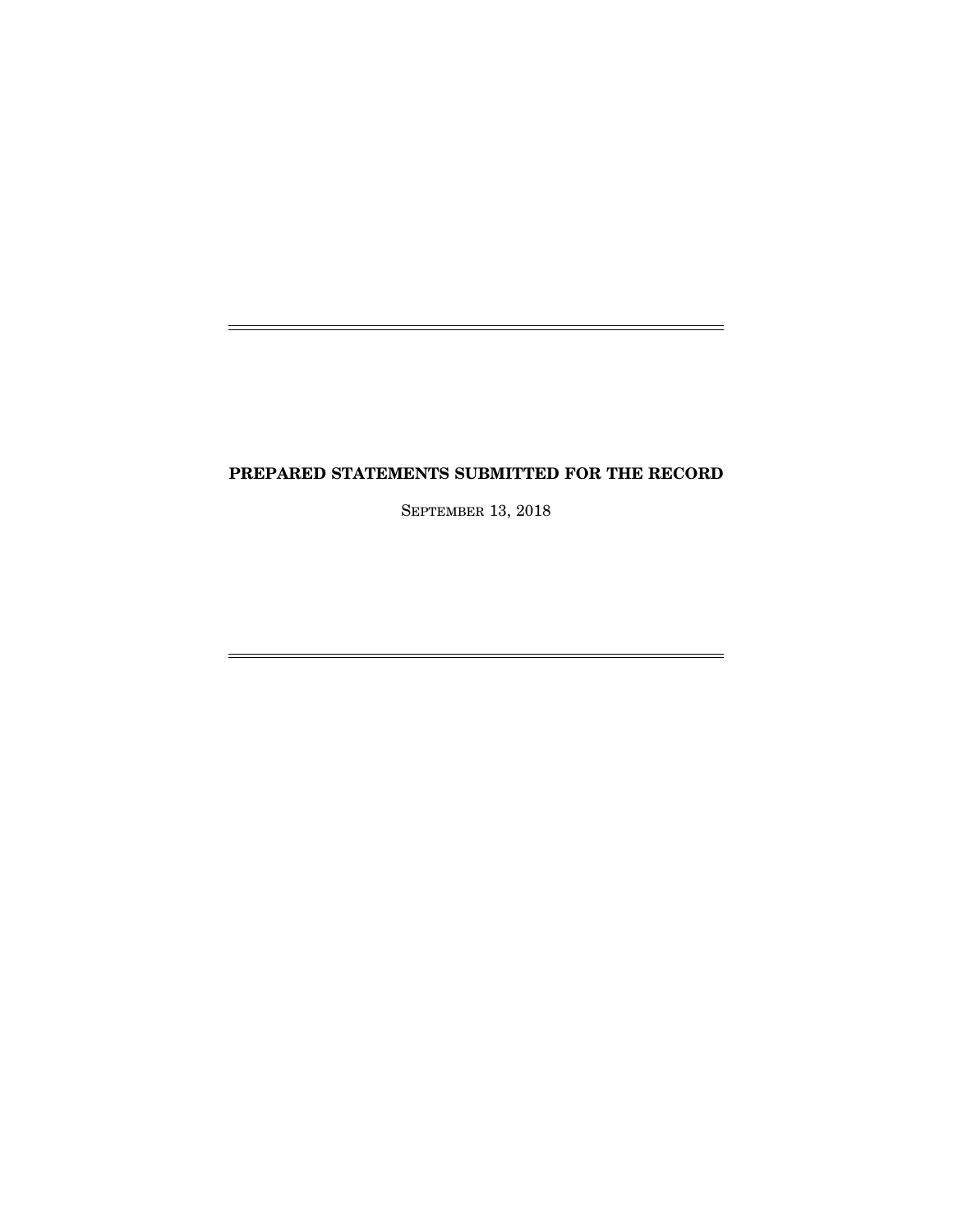# **PREPARED STATEMENTS SUBMITTED FOR THE RECORD**

j.

j.

SEPTEMBER 13, 2018

 $=$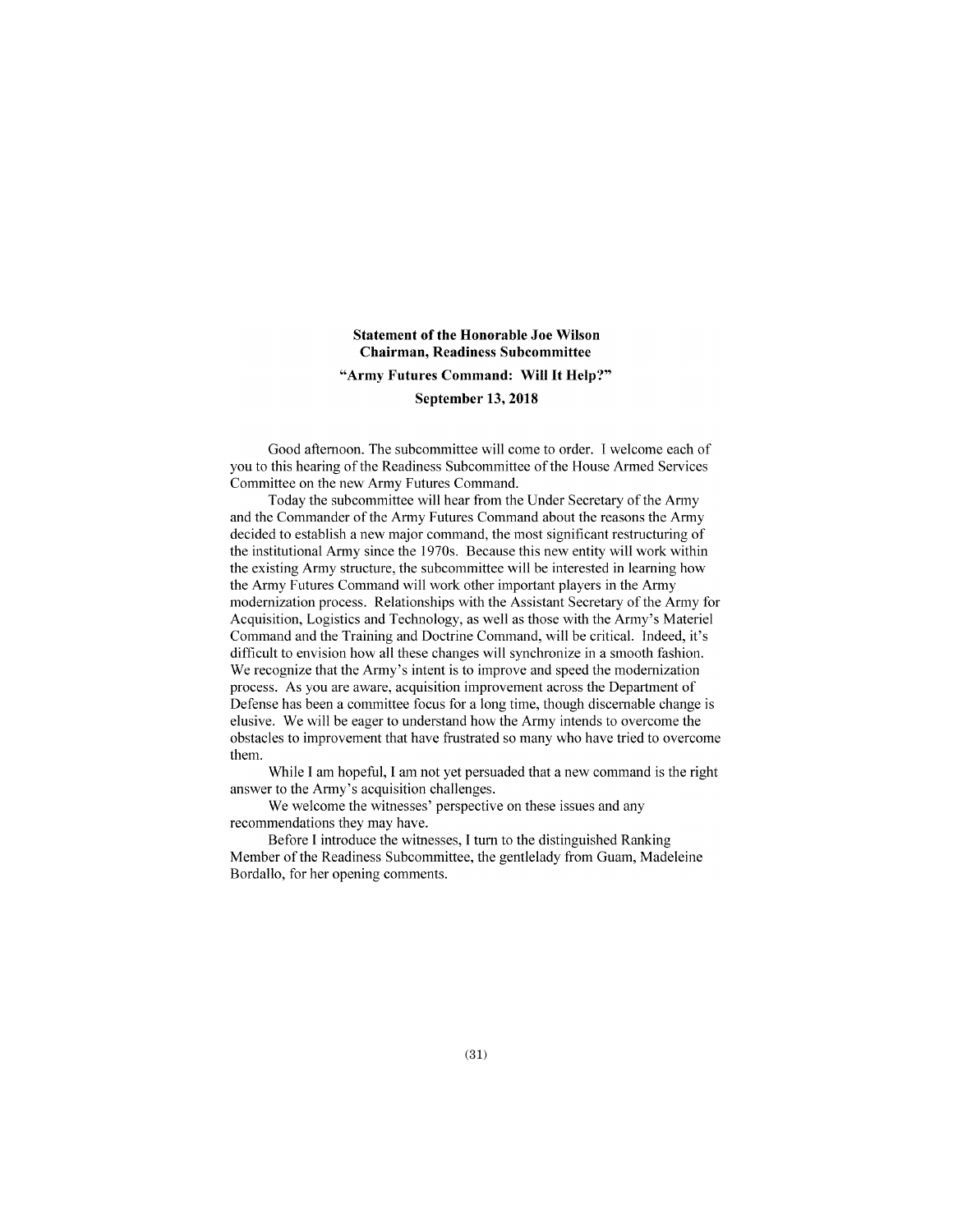## **Statement of the Honorable Joe Wilson Chairman, Readiness Subcommittee "Army Futures Command: Will It Help?" September 13, 2018**

Good afternoon. The subcommittee will come to order. I welcome each of you to this hearing of the Readiness Subcommittee of the House Armed Services Committee on the new Army Futures Command.

Today the subcommittee will hear from the Under Secretary of the Army and the Commander of the Army Futures Command about the reasons the Army decided to establish a new major command, the most significant restructuring of the institutional Army since the 1970s. Because this new entity will work within the existing Army structure, the subcommittee will be interested in learning how the Anny Futures Command will work other important players in the Army modernization process. Relationships with the Assistant Secretary of the Army for Acquisition, Logistics and Technology, as well as those with the Army's Materiel Command and the Training and Doctrine Command, will be critical. Indeed, it's difficult to envision how all these changes will synchronize in a smooth fashion. We recognize that the Army's intent is to improve and speed the modernization process. As you are aware, acquisition improvement across the Department of Defense has been a committee focus for a long time, though discernable change is elusive. We will be eager to understand how the Army intends to overcome the obstacles to improvement that have frustrated so many who have tried to overcome them.

While I am hopeful, I am not yet persuaded that a new command is the right answer to the Army's acquisition challenges.

We welcome the witnesses' perspective on these issues and any recommendations they may have.

Before I introduce the witnesses, I tum to the distinguished Ranking Member of the Readiness Subcommittee, the gentlelady from Guam, Madeleine Bordallo, for her opening comments.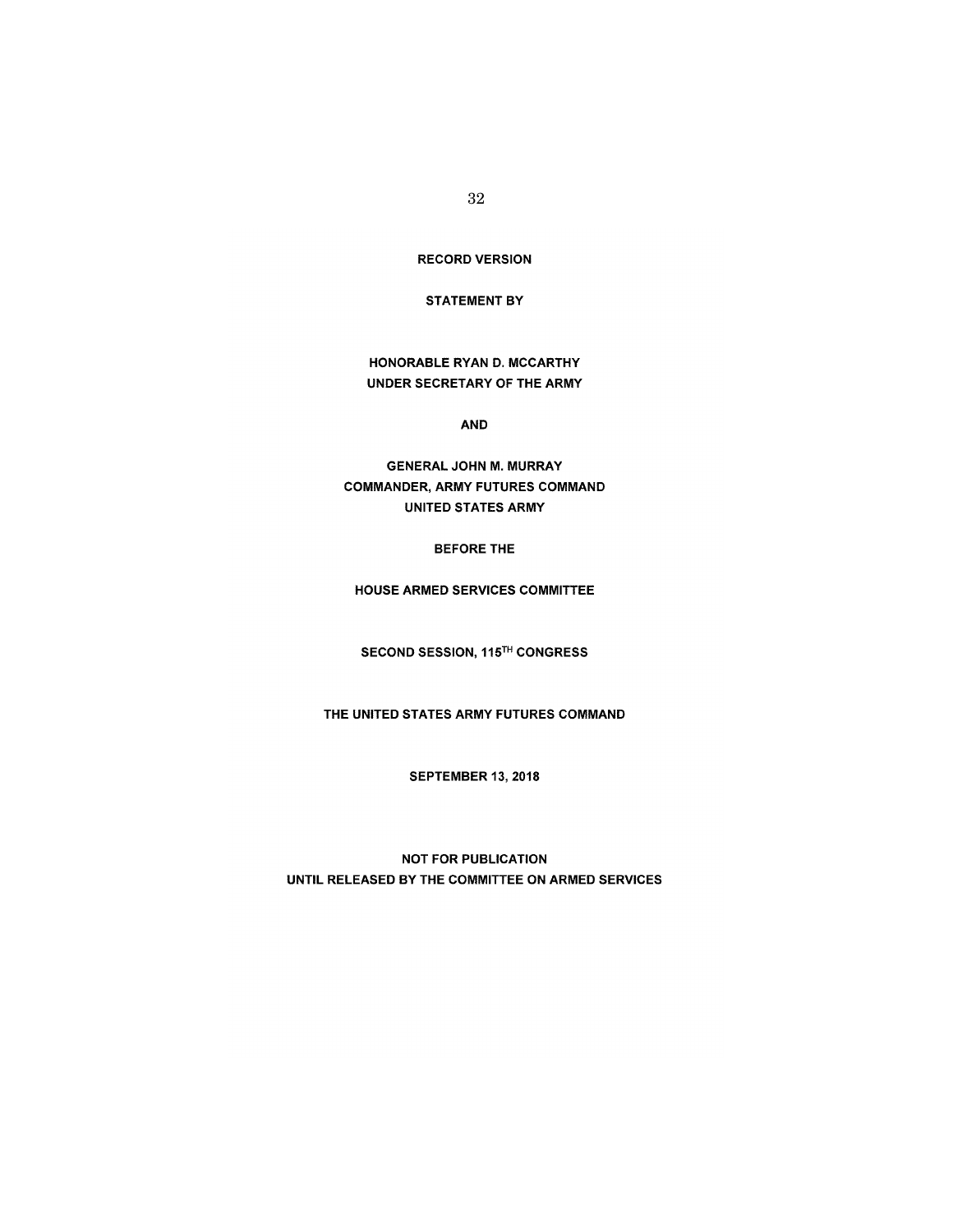RECORD VERSION

### STATEMENT BY

HONORABLE RYAN D. MCCARTHY UNDER SECRETARY OF THE ARMY

AND

GENERAL JOHN M. MURRAY COMMANDER, ARMY FUTURES COMMAND UNITED STATES ARMY

BEFORE THE

HOUSE ARMED SERVICES COMMITTEE

SECOND SESSION, 115TH CONGRESS

THE UNITED STATES ARMY FUTURES COMMAND

SEPTEMBER 13,2018

NOT FOR PUBLICATION UNTIL RELEASED BY THE COMMITTEE ON ARMED SERVICES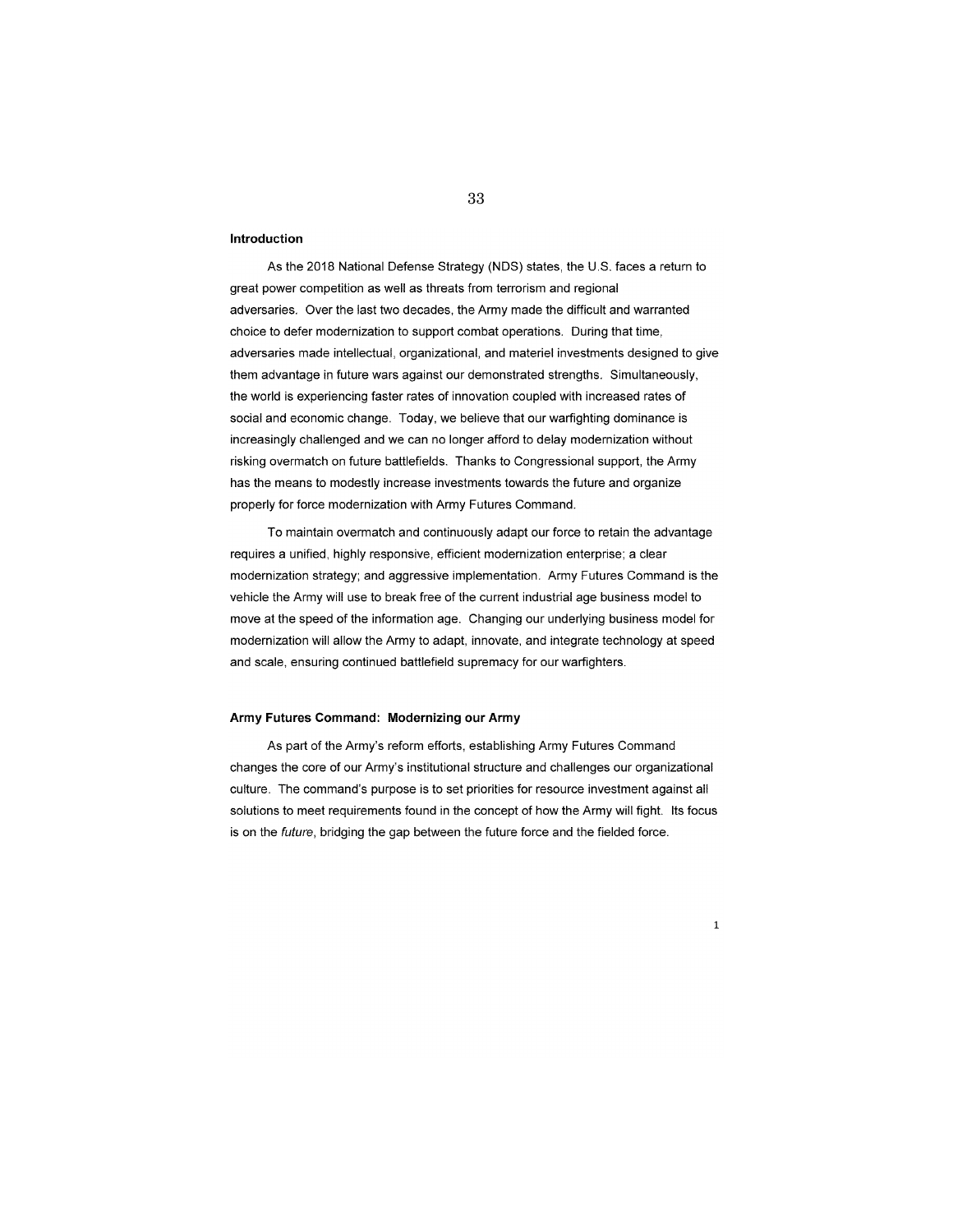#### **Introduction**

As the 2018 National Defense Strategy (NOS) states, the U.S. faces a return to great power competition as well as threats from terrorism and regional adversaries. Over the last two decades, the Army made the difficult and warranted choice to defer modernization to support combat operations. During that time, adversaries made intellectual, organizational, and materiel investments designed to give them advantage in future wars against our demonstrated strengths. Simultaneously, the world is experiencing faster rates of innovation coupled with increased rates of social and economic change. Today, we believe that our warfighting dominance is increasingly challenged and we can no longer afford to delay modernization without risking overmatch on future battlefields. Thanks to Congressional support, the Army has the means to modestly increase investments towards the future and organize properly for force modernization with Army Futures Command.

To maintain overmatch and continuously adapt our force to retain the advantage requires a unified, highly responsive, efficient modernization enterprise; a clear modernization strategy; and aggressive implementation. Army Futures Command is the vehicle the Army will use to break free of the current industrial age business model to move at the speed of the information age. Changing our underlying business model for modernization will allow the Army to adapt, innovate, and integrate technology at speed and scale, ensuring continued battlefield supremacy for our warfighters.

#### **Army Futures Command: Modernizing our Army**

As part of the Army's reform efforts, establishing Army Futures Command changes the core of our Army's institutional structure and challenges our organizational culture. The command's purpose is to set priorities for resource investment against all solutions to meet requirements found in the concept of how the Army will fight. Its focus is on the future, bridging the gap between the future force and the fielded force.

1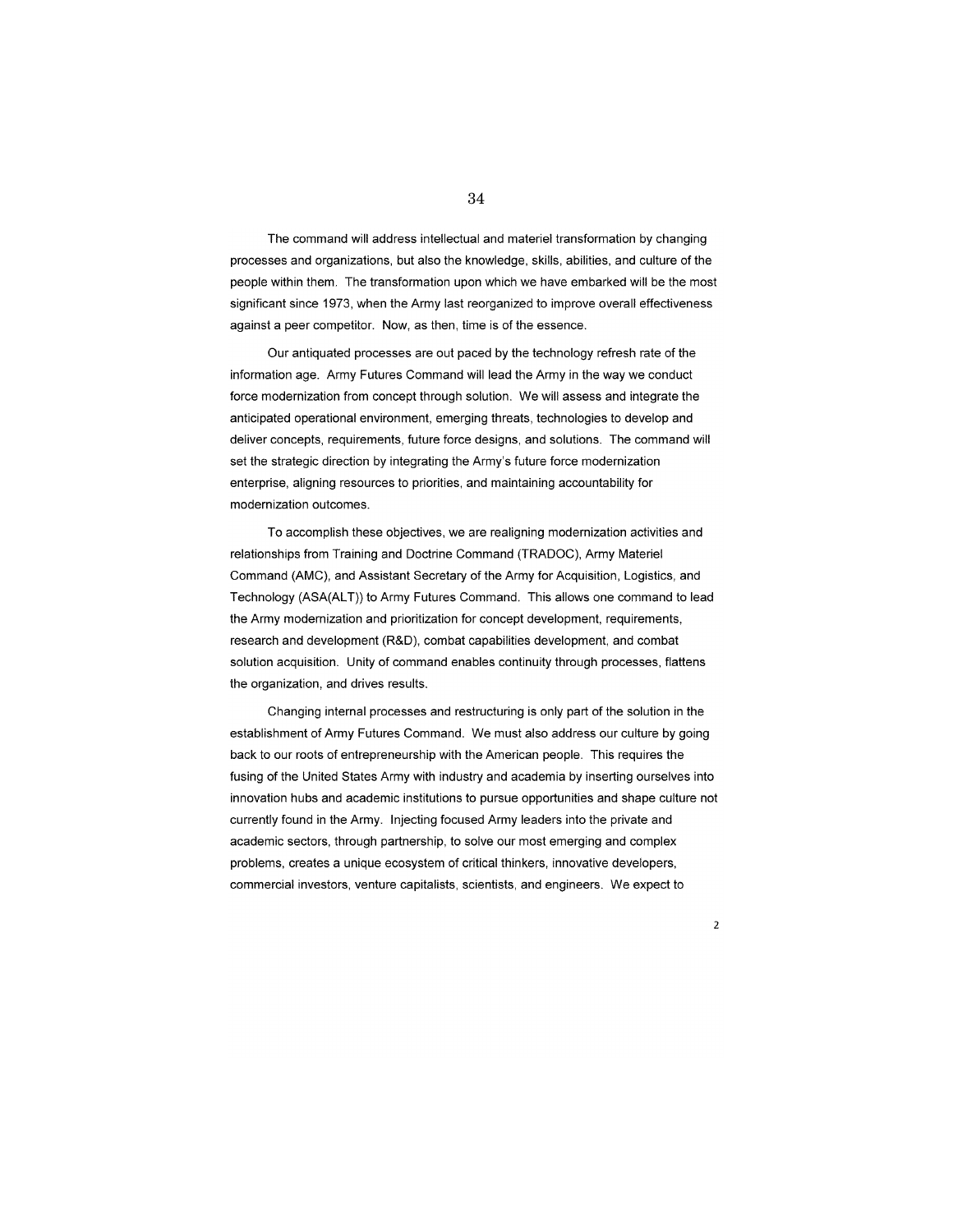The command will address intellectual and materiel transformation by changing processes and organizations, but also the knowledge, skills, abilities, and culture of the people within them. The transformation upon which we have embarked will be the most significant since 1973, when the Army last reorganized to improve overall effectiveness against a peer competitor. Now, as then, time is of the essence.

Our antiquated processes are out paced by the technology refresh rate of the information age. Army Futures Command will lead the Army in the way we conduct force modernization from concept through solution. We will assess and integrate the anticipated operational environment, emerging threats, technologies to develop and deliver concepts, requirements, future force designs, and solutions. The command will set the strategic direction by integrating the Army's future force modernization enterprise, aligning resources to priorities, and maintaining accountability for modernization outcomes.

To accomplish these objectives, we are realigning modernization activities and relationships from Training and Doctrine Command (TRADOC), Army Materiel Command (AMC), and Assistant Secretary of the Army for Acquisition, Logistics, and Technology (ASA(ALT)) to Army Futures Command. This allows one command to lead the Army modernization and prioritization for concept development, requirements, research and development (R&D), combat capabilities development, and combat solution acquisition. Unity of command enables continuity through processes, flattens the organization, and drives results.

Changing internal processes and restructuring is only part of the solution in the establishment of Army Futures Command. We must also address our culture by going back to our roots of entrepreneurship with the American people. This requires the fusing of the United States Army with industry and academia by inserting ourselves into innovation hubs and academic institutions to pursue opportunities and shape culture not currently found in the Army. Injecting focused Army leaders into the private and academic sectors, through partnership, to solve our most emerging and complex problems, creates a unique ecosystem of critical thinkers, innovative developers, commercial investors, venture capitalists, scientists, and engineers. We expect to

 $\overline{2}$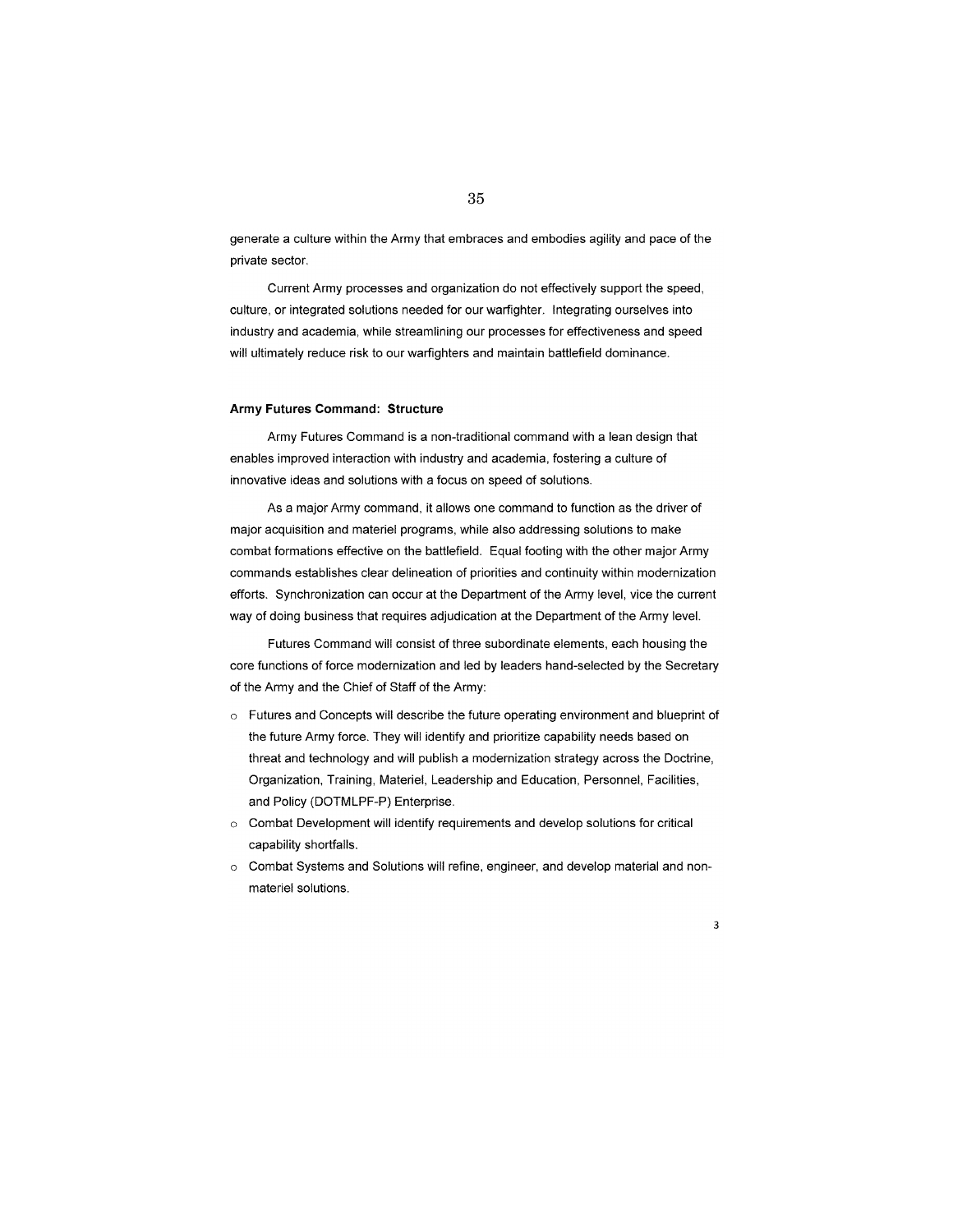generate a culture within the Army that embraces and embodies agility and pace of the private sector.

Current Army processes and organization do not effectively support the speed, culture, or integrated solutions needed for our warfighter. Integrating ourselves into industry and academia, while streamlining our processes for effectiveness and speed will ultimately reduce risk to our warfighters and maintain battlefield dominance.

#### **Army Futures Command: Structure**

Army Futures Command is a non-traditional command with a lean design that enables improved interaction with industry and academia, fostering a culture of innovative ideas and solutions with a focus on speed of solutions.

As a major Army command, it allows one command to function as the driver of major acquisition and materiel programs, while also addressing solutions to make combat formations effective on the battlefield. Equal footing with the other major Army commands establishes clear delineation of priorities and continuity within modernization efforts. Synchronization can occur at the Department of the Army level, vice the current way of doing business that requires adjudication at the Department of the Army level.

Futures Command will consist of three subordinate elements, each housing the core functions of force modernization and led by leaders hand-selected by the Secretary of the Army and the Chief of Staff of the Army:

- $\circ$  Futures and Concepts will describe the future operating environment and blueprint of the future Army force. They will identify and prioritize capability needs based on threat and technology and will publish a modernization strategy across the Doctrine, Organization, Training, Materiel, Leadership and Education, Personnel, Facilities, and Policy (DOTMLPF-P) Enterprise.
- o Combat Development will identify requirements and develop solutions for critical capability shortfalls.
- o Combat Systems and Solutions will refine, engineer, and develop material and nonmateriel solutions.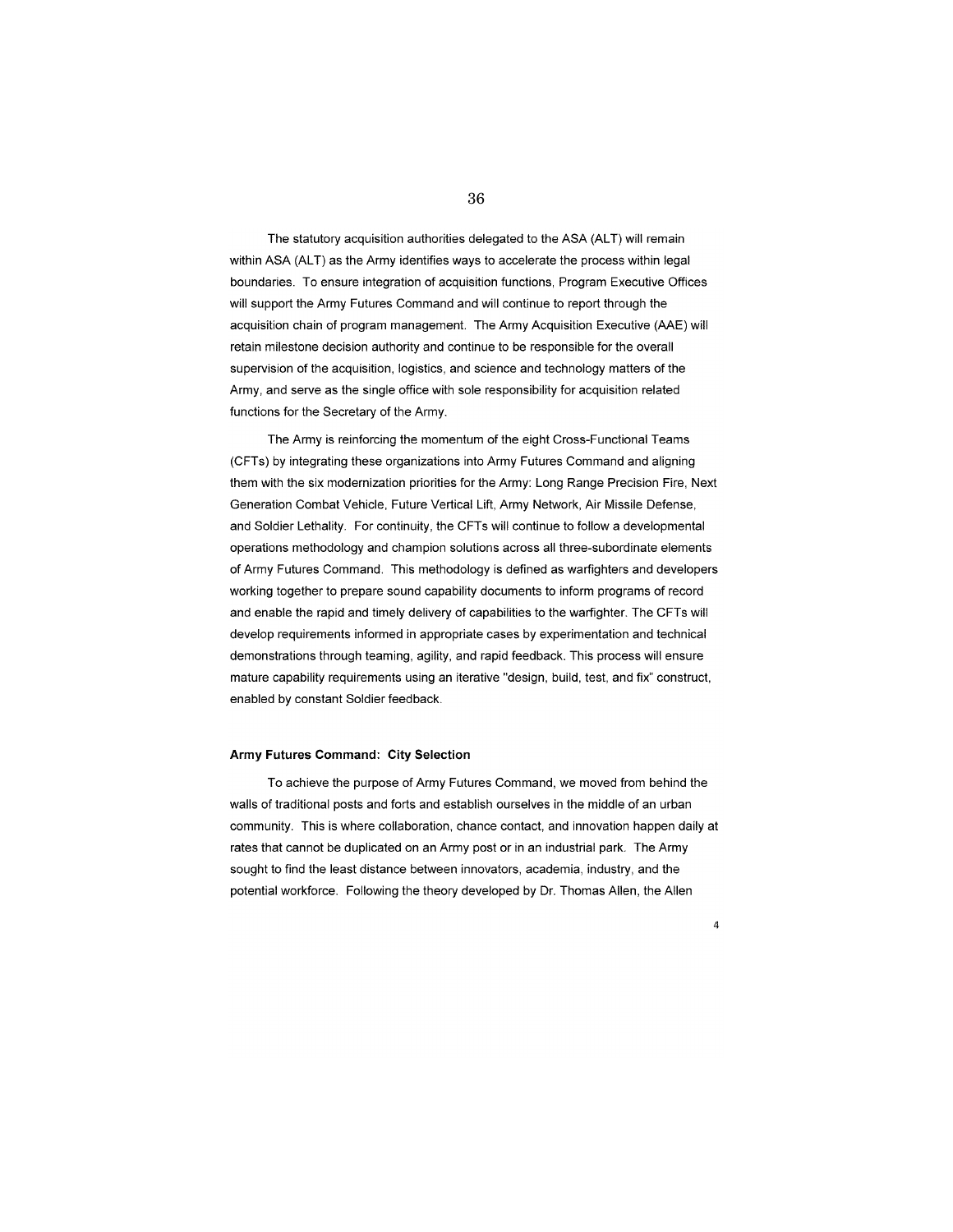### 36

The statutory acquisition authorities delegated to the ASA (ALT) will remain within ASA (ALT) as the Army identifies ways to accelerate the process within legal boundaries. To ensure integration of acquisition functions, Program Executive Offices will support the Army Futures Command and will continue to report through the acquisition chain of program management. The Army Acquisition Executive (AAE) will retain milestone decision authority and continue to be responsible for the overall supervision of the acquisition, logistics, and science and technology matters of the Army, and serve as the single office with sole responsibility for acquisition related functions for the Secretary of the Army.

The Army is reinforcing the momentum of the eight Cross-Functional Teams (CFTs) by integrating these organizations into Army Futures Command and aligning them with the six modernization priorities for the Army: Long Range Precision Fire, Next Generation Combat Vehicle, Future Vertical Lift, Army Network, Air Missile Defense, and Soldier Lethality. For continuity, the CFTs will continue to follow a developmental operations methodology and champion solutions across all three-subordinate elements of Army Futures Command. This methodology is defined as warfighters and developers working together to prepare sound capability documents to inform programs of record and enable the rapid and timely delivery of capabilities to the warfighter. The CFTs will develop requirements informed in appropriate cases by experimentation and technical demonstrations through teaming, agility, and rapid feedback. This process will ensure mature capability requirements using an iterative "design, build, test, and fix" construct, enabled by constant Soldier feedback.

#### **Army Futures Command: City Selection**

To achieve the purpose of Army Futures Command, we moved from behind the walls of traditional posts and forts and establish ourselves in the middle of an urban community. This is where collaboration, chance contact, and innovation happen daily at rates that cannot be duplicated on an Army post or in an industrial park. The Army sought to find the least distance between innovators, academia, industry, and the potential workforce. Following the theory developed by Dr. Thomas Allen, the Allen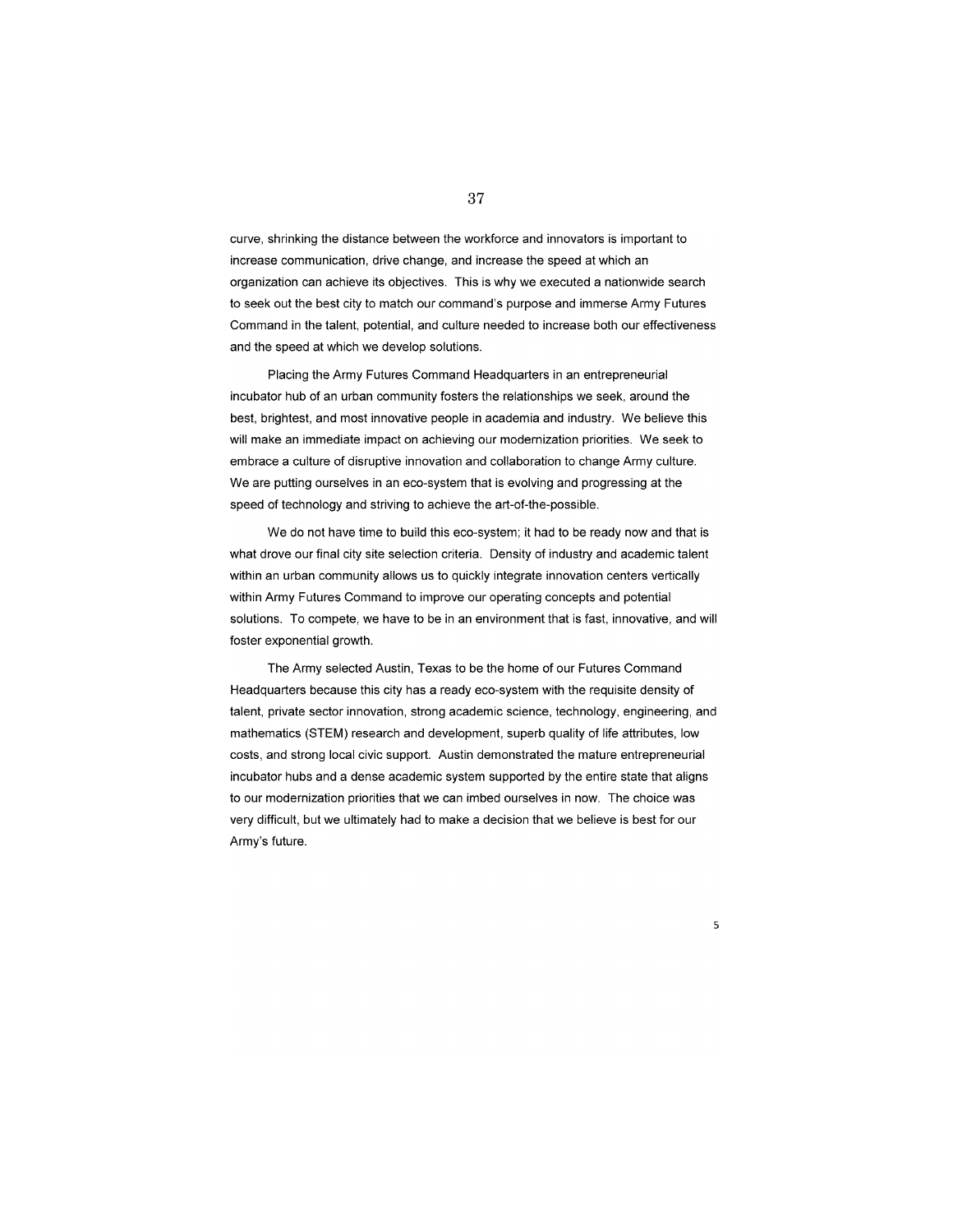curve, shrinking the distance between the workforce and innovators is important to increase communication, drive change, and increase the speed at which an organization can achieve its objectives. This is why we executed a nationwide search to seek out the best city to match our command's purpose and immerse Army Futures Command in the talent, potential, and culture needed to increase both our effectiveness and the speed at which we develop solutions.

Placing the Army Futures Command Headquarters in an entrepreneurial incubator hub of an urban community fosters the relationships we seek, around the best, brightest, and most innovative people in academia and industry. We believe this will make an immediate impact on achieving our modernization priorities. We seek to embrace a culture of disruptive innovation and collaboration to change Army culture. We are putting ourselves in an eco-system that is evolving and progressing at the speed of technology and striving to achieve the art-of-the-possible.

We do not have time to build this eco-system; it had to be ready now and that is what drove our final city site selection criteria. Density of industry and academic talent within an urban community allows us to quickly integrate innovation centers vertically within Army Futures Command to improve our operating concepts and potential solutions. To compete, we have to be in an environment that is fast, innovative, and will foster exponential growth.

The Army selected Austin, Texas to be the home of our Futures Command Headquarters because this city has a ready eco-system with the requisite density of talent, private sector innovation, strong academic science, technology, engineering, and mathematics (STEM) research and development, superb quality of life attributes, low costs, and strong local civic support. Austin demonstrated the mature entrepreneurial incubator hubs and a dense academic system supported by the entire state that aligns to our modernization priorities that we can imbed ourselves in now. The choice was very difficult, but we ultimately had to make a decision that we believe is best for our Army's future.

37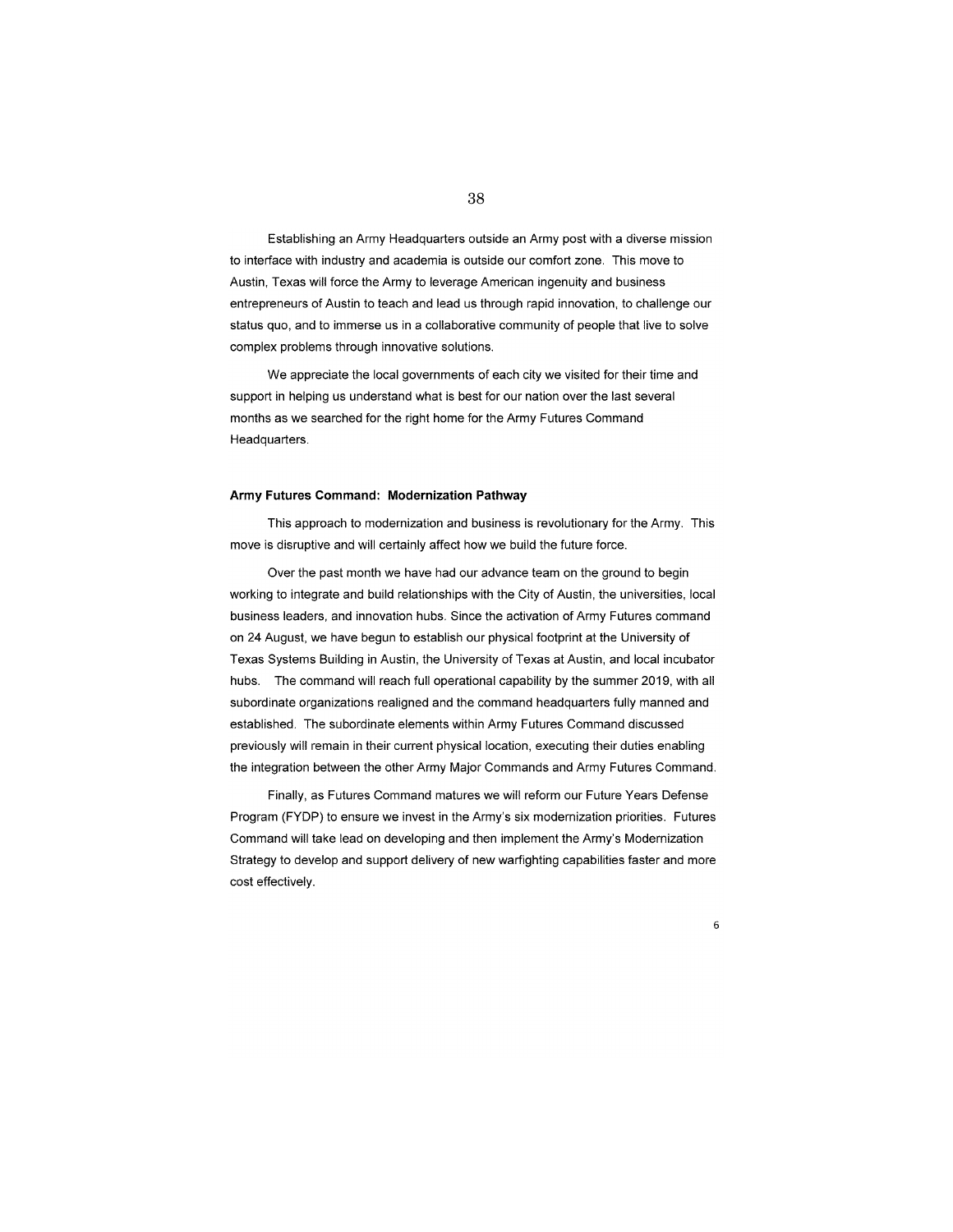# Establishing an Army Headquarters outside an Army post with a diverse mission to interface with industry and academia is outside our comfort zone. This move to Austin, Texas will force the Army to leverage American ingenuity and business entrepreneurs of Austin to teach and lead us through rapid innovation, to challenge our status quo, and to immerse us in a collaborative community of people that live to solve complex problems through innovative solutions.

We appreciate the local governments of each city we visited for their time and support in helping us understand what is best for our nation over the last several months as we searched for the right home for the Army Futures Command Headquarters.

#### **Army Futures Command: Modernization Pathway**

This approach to modernization and business is revolutionary for the Army. This move is disruptive and will certainly affect how we build the future force.

Over the past month we have had our advance team on the ground to begin working to integrate and build relationships with the City of Austin, the universities, local business leaders, and innovation hubs. Since the activation of Army Futures command on 24 August, we have begun to establish our physical footprint at the University of Texas Systems Building in Austin, the University of Texas at Austin, and local incubator hubs. The command will reach full operational capability by the summer 2019, with all subordinate organizations realigned and the command headquarters fully manned and established. The subordinate elements within Army Futures Command discussed previously will remain in their current physical location, executing their duties enabling the integration between the other Army Major Commands and Army Futures Command.

Finally, as Futures Command matures we will reform our Future Years Defense Program (FYDP) to ensure we invest in the Army's six modernization priorities. Futures Command will take lead on developing and then implement the Army's Modernization Strategy to develop and support delivery of new warfighting capabilities faster and more cost effectively.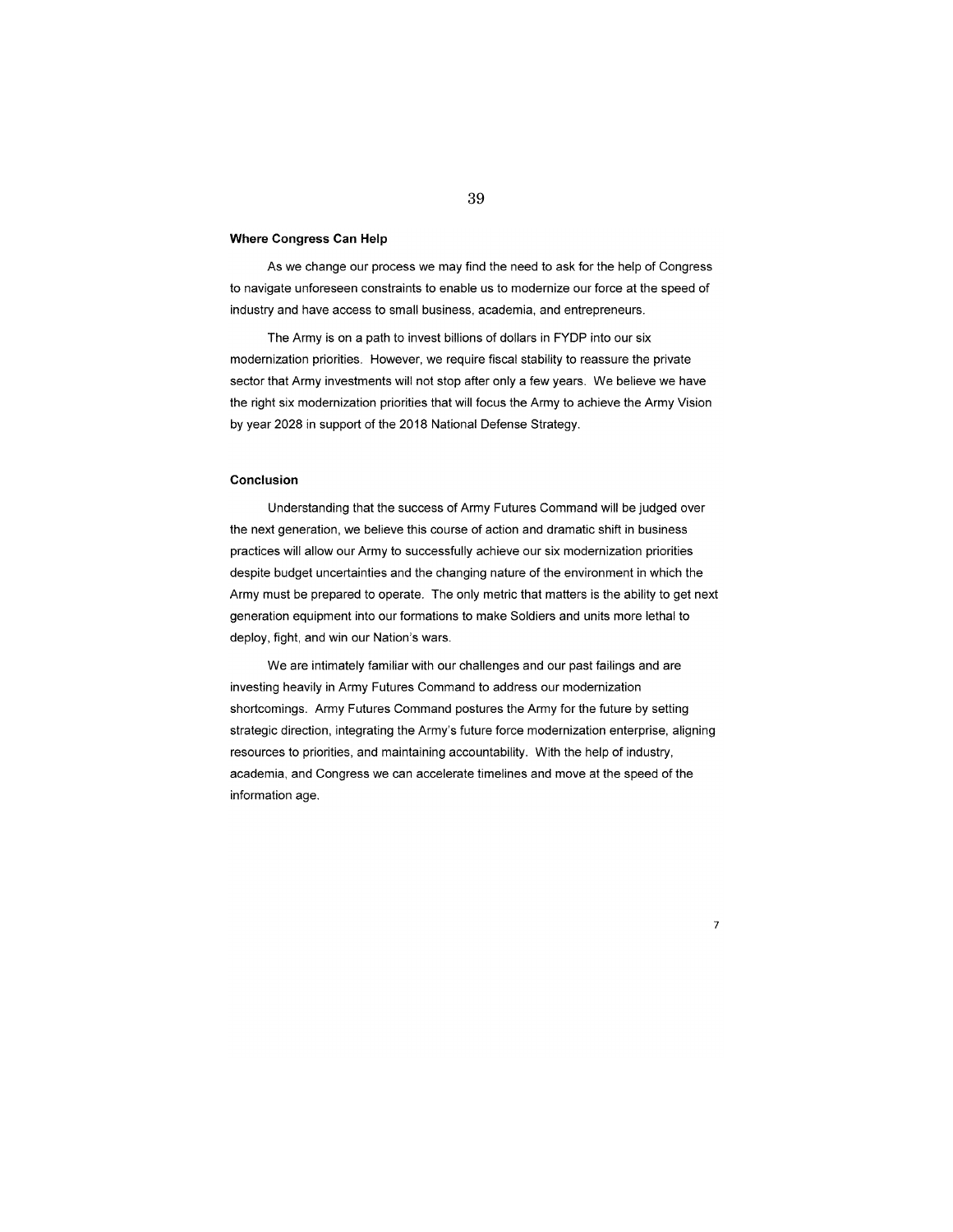#### **Where Congress Can Help**

As we change our process we may find the need to ask for the help of Congress to navigate unforeseen constraints to enable us to modernize our force at the speed of industry and have access to small business, academia, and entrepreneurs.

The Army is on a path to invest billions of dollars in FYDP into our six modernization priorities. However, we require fiscal stability to reassure the private sector that Army investments will not stop after only a few years. We believe we have the right six modernization priorities that will focus the Army to achieve the Army Vision by year 2028 in support of the 2018 National Defense Strategy.

#### **Conclusion**

Understanding that the success of Army Futures Command will be judged over the next generation, we believe this course of action and dramatic shift in business practices will allow our Army to successfully achieve our six modernization priorities despite budget uncertainties and the changing nature of the environment in which the Army must be prepared to operate. The only metric that matters is the ability to get next generation equipment into our formations to make Soldiers and units more lethal to deploy, fight, and win our Nation's wars.

We are intimately familiar with our challenges and our past failings and are investing heavily in Army Futures Command to address our modernization shortcomings. Army Futures Command postures the Army for the future by setting strategic direction, integrating the Army's future force modernization enterprise, aligning resources to priorities, and maintaining accountability. With the help of industry, academia, and Congress we can accelerate timelines and move at the speed of the information age.

7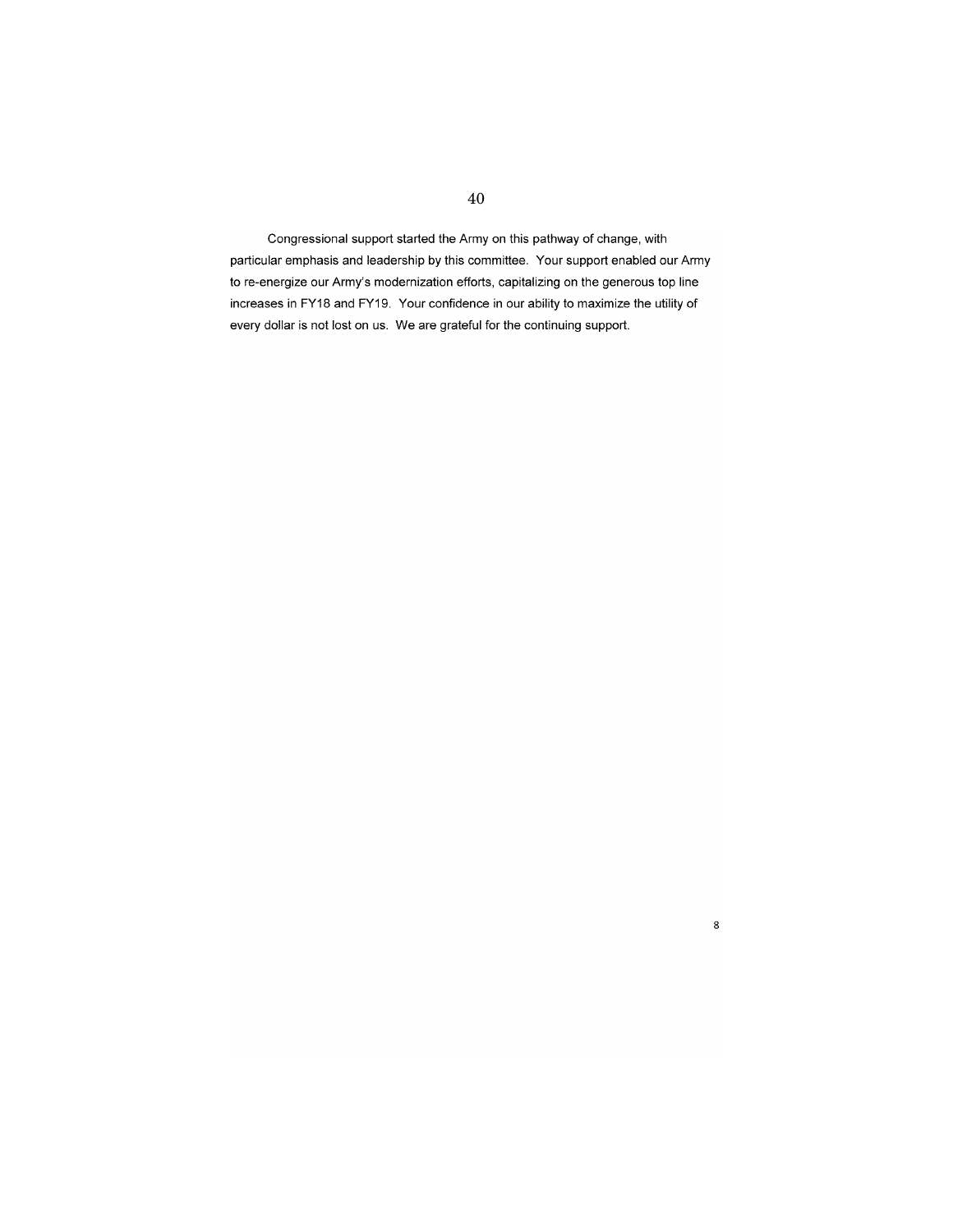Congressional support started the Army on this pathway of change, with particular emphasis and leadership by this committee. Your support enabled our Army to re-energize our Army's modernization efforts, capitalizing on the generous top line increases in FY18 and FY19. Your confidence in our ability to maximize the utility of every dollar is not lost on us. We are grateful for the continuing support.

8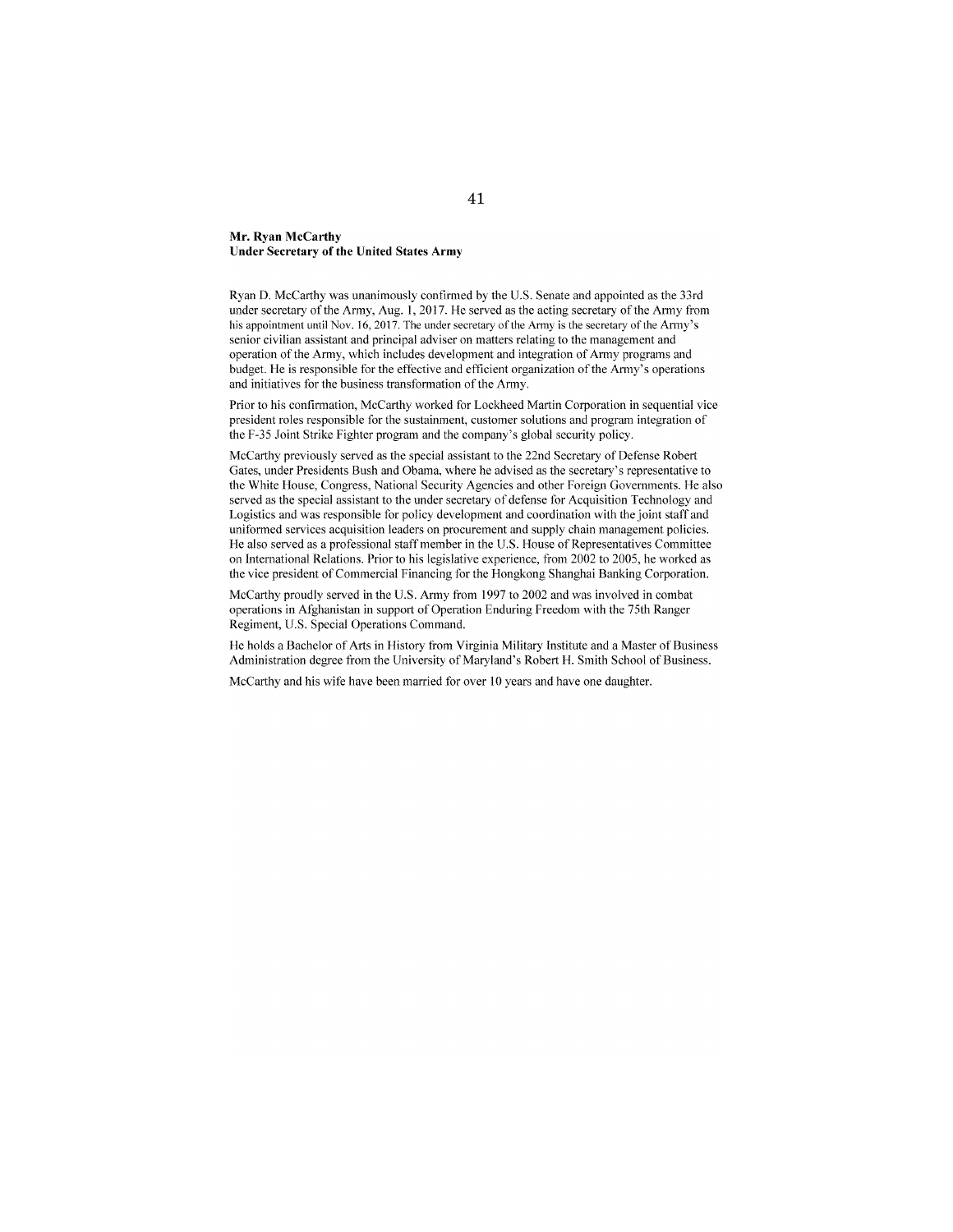#### **Mr. Ryan McCarthy Under Secretary of the United States Army**

Ryan D. McCarthy was unanimously confirmed by the U.S. Senate and appointed as the 33rd under secretary of the Army, Aug. I, 2017. He served as the acting secretary of the Army from his appointment until Nov. 16, 2017. The under secretary of the Army is the secretary of the Army's senior civilian assistant and principal adviser on matters relating to the management and operation of the Army, which includes development and integration of Army programs and budget. He is responsible for the effective and efficient organization of the Army's operations and initiatives for the business transformation of the Army.

Prior to his confinnation, McCarthy worked for Lockheed Martin Corporation in sequential vice president roles responsible for the sustainment, customer solutions and program integration of the F-35 Joint Strike Fighter program and the company's global security policy.

McCarthy previously served as the special assistant to the 22nd Secretary of Defense Robert Gates, under Presidents Bush and Obama, where he advised as the secretary's representative to the White House, Congress, National Security Agencies and other Foreign Governments. He also served as the special assistant to the under secretary of defense for Acquisition Technology and Logistics and was responsible for policy development and coordination with the joint staff and uniformed services acquisition leaders on procurement and supply chain management policies. He also served as a professional staff member in the U.S. House of Representatives Committee on International Relations. Prior to his legislative experience, from 2002 to 2005, he worked as the vice president of Commercial Financing for the Hongkong Shanghai Banking Corporation.

McCarthy proudly served in the U.S. Army from 1997 to 2002 and was involved in combat operations in Afghanistan in support of Operation Enduring Freedom with the 75th Ranger Regiment, U.S. Special Operations Command.

He holds a Bachelor of Arts in History from Virginia Military Institute and a Master of Business Administration degree from the University of Maryland's Robert H. Smith School of Business.

McCarthy and his wife have been married for over 10 years and have one daughter.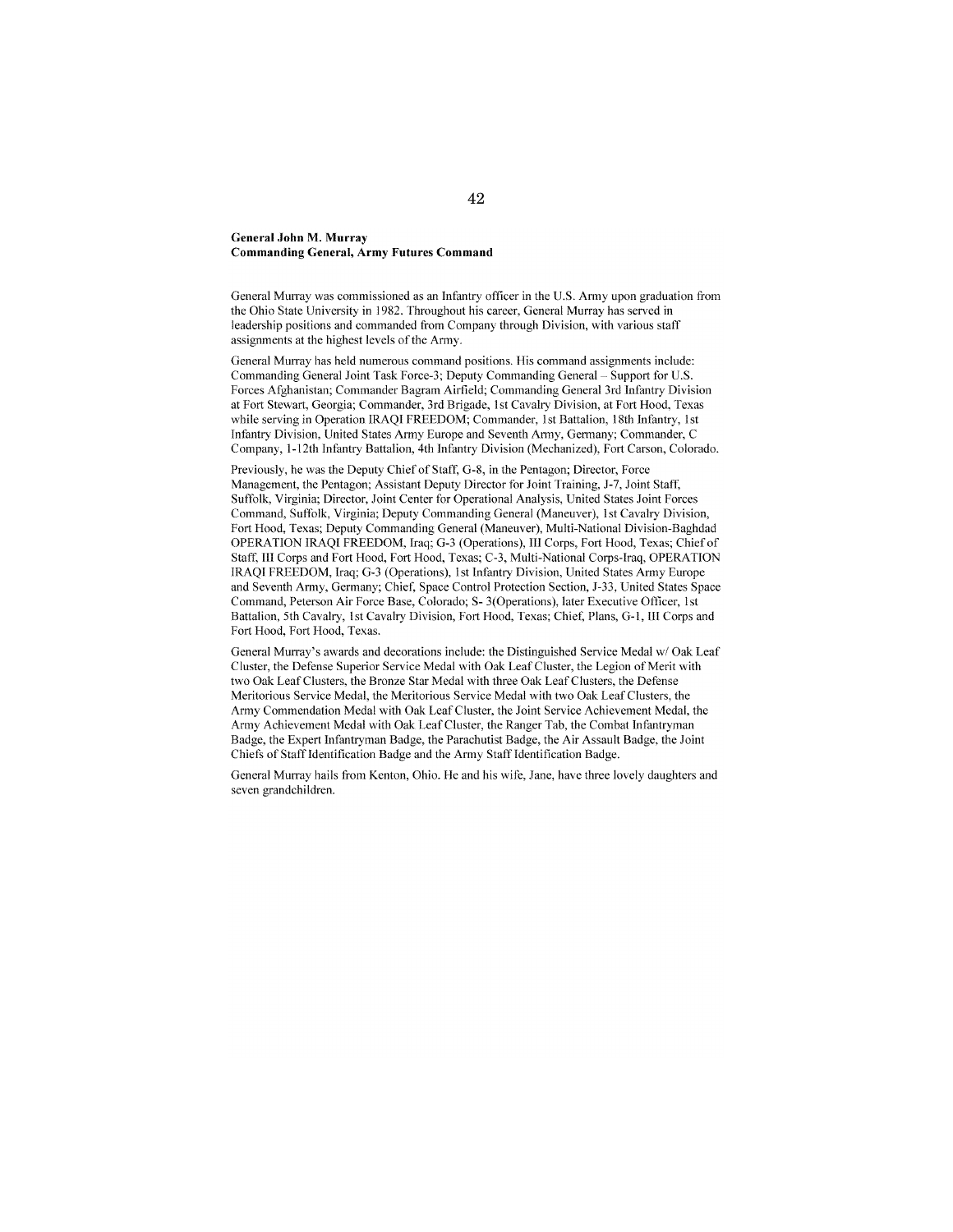#### **General John M. Mnrray Commanding General, Army Futures Command**

General Murray was commissioned as an Infantry officer in the U.S. Army upon graduation from the Ohio State University in 1982. Throughout his career, General Murray has served in leadership positions and commanded from Company through Division, with various staff assignments at the highest levels of the Army.

General Murray has held numerous command positions. His command assignments include: Commanding General Joint Task Force-3; Deputy Commanding General- Support for U.S. Forces Afghanistan; Commander Bagram Airfield; Commanding General 3rd Infantry Division at Fort Stewart, Georgia; Commander, 3rd Brigade, 1st Cavalry Division, at Fort Hood, Texas while serving in Operation IRAQI FREEDOM; Commander, 1st Battalion, 18th Infantry, 1st Infantry Division, United States Army Europe and Seventh Army, Germany; Commander, C Company, !-12th Infantry Battalion, 4th Infantry Division (Mechanized), Fort Carson, Colorado.

Previously, he was the Deputy Chief of Staff, G-8, in the Pentagon; Director, Force Management, the Pentagon; Assistant Deputy Director for Joint Training, J-7, Joint Staff, Suffolk, Virginia; Director, Joint Center for Operational Analysis, United States Joint Forces Command, Suffolk, Virginia; Deputy Commanding General (Maneuver), 1st Cavalry Division, Fort Hood, Texas; Deputy Commanding General (Maneuver), Multi-National Division-Baghdad OPERATION IRAQI FREEDOM, Iraq; G-3 (Operations), III Corps, Fort Hood, Texas; Chief of Staff, Ill Corps and Fort Hood, Fort Hood, Texas; C-3, Multi-National Corps-Iraq, OPERATION IRAQI FREEDOM, Iraq; G-3 (Operations), 1st Infantry Division, United States Army Europe and Seventh Army, Germany; Chief; Space Control Protection Section, J-33, United States Space Command, Peterson Air Force Base, Colorado; S- 3(0perations), later Executive Officer, lst Battalion, 5th Cavalry, 1st Cavalry Division, Fort Hood, Texas; Chief, Plans, G-1, Ill Corps and Fort Hood, Fort Hood, Texas.

General Murray's awards and decorations include: the Distinguished Service Medal w/ Oak Leaf Cluster, the Defense Superior Service Medal with Oak Leaf Cluster, the Legion of Merit with two Oak Leaf Clusters, the Bronze Star Medal with three Oak Leaf Clusters, the Defense Meritorious Service Medal, the Meritorious Service Medal with two Oak Leaf Clusters, the Army Commendation Medal with Oak Leaf Cluster, the Joint Service Achievement Medal, the Army Achievement Medal with Oak Leaf Cluster, the Ranger Tab, the Combat Infantryman Badge, the Expert Infantryman Badge, the Parachutist Badge, the Air Assault Badge, the Joint Chiefs of Staff Identification Badge and the Army Staff Identification Badge.

General Murray hails from Kenton, Ohio. He and his wile, Jane, have three lovely daughters and seven grandchildren.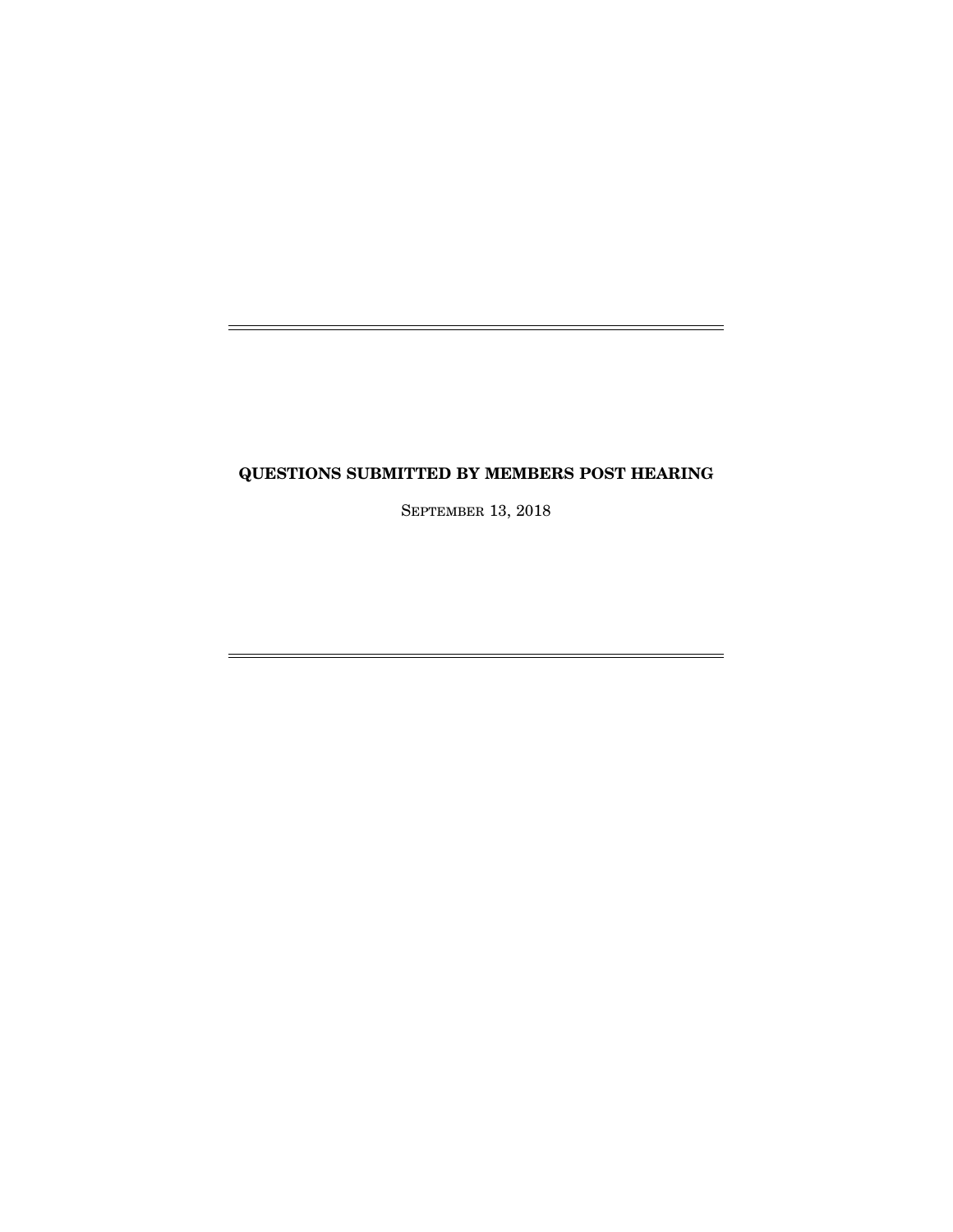# **QUESTIONS SUBMITTED BY MEMBERS POST HEARING**

SEPTEMBER 13, 2018

 $\equiv$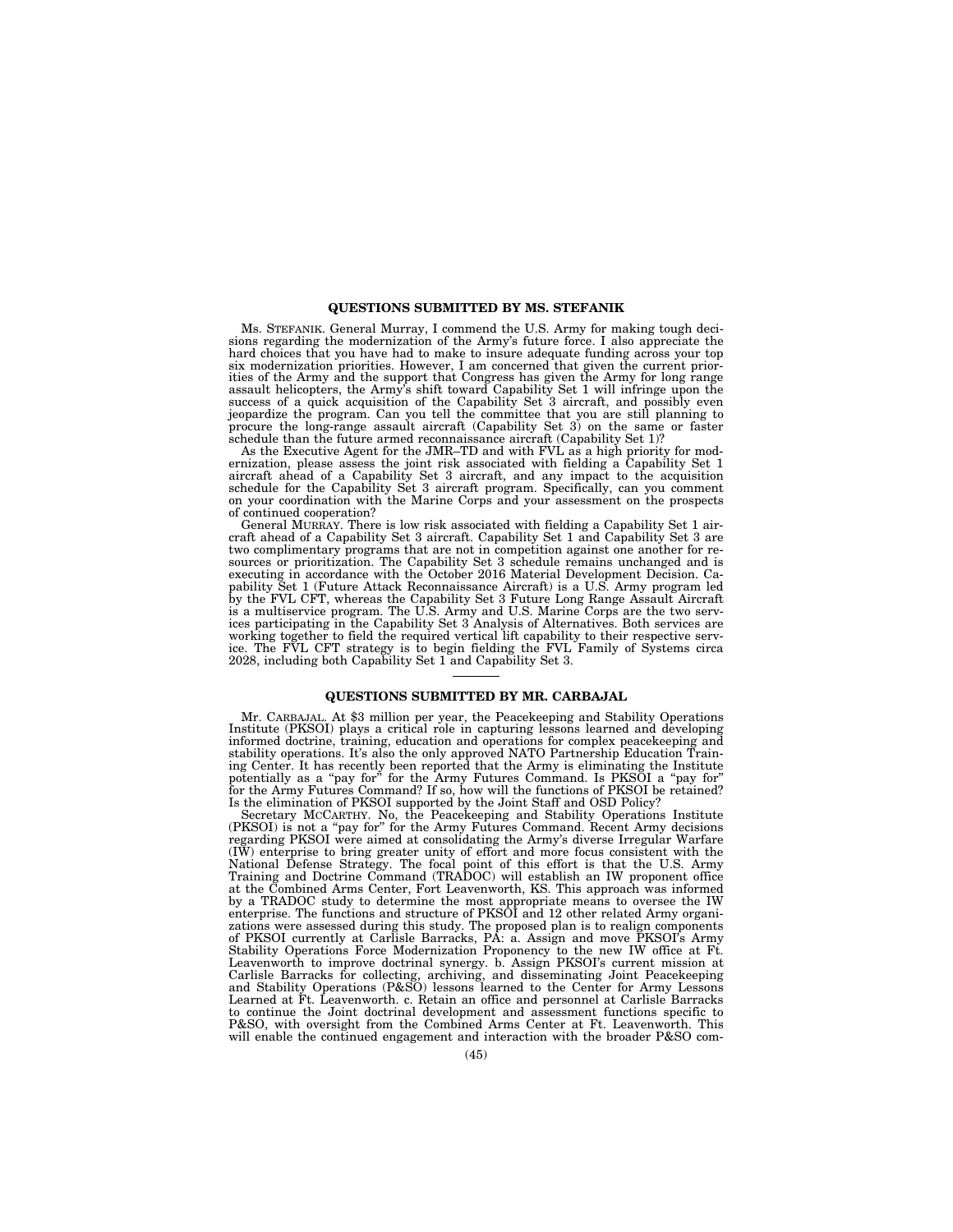#### **QUESTIONS SUBMITTED BY MS. STEFANIK**

Ms. STEFANIK. General Murray, I commend the U.S. Army for making tough decisions regarding the modernization of the Army's future force. I also appreciate the hard choices that you have had to make to insure adequate funding across your top six modernization priorities. However, I am concerned that given the current priorities of the Army and the support that Congress has given the Army for long range assault helicopters, the Army's shift toward Capability Set 1 will infringe upon the success of a quick acquisition of the Capability Set 3 aircraft, and possibly even jeopardize the program. Can you tell the committee that you are still planning to procure the long-range assault aircraft (Capability Set 3) on the same or faster schedule than the future armed reconnaissance aircraft (Capability Set 1)?

As the Executive Agent for the JMR–TD and with FVL as a high priority for mod-ernization, please assess the joint risk associated with fielding a Capability Set 1 aircraft ahead of a Capability Set 3 aircraft, and any impact to the acquisition schedule for the Capability Set 3 aircraft program. Specifically, can you comment on your coordination with the Marine Corps and your assessment on the prospects of continued cooperation?

General MURRAY. There is low risk associated with fielding a Capability Set 1 aircraft ahead of a Capability Set 3 aircraft. Capability Set 1 and Capability Set 3 are two complimentary programs that are not in competition against one another for resources or prioritization. The Capability Set 3 schedule remains unchanged and is executing in accordance with the October 2016 Material Development Decision. Ca-pability Set 1 (Future Attack Reconnaissance Aircraft) is a U.S. Army program led by the FVL CFT, whereas the Capability Set 3 Future Long Range Assault Aircraft is a multiservice program. The U.S. Army and U.S. Marine Corps are the two services participating in the Capability Set 3 Analysis of Alternatives. Both services are working together to field the required vertical lift capability to their respective serv-ice. The FVL CFT strategy is to begin fielding the FVL Family of Systems circa 2028, including both Capability Set 1 and Capability Set 3.

#### **QUESTIONS SUBMITTED BY MR. CARBAJAL**

Mr. CARBAJAL. At \$3 million per year, the Peacekeeping and Stability Operations Institute (PKSOI) plays a critical role in capturing lessons learned and developing informed doctrine, training, education and operations for complex peacekeeping and stability operations. It's also the only approved NATO Partnership Education Training Center. It has recently been reported that the Army is eliminating the Institute<br>potentially as a "pay for" for the Army Futures Command. Is PKSOI a "pay for"<br>for the Army Futures Command? If so, how will the functions Is the elimination of PKSOI supported by the Joint Staff and OSD Policy?

Secretary McCARTHY. No, the Peacekeeping and Stability Operations Institute (PKSOI) is not a "pay for" for the Army Futures Command. Recent Army decisions regarding PKSOI were aimed at consolidating the Army's diverse Irre (IW) enterprise to bring greater unity of effort and more focus consistent with the National Defense Strategy. The focal point of this effort is that the U.S. Army Training and Doctrine Command (TRADOC) will establish an IW proponent office at the Combined Arms Center, Fort Leavenworth, KS. This approach was informed by a TRADOC study to determine the most appropriate means to oversee the IW<br>enterprise. The functions and structure of PKSOI and 12 other related Army organizations were assessed during this study. The proposed plan is to of PKSOI currently at Carlisle Barracks, PA: a. Assign and move PKSOI's Army Stability Operations Force Modernization Proponency to the new IW office at Ft. Leavenworth to improve doctrinal synergy. b. Assign PKSOI's current mission at<br>Carlisle Barracks for collecting, archiving, and disseminating Joint Peacekeeping<br>and Stability Operations (P&SO) lessons learned to the Center to continue the Joint doctrinal development and assessment functions specific to P&SO, with oversight from the Combined Arms Center at Ft. Leavenworth. This will enable the continued engagement and interaction with the broader P&SO com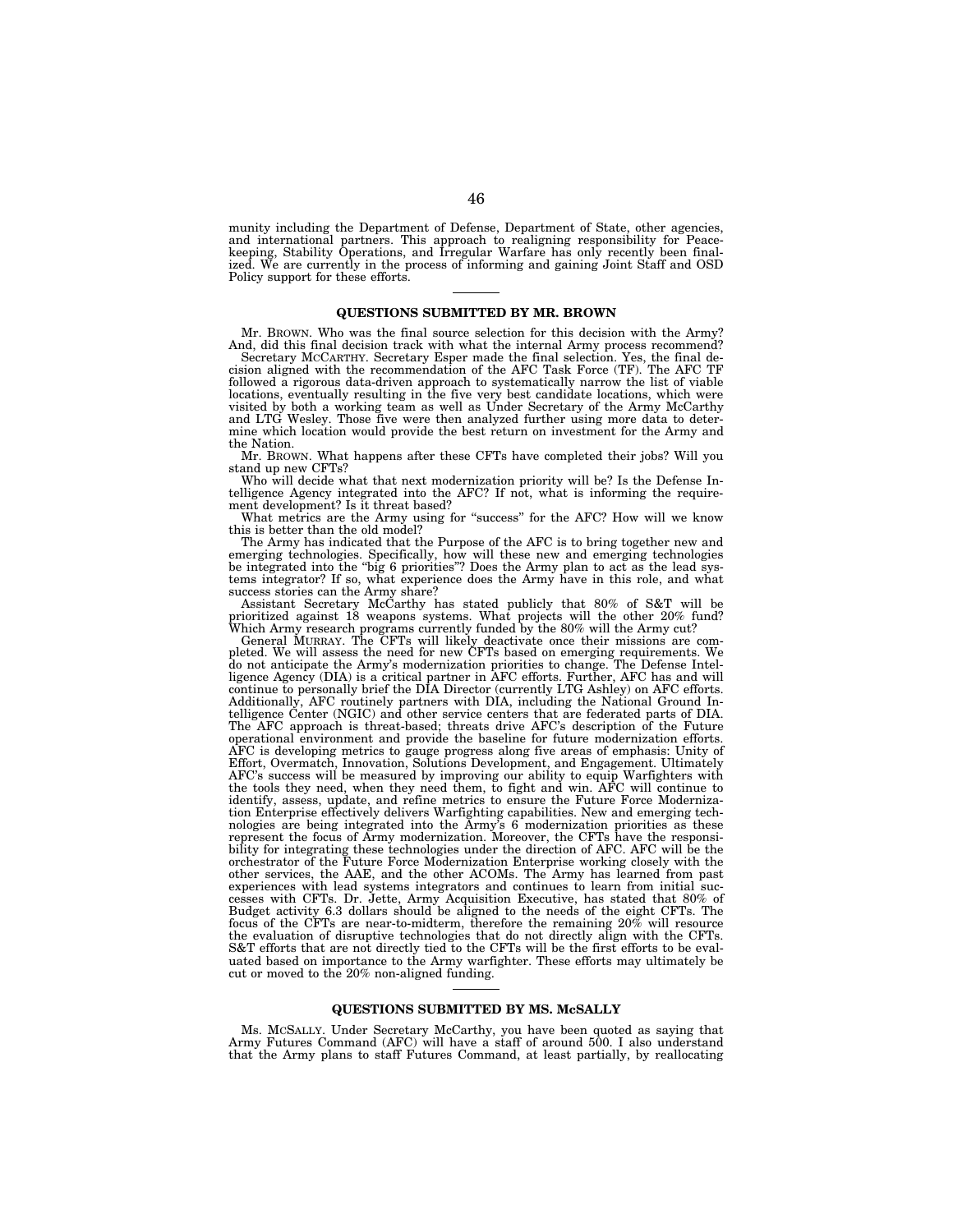munity including the Department of Defense, Department of State, other agencies, and international partners. This approach to realigning responsibility for Peace-keeping, Stability Operations, and Irregular Warfare has only recently been finalized. We are currently in the process of informing and gaining Joint Staff and OSD Policy support for these efforts.

#### **QUESTIONS SUBMITTED BY MR. BROWN**

Mr. BROWN. Who was the final source selection for this decision with the Army? And, did this final decision track with what the internal Army process recommend?

Secretary MCCARTHY. Secretary Esper made the final selection. Yes, the final decision aligned with the recommendation of the AFC Task Force (TF). The AFC TF followed a rigorous data-driven approach to systematically narrow the list of viable locations, eventually resulting in the five very best candidate locations, which were visited by both a working team as well as Under Secretary of the Army McCarthy and LTG Wesley. Those five were then analyzed further using more data to determine which location would provide the best return on investment for the Army and the Nation.

Mr. BROWN. What happens after these CFTs have completed their jobs? Will you stand up new CFTs?

Who will decide what that next modernization priority will be? Is the Defense Intelligence Agency integrated into the AFC? If not, what is informing the requirement development? Is it threat based?

What metrics are the Army using for "success" for the AFC? How will we know this is better than the old model?

The Army has indicated that the Purpose of the AFC is to bring together new and emerging technologies. Specifically, how will these new and emerging technologies be integrated into the ''big 6 priorities''? Does the Army plan to act as the lead systems integrator? If so, what experience does the Army have in this role, and what success stories can the Army share?

Assistant Secretary McCarthy has stated publicly that 80% of S&T will be prioritized against 18 weapons systems. What projects will the other 20% fund? Which Army research programs currently funded by the 80% will the Army cut?

General MURRAY. The CFTs will likely deactivate once their missions are com-pleted. We will assess the need for new CFTs based on emerging requirements. We do not anticipate the Army's modernization priorities to change. The Defense Intel-ligence Agency (DIA) is a critical partner in AFC efforts. Further, AFC has and will continue to personally brief the DIA Director (currently LTG Ashley) on AFC efforts. Additionally, AFC routinely partners with DIA, including the National Ground In-telligence Center (NGIC) and other service centers that are federated parts of DIA. The AFC approach is threat-based; threats drive AFC's description of the Future operational environment and provide the baseline for future modernization efforts. AFC is developing metrics to gauge progress along five areas of emphasis: Unity of Effort, Overmatch, Innovation, Solutions Development, and Engagement. Ultimately AFC's success will be measured by improving our ability to equip Warfighters with the tools they need, when they need them, to fight and win. AFC will continue to identify, assess, update, and refine metrics to ensure the Future Force Modernization Enterprise effectively delivers Warfighting capabilities. New and emerging technologies are being integrated into the Army's 6 modernization priorities as these represent the focus of Army modernization. Moreover, the CFTs have the responsibility for integrating these technologies under the direction of AFC. AFC will be the orchestrator of the Future Force Modernization Enterprise working closely with the other services, the AAE, and the other ACOMs. The Army has learned from past experiences with lead systems integrators and continues to learn from initial cesses with CFTs. Dr. Jette, Army Acquisition Executive, has stated that 80% of Budget activity 6.3 dollars should be aligned to the needs of the eight CFTs. The focus of the CFTs are near-to-midterm, therefore the remaining 20% will resource the evaluation of disruptive technologies that do not directly align with the CFTs. S&T efforts that are not directly tied to the CFTs will be the first efforts to be evaluated based on importance to the Army warfighter. These efforts may ultimately be cut or moved to the 20% non-aligned funding.

#### **QUESTIONS SUBMITTED BY MS. McSALLY**

Ms. MCSALLY. Under Secretary McCarthy, you have been quoted as saying that Army Futures Command (AFC) will have a staff of around 500. I also understand that the Army plans to staff Futures Command, at least partially, by reallocating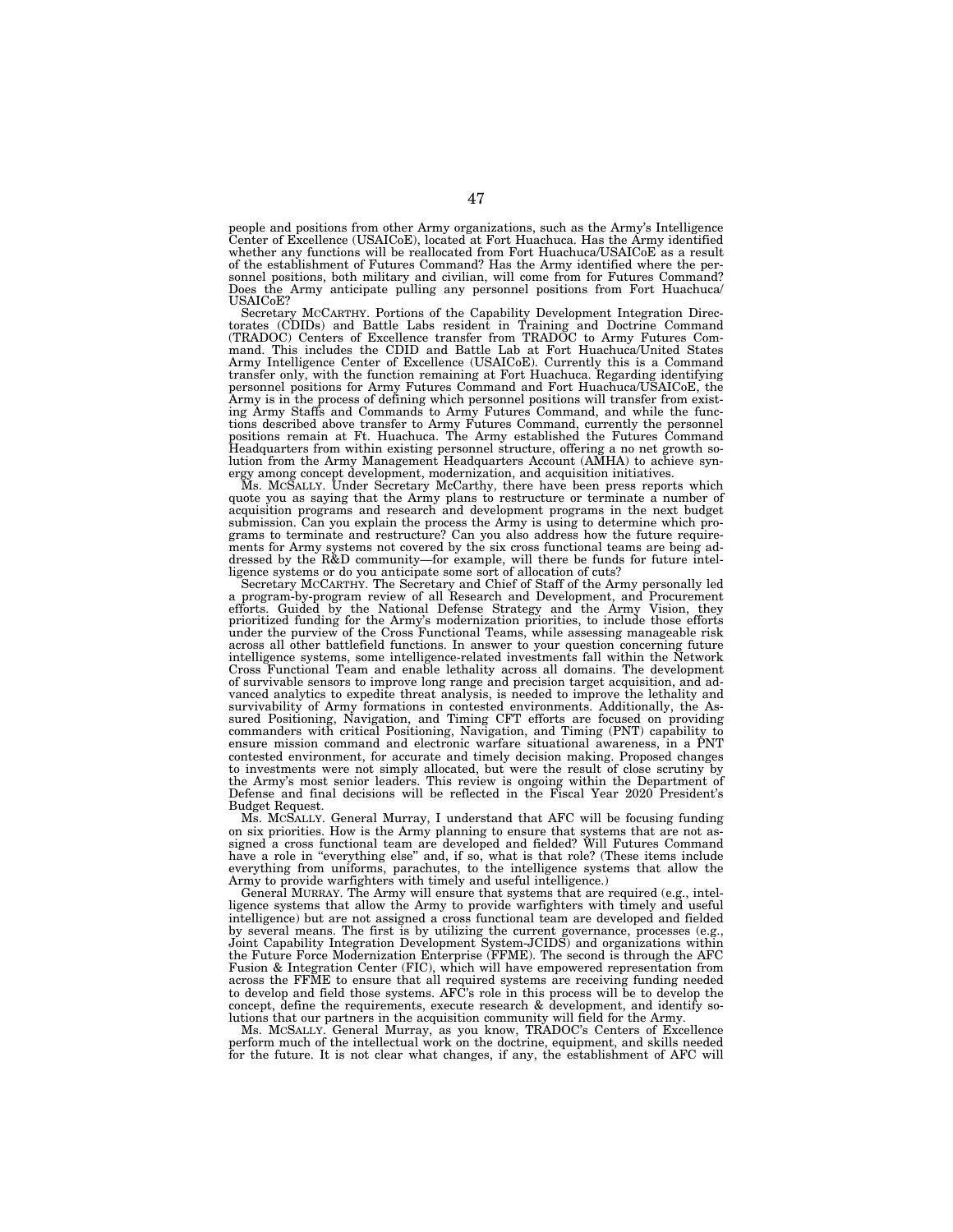people and positions from other Army organizations, such as the Army's Intelligence Center of Excellence (USAICoE), located at Fort Huachuca. Has the Army identified whether any functions will be reallocated from Fort Huachuca/USAICoE as a result of the establishment of Futures Command? Has the Army identified where the personnel positions, both military and civilian, will come from for Futures Command? Does the Army anticipate pulling any personnel positions from Fort Huachuca/ USAICoE?

Secretary MCCARTHY. Portions of the Capability Development Integration Directorates (CDIDs) and Battle Labs resident in Training and Doctrine Command (TRADOC) Centers of Excellence transfer from TRADOC to Army Futures Command. This includes the CDID and Battle Lab at Fort Huachuca/United States Army Intelligence Center of Excellence (USAICoE). Currently this is a Command transfer only, with the function remaining at Fort Huachuca. Regarding identifying personnel positions for Army Futures Command and Fort Huachuca/USAICoE, the Army is in the process of defining which personnel positions will transfer from existing Army Staffs and Commands to Army Futures Command, and while the func-tions described above transfer to Army Futures Command, currently the personnel positions remain at Ft. Huachuca. The Army established the Futures Command Headquarters from within existing personnel structure, offering a no net growth solution from the Army Management Headquarters Account (AMHA) to achieve syn-ergy among concept development, modernization, and acquisition initiatives.

Ms. MCSALLY. Under Secretary McCarthy, there have been press reports which quote you as saying that the Army plans to restructure or terminate a number of acquisition programs and research and development programs in the next budget submission. Can you explain the process the Army is using to determine which programs to terminate and restructure? Can you also address how the future requirements for Army systems not covered by the six cross functional teams are being addressed by the R&D community—for example, will there be funds for future intelligence systems or do you anticipate some sort of allocation of cuts?

Secretary McCARTHY. The Secretary and Chief of Staff of the Army personally led<br>a program-by-program review of all Research and Development, and Procurement<br>efforts. Guided by the National Defense Strategy and the Army Vis intelligence systems, some intelligence-related investments fall within the Network Cross Functional Team and enable lethality across all domains. The development of survivable sensors to improve long range and precision target acquisition, and advanced analytics to expedite threat analysis, is needed to improve the lethality and survivability of Army formations in contested environments. Additionally, the Assured Positioning, Navigation, and Timing CFT efforts are focused on providing commanders with critical Positioning, Navigation, and Timing (PNT) capability to ensure mission command and electronic warfare situational awareness, in a PNT contested environment, for accurate and timely decision making. Proposed changes to investments were not simply allocated, but were the result of close scrutiny by the Army's most senior leaders. This review is ongoing within the Department of Defense and final decisions will be reflected in the Fiscal Year 2020 President's Budget Request.

Ms. MCSALLY. General Murray, I understand that AFC will be focusing funding on six priorities. How is the Army planning to ensure that systems that are not assigned a cross functional team are developed and fielded? Will Futures Command have a role in "everything else" and, if so, what is that role? (These items include everything from uniforms, parachutes, to the intelligence systems that allow the Army to provide warfighters with timely and useful intelligence.)

General MURRAY. The Army will ensure that systems that are required (e.g., intelligence systems that allow the Army to provide warfighters with timely and useful intelligence) but are not assigned a cross functional team are developed and fielded by several means. The first is by utilizing the current governance, processes (e.g., Joint Capability Integration Development System-JCIDS) and organizations within the Future Force Modernization Enterprise (FFME). The second is through the AFC Fusion & Integration Center (FIC), which will have empowered representation from across the FFME to ensure that all required systems are receiving funding needed to develop and field those systems. AFC's role in this process will be to develop the concept, define the requirements, execute research & development, and identify solutions that our partners in the acquisition community will field for the Army.

Ms. MCSALLY. General Murray, as you know, TRADOC's Centers of Excellence perform much of the intellectual work on the doctrine, equipment, and skills needed for the future. It is not clear what changes, if any, the establishment of AFC will